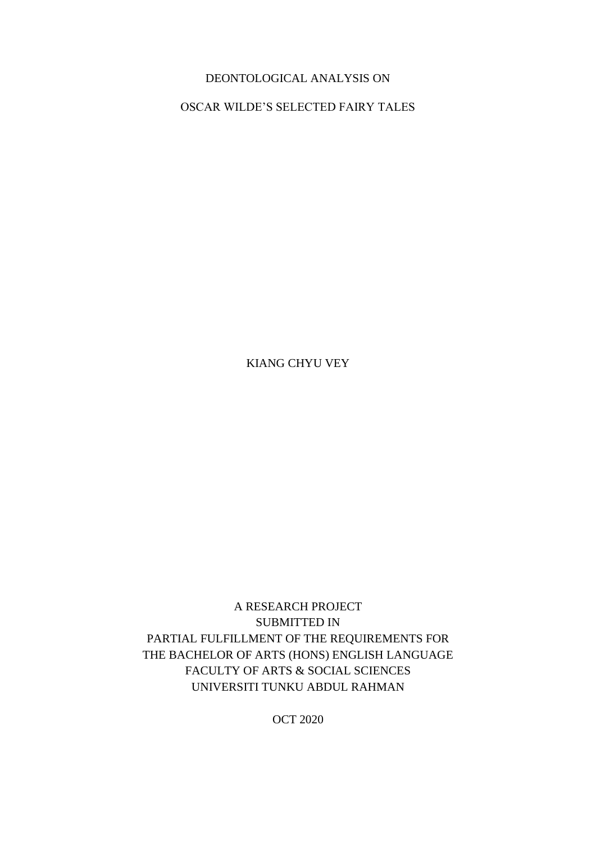## DEONTOLOGICAL ANALYSIS ON

OSCAR WILDE'S SELECTED FAIRY TALES

KIANG CHYU VEY

A RESEARCH PROJECT SUBMITTED IN PARTIAL FULFILLMENT OF THE REQUIREMENTS FOR THE BACHELOR OF ARTS (HONS) ENGLISH LANGUAGE FACULTY OF ARTS & SOCIAL SCIENCES UNIVERSITI TUNKU ABDUL RAHMAN

OCT 2020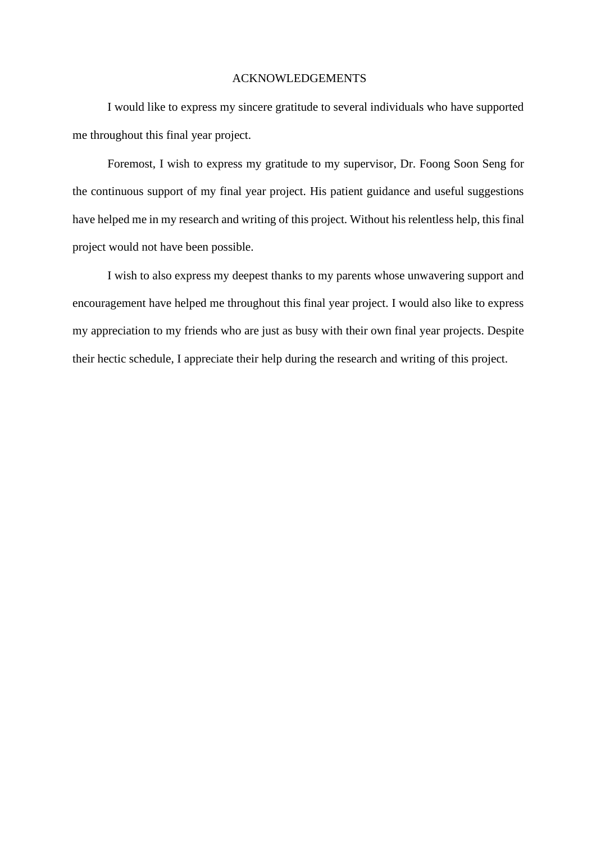#### ACKNOWLEDGEMENTS

I would like to express my sincere gratitude to several individuals who have supported me throughout this final year project.

Foremost, I wish to express my gratitude to my supervisor, Dr. Foong Soon Seng for the continuous support of my final year project. His patient guidance and useful suggestions have helped me in my research and writing of this project. Without his relentless help, this final project would not have been possible.

I wish to also express my deepest thanks to my parents whose unwavering support and encouragement have helped me throughout this final year project. I would also like to express my appreciation to my friends who are just as busy with their own final year projects. Despite their hectic schedule, I appreciate their help during the research and writing of this project.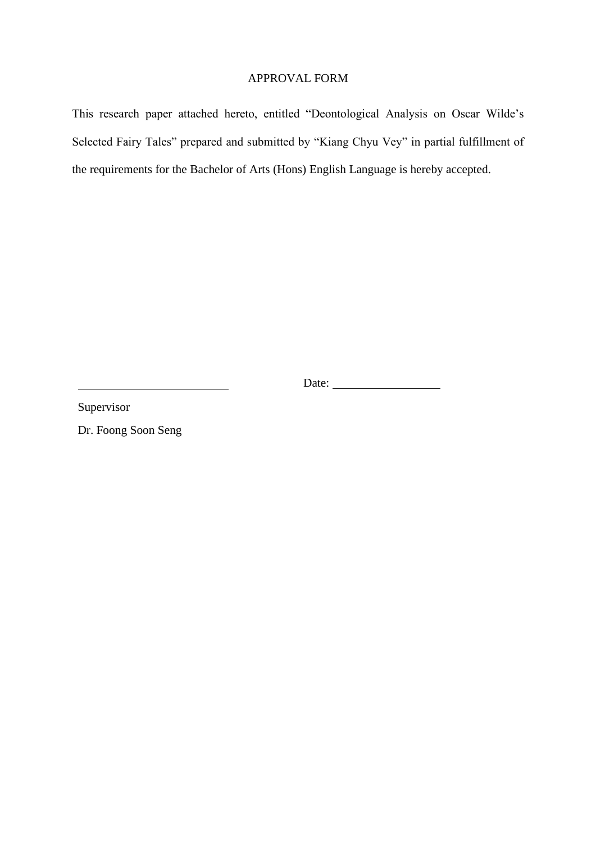## APPROVAL FORM

This research paper attached hereto, entitled "Deontological Analysis on Oscar Wilde's Selected Fairy Tales" prepared and submitted by "Kiang Chyu Vey" in partial fulfillment of the requirements for the Bachelor of Arts (Hons) English Language is hereby accepted.

Date:

Supervisor

Dr. Foong Soon Seng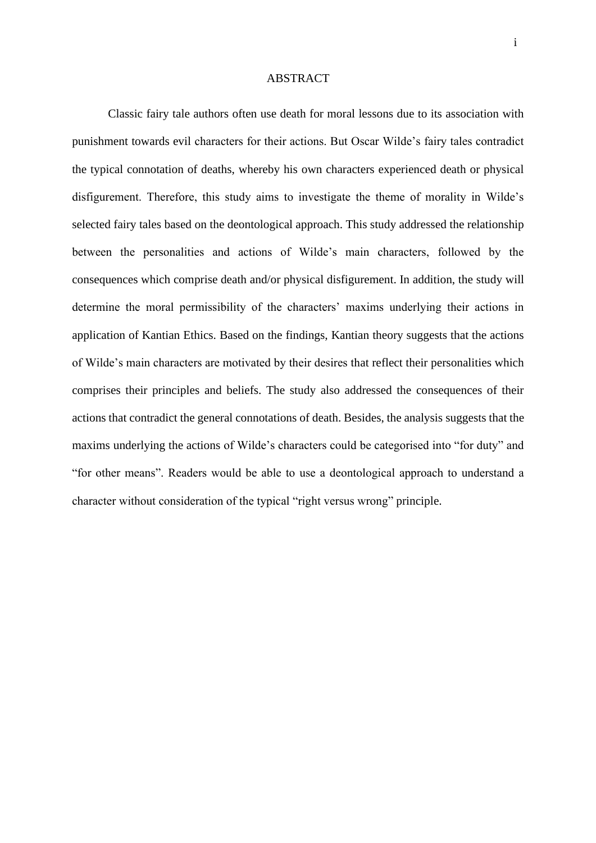#### ABSTRACT

Classic fairy tale authors often use death for moral lessons due to its association with punishment towards evil characters for their actions. But Oscar Wilde's fairy tales contradict the typical connotation of deaths, whereby his own characters experienced death or physical disfigurement. Therefore, this study aims to investigate the theme of morality in Wilde's selected fairy tales based on the deontological approach. This study addressed the relationship between the personalities and actions of Wilde's main characters, followed by the consequences which comprise death and/or physical disfigurement. In addition, the study will determine the moral permissibility of the characters' maxims underlying their actions in application of Kantian Ethics. Based on the findings, Kantian theory suggests that the actions of Wilde's main characters are motivated by their desires that reflect their personalities which comprises their principles and beliefs. The study also addressed the consequences of their actions that contradict the general connotations of death. Besides, the analysis suggests that the maxims underlying the actions of Wilde's characters could be categorised into "for duty" and "for other means". Readers would be able to use a deontological approach to understand a character without consideration of the typical "right versus wrong" principle.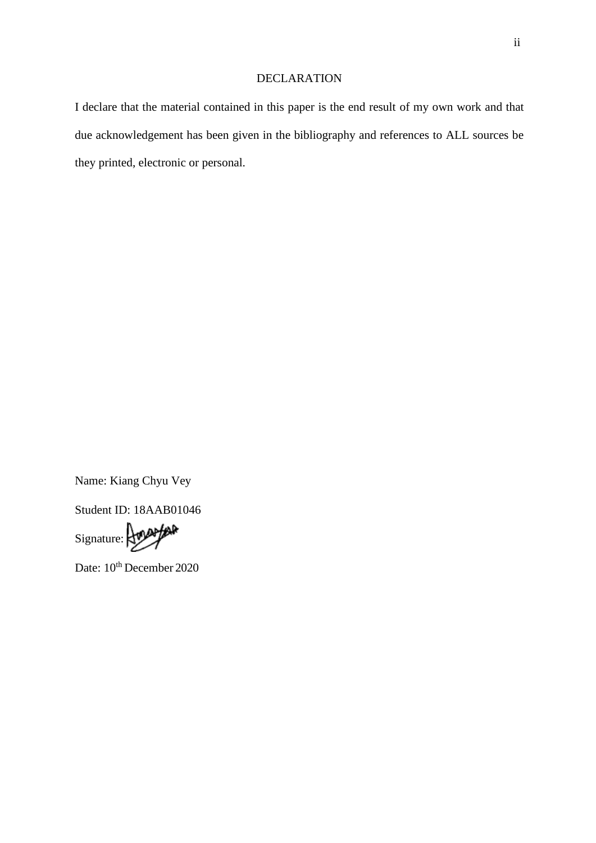### DECLARATION

I declare that the material contained in this paper is the end result of my own work and that due acknowledgement has been given in the bibliography and references to ALL sources be they printed, electronic or personal.

Name: Kiang Chyu Vey

Student ID: 18AAB01046

Signature: Amappar

Date:  $10^{th}$  December 2020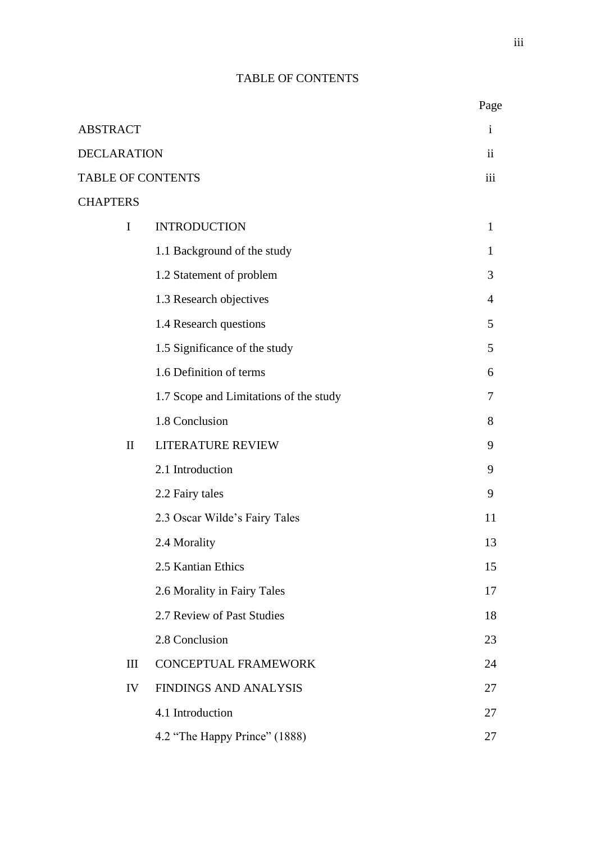# TABLE OF CONTENTS

|                          |                                        | Page                |
|--------------------------|----------------------------------------|---------------------|
| <b>ABSTRACT</b>          |                                        | $\mathbf{i}$        |
| <b>DECLARATION</b>       |                                        | $\ddot{\mathbf{i}}$ |
| <b>TABLE OF CONTENTS</b> |                                        | iii                 |
| <b>CHAPTERS</b>          |                                        |                     |
| I                        | <b>INTRODUCTION</b>                    | $\mathbf{1}$        |
|                          | 1.1 Background of the study            | 1                   |
|                          | 1.2 Statement of problem               | 3                   |
|                          | 1.3 Research objectives                | $\overline{4}$      |
|                          | 1.4 Research questions                 | 5                   |
|                          | 1.5 Significance of the study          | 5                   |
|                          | 1.6 Definition of terms                | 6                   |
|                          | 1.7 Scope and Limitations of the study | 7                   |
|                          | 1.8 Conclusion                         | 8                   |
| $\mathbf{I}$             | <b>LITERATURE REVIEW</b>               | 9                   |
|                          | 2.1 Introduction                       | 9                   |
|                          | 2.2 Fairy tales                        | 9                   |
|                          | 2.3 Oscar Wilde's Fairy Tales          | 11                  |
|                          | 2.4 Morality                           | 13                  |
|                          | 2.5 Kantian Ethics                     | 15                  |
|                          | 2.6 Morality in Fairy Tales            | 17                  |
|                          | 2.7 Review of Past Studies             | 18                  |
|                          | 2.8 Conclusion                         | 23                  |
| III                      | <b>CONCEPTUAL FRAMEWORK</b>            | 24                  |
| IV                       | <b>FINDINGS AND ANALYSIS</b>           | 27                  |
|                          | 4.1 Introduction                       | 27                  |
|                          | 4.2 "The Happy Prince" (1888)          | 27                  |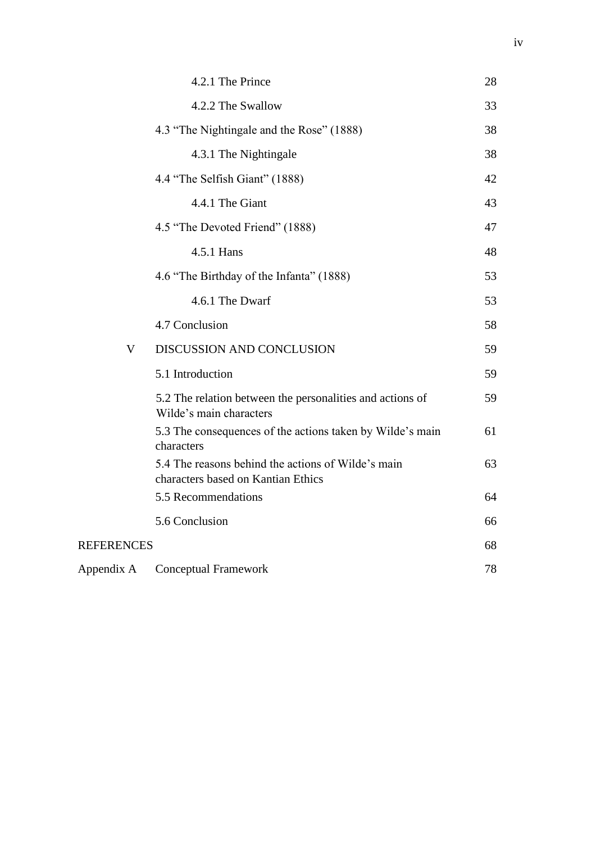|                   | 4.2.1 The Prince                                                                         | 28 |
|-------------------|------------------------------------------------------------------------------------------|----|
|                   | 4.2.2 The Swallow                                                                        | 33 |
|                   | 4.3 "The Nightingale and the Rose" (1888)                                                | 38 |
|                   | 4.3.1 The Nightingale                                                                    | 38 |
|                   | 4.4 "The Selfish Giant" (1888)                                                           | 42 |
|                   | 4.4.1 The Giant                                                                          | 43 |
|                   | 4.5 "The Devoted Friend" (1888)                                                          | 47 |
|                   | 4.5.1 Hans                                                                               | 48 |
|                   | 4.6 "The Birthday of the Infanta" (1888)                                                 | 53 |
|                   | 4.6.1 The Dwarf                                                                          | 53 |
|                   | 4.7 Conclusion                                                                           | 58 |
| V                 | DISCUSSION AND CONCLUSION                                                                | 59 |
|                   | 5.1 Introduction                                                                         | 59 |
|                   | 5.2 The relation between the personalities and actions of<br>Wilde's main characters     | 59 |
|                   | 5.3 The consequences of the actions taken by Wilde's main<br>characters                  | 61 |
|                   | 5.4 The reasons behind the actions of Wilde's main<br>characters based on Kantian Ethics | 63 |
|                   | 5.5 Recommendations                                                                      | 64 |
|                   | 5.6 Conclusion                                                                           | 66 |
| <b>REFERENCES</b> |                                                                                          | 68 |
| Appendix A        | <b>Conceptual Framework</b>                                                              | 78 |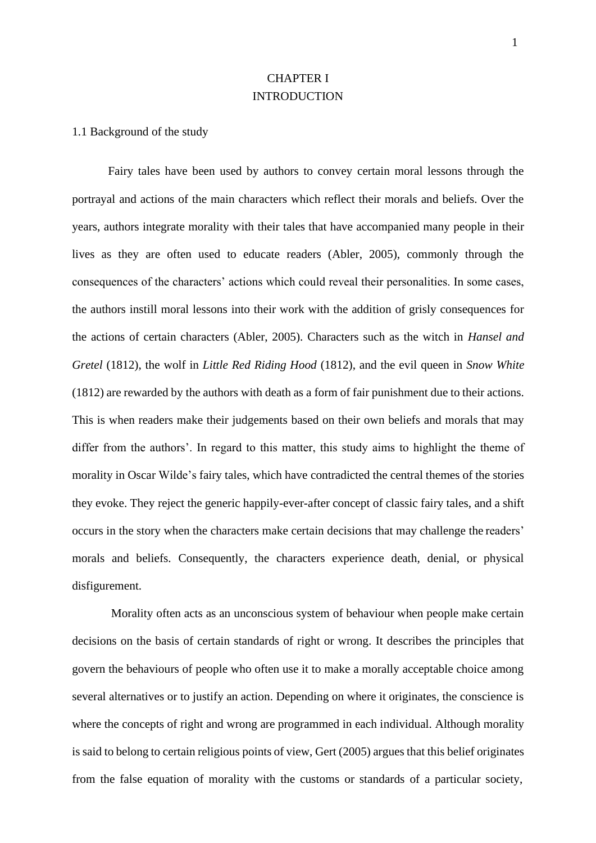# CHAPTER I **INTRODUCTION**

#### 1.1 Background of the study

Fairy tales have been used by authors to convey certain moral lessons through the portrayal and actions of the main characters which reflect their morals and beliefs. Over the years, authors integrate morality with their tales that have accompanied many people in their lives as they are often used to educate readers (Abler, 2005), commonly through the consequences of the characters' actions which could reveal their personalities. In some cases, the authors instill moral lessons into their work with the addition of grisly consequences for the actions of certain characters (Abler, 2005). Characters such as the witch in *Hansel and Gretel* (1812), the wolf in *Little Red Riding Hood* (1812), and the evil queen in *Snow White*  (1812) are rewarded by the authors with death as a form of fair punishment due to their actions. This is when readers make their judgements based on their own beliefs and morals that may differ from the authors'. In regard to this matter, this study aims to highlight the theme of morality in Oscar Wilde's fairy tales, which have contradicted the central themes of the stories they evoke. They reject the generic happily-ever-after concept of classic fairy tales, and a shift occurs in the story when the characters make certain decisions that may challenge the readers' morals and beliefs. Consequently, the characters experience death, denial, or physical disfigurement.

Morality often acts as an unconscious system of behaviour when people make certain decisions on the basis of certain standards of right or wrong. It describes the principles that govern the behaviours of people who often use it to make a morally acceptable choice among several alternatives or to justify an action. Depending on where it originates, the conscience is where the concepts of right and wrong are programmed in each individual. Although morality is said to belong to certain religious points of view, Gert (2005) argues that this belief originates from the false equation of morality with the customs or standards of a particular society,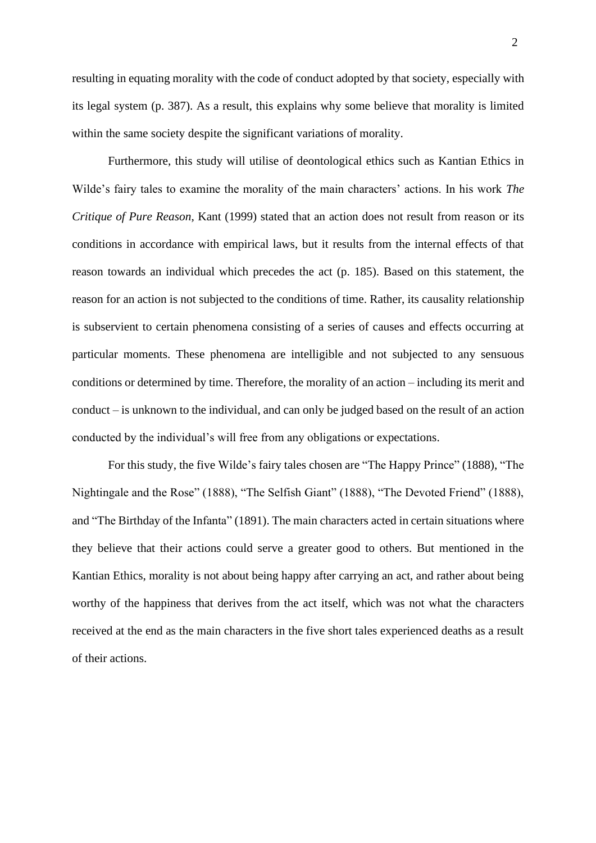resulting in equating morality with the code of conduct adopted by that society, especially with its legal system (p. 387). As a result, this explains why some believe that morality is limited within the same society despite the significant variations of morality.

Furthermore, this study will utilise of deontological ethics such as Kantian Ethics in Wilde's fairy tales to examine the morality of the main characters' actions. In his work *The Critique of Pure Reason*, Kant (1999) stated that an action does not result from reason or its conditions in accordance with empirical laws, but it results from the internal effects of that reason towards an individual which precedes the act (p. 185). Based on this statement, the reason for an action is not subjected to the conditions of time. Rather, its causality relationship is subservient to certain phenomena consisting of a series of causes and effects occurring at particular moments. These phenomena are intelligible and not subjected to any sensuous conditions or determined by time. Therefore, the morality of an action – including its merit and conduct – is unknown to the individual, and can only be judged based on the result of an action conducted by the individual's will free from any obligations or expectations.

For this study, the five Wilde's fairy tales chosen are "The Happy Prince" (1888), "The Nightingale and the Rose" (1888), "The Selfish Giant" (1888), "The Devoted Friend" (1888), and "The Birthday of the Infanta" (1891). The main characters acted in certain situations where they believe that their actions could serve a greater good to others. But mentioned in the Kantian Ethics, morality is not about being happy after carrying an act, and rather about being worthy of the happiness that derives from the act itself, which was not what the characters received at the end as the main characters in the five short tales experienced deaths as a result of their actions.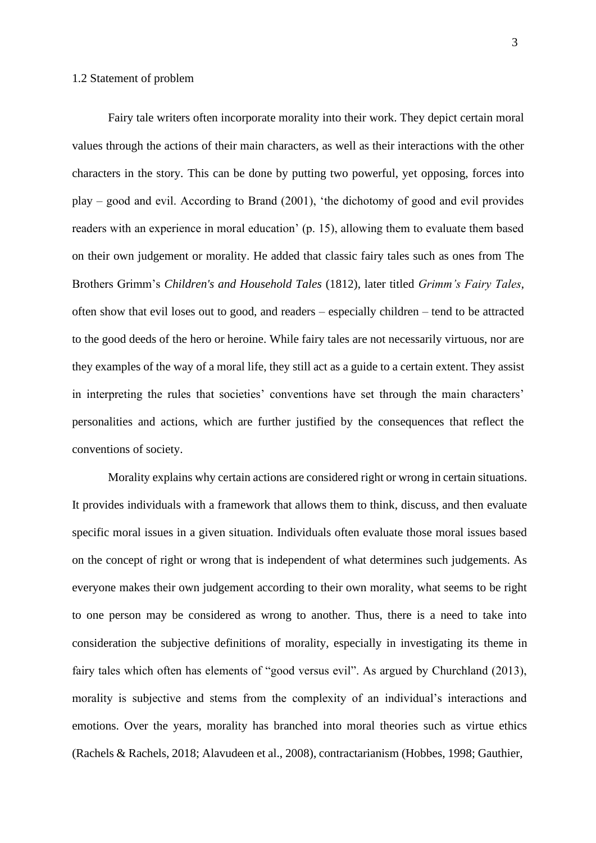Fairy tale writers often incorporate morality into their work. They depict certain moral values through the actions of their main characters, as well as their interactions with the other characters in the story. This can be done by putting two powerful, yet opposing, forces into play – good and evil. According to Brand (2001), 'the dichotomy of good and evil provides readers with an experience in moral education' (p. 15), allowing them to evaluate them based on their own judgement or morality. He added that classic fairy tales such as ones from The Brothers Grimm's *Children's and Household Tales* (1812), later titled *Grimm's Fairy Tales*, often show that evil loses out to good, and readers – especially children – tend to be attracted to the good deeds of the hero or heroine. While fairy tales are not necessarily virtuous, nor are they examples of the way of a moral life, they still act as a guide to a certain extent. They assist in interpreting the rules that societies' conventions have set through the main characters' personalities and actions, which are further justified by the consequences that reflect the conventions of society.

Morality explains why certain actions are considered right or wrong in certain situations. It provides individuals with a framework that allows them to think, discuss, and then evaluate specific moral issues in a given situation. Individuals often evaluate those moral issues based on the concept of right or wrong that is independent of what determines such judgements. As everyone makes their own judgement according to their own morality, what seems to be right to one person may be considered as wrong to another. Thus, there is a need to take into consideration the subjective definitions of morality, especially in investigating its theme in fairy tales which often has elements of "good versus evil". As argued by Churchland (2013), morality is subjective and stems from the complexity of an individual's interactions and emotions. Over the years, morality has branched into moral theories such as virtue ethics (Rachels & Rachels, 2018; Alavudeen et al., 2008), contractarianism (Hobbes, 1998; Gauthier,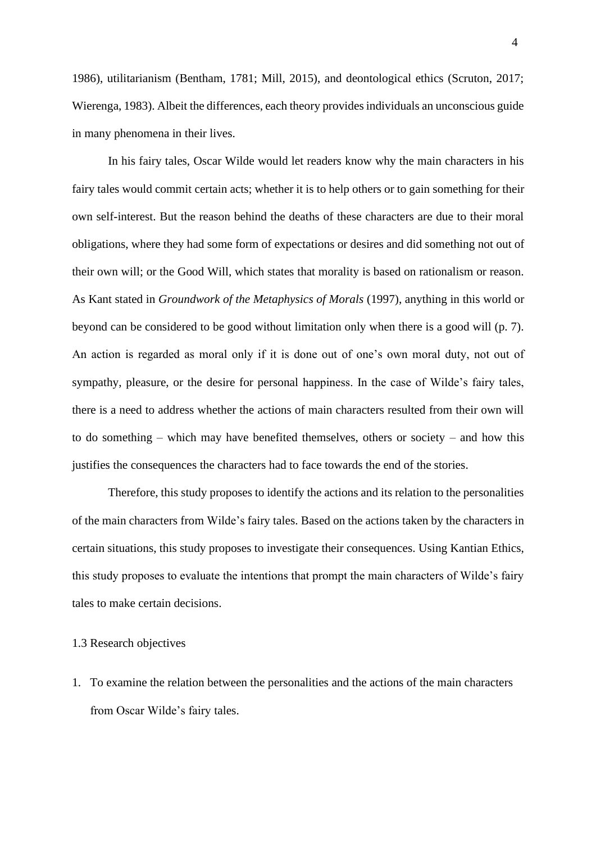1986), utilitarianism (Bentham, 1781; Mill, 2015), and deontological ethics (Scruton, 2017; Wierenga, 1983). Albeit the differences, each theory providesindividuals an unconscious guide in many phenomena in their lives.

In his fairy tales, Oscar Wilde would let readers know why the main characters in his fairy tales would commit certain acts; whether it is to help others or to gain something for their own self-interest. But the reason behind the deaths of these characters are due to their moral obligations, where they had some form of expectations or desires and did something not out of their own will; or the Good Will, which states that morality is based on rationalism or reason. As Kant stated in *Groundwork of the Metaphysics of Morals* (1997), anything in this world or beyond can be considered to be good without limitation only when there is a good will (p. 7). An action is regarded as moral only if it is done out of one's own moral duty, not out of sympathy, pleasure, or the desire for personal happiness. In the case of Wilde's fairy tales, there is a need to address whether the actions of main characters resulted from their own will to do something – which may have benefited themselves, others or society – and how this justifies the consequences the characters had to face towards the end of the stories.

Therefore, this study proposes to identify the actions and its relation to the personalities of the main characters from Wilde's fairy tales. Based on the actions taken by the characters in certain situations, this study proposes to investigate their consequences. Using Kantian Ethics, this study proposes to evaluate the intentions that prompt the main characters of Wilde's fairy tales to make certain decisions.

#### 1.3 Research objectives

1. To examine the relation between the personalities and the actions of the main characters from Oscar Wilde's fairy tales.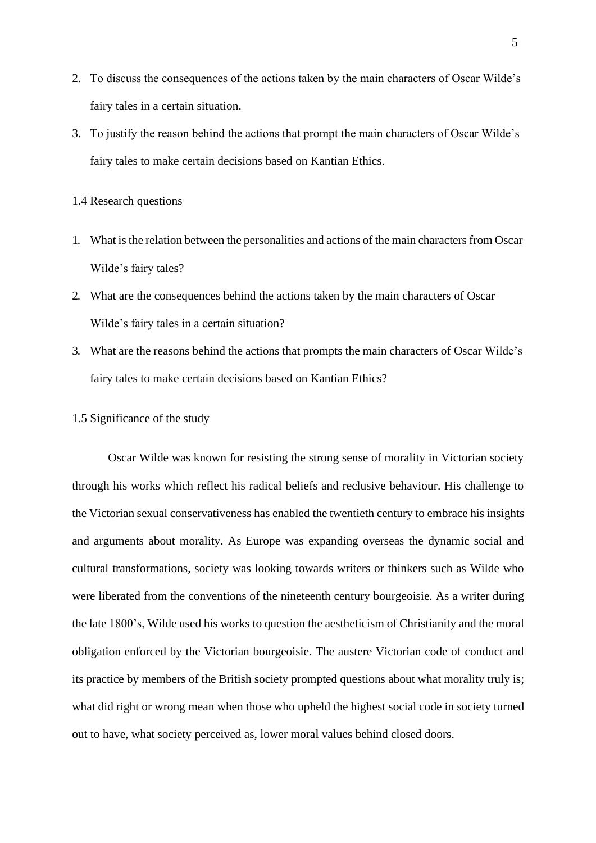- 2. To discuss the consequences of the actions taken by the main characters of Oscar Wilde's fairy tales in a certain situation.
- 3. To justify the reason behind the actions that prompt the main characters of Oscar Wilde's fairy tales to make certain decisions based on Kantian Ethics.
- 1.4 Research questions
- 1. What is the relation between the personalities and actions of the main characters from Oscar Wilde's fairy tales?
- 2. What are the consequences behind the actions taken by the main characters of Oscar Wilde's fairy tales in a certain situation?
- 3. What are the reasons behind the actions that prompts the main characters of Oscar Wilde's fairy tales to make certain decisions based on Kantian Ethics?
- 1.5 Significance of the study

Oscar Wilde was known for resisting the strong sense of morality in Victorian society through his works which reflect his radical beliefs and reclusive behaviour. His challenge to the Victorian sexual conservativeness has enabled the twentieth century to embrace his insights and arguments about morality. As Europe was expanding overseas the dynamic social and cultural transformations, society was looking towards writers or thinkers such as Wilde who were liberated from the conventions of the nineteenth century bourgeoisie. As a writer during the late 1800's, Wilde used his works to question the aestheticism of Christianity and the moral obligation enforced by the Victorian bourgeoisie. The austere Victorian code of conduct and its practice by members of the British society prompted questions about what morality truly is; what did right or wrong mean when those who upheld the highest social code in society turned out to have, what society perceived as, lower moral values behind closed doors.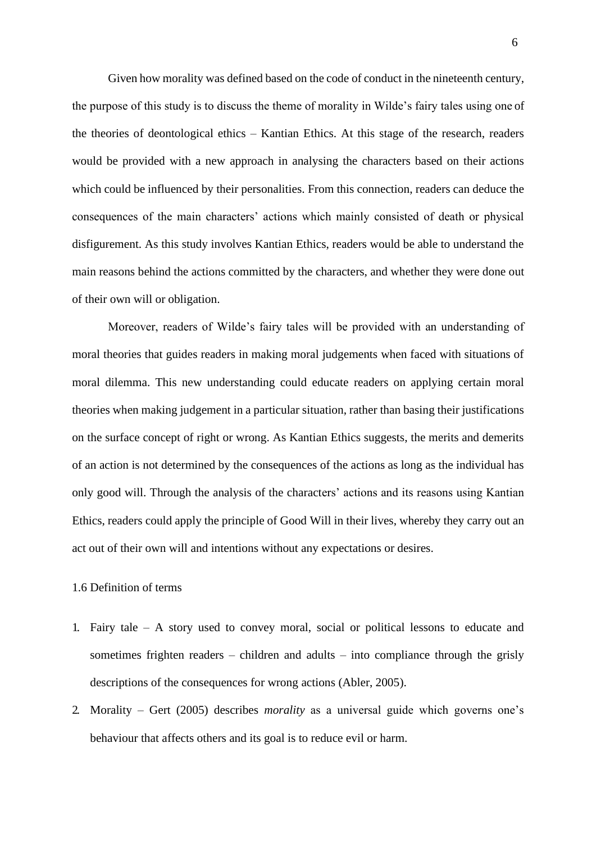Given how morality was defined based on the code of conduct in the nineteenth century, the purpose of this study is to discuss the theme of morality in Wilde's fairy tales using one of the theories of deontological ethics – Kantian Ethics. At this stage of the research, readers would be provided with a new approach in analysing the characters based on their actions which could be influenced by their personalities. From this connection, readers can deduce the consequences of the main characters' actions which mainly consisted of death or physical disfigurement. As this study involves Kantian Ethics, readers would be able to understand the main reasons behind the actions committed by the characters, and whether they were done out of their own will or obligation.

Moreover, readers of Wilde's fairy tales will be provided with an understanding of moral theories that guides readers in making moral judgements when faced with situations of moral dilemma. This new understanding could educate readers on applying certain moral theories when making judgement in a particular situation, rather than basing their justifications on the surface concept of right or wrong. As Kantian Ethics suggests, the merits and demerits of an action is not determined by the consequences of the actions as long as the individual has only good will. Through the analysis of the characters' actions and its reasons using Kantian Ethics, readers could apply the principle of Good Will in their lives, whereby they carry out an act out of their own will and intentions without any expectations or desires.

## 1.6 Definition of terms

- 1. Fairy tale A story used to convey moral, social or political lessons to educate and sometimes frighten readers – children and adults – into compliance through the grisly descriptions of the consequences for wrong actions (Abler, 2005).
- 2. Morality Gert (2005) describes *morality* as a universal guide which governs one's behaviour that affects others and its goal is to reduce evil or harm.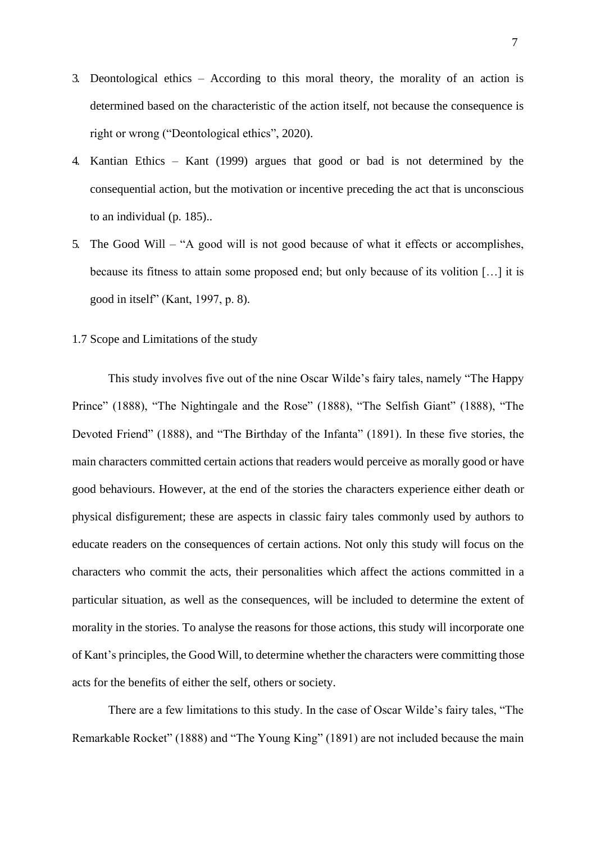- 3. Deontological ethics According to this moral theory, the morality of an action is determined based on the characteristic of the action itself, not because the consequence is right or wrong ("Deontological ethics", 2020).
- 4. Kantian Ethics Kant (1999) argues that good or bad is not determined by the consequential action, but the motivation or incentive preceding the act that is unconscious to an individual (p. 185)..
- 5. The Good Will "A good will is not good because of what it effects or accomplishes, because its fitness to attain some proposed end; but only because of its volition […] it is good in itself" (Kant, 1997, p. 8).
- 1.7 Scope and Limitations of the study

This study involves five out of the nine Oscar Wilde's fairy tales, namely "The Happy Prince" (1888), "The Nightingale and the Rose" (1888), "The Selfish Giant" (1888), "The Devoted Friend" (1888), and "The Birthday of the Infanta" (1891). In these five stories, the main characters committed certain actions that readers would perceive as morally good or have good behaviours. However, at the end of the stories the characters experience either death or physical disfigurement; these are aspects in classic fairy tales commonly used by authors to educate readers on the consequences of certain actions. Not only this study will focus on the characters who commit the acts, their personalities which affect the actions committed in a particular situation, as well as the consequences, will be included to determine the extent of morality in the stories. To analyse the reasons for those actions, this study will incorporate one of Kant's principles, the Good Will, to determine whether the characters were committing those acts for the benefits of either the self, others or society.

There are a few limitations to this study. In the case of Oscar Wilde's fairy tales, "The Remarkable Rocket" (1888) and "The Young King" (1891) are not included because the main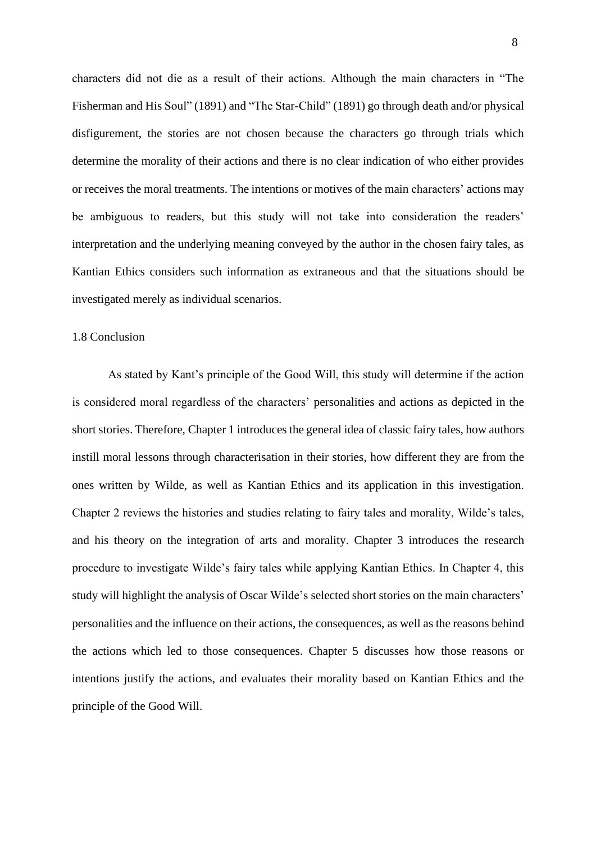characters did not die as a result of their actions. Although the main characters in "The Fisherman and His Soul" (1891) and "The Star-Child" (1891) go through death and/or physical disfigurement, the stories are not chosen because the characters go through trials which determine the morality of their actions and there is no clear indication of who either provides or receives the moral treatments. The intentions or motives of the main characters' actions may be ambiguous to readers, but this study will not take into consideration the readers' interpretation and the underlying meaning conveyed by the author in the chosen fairy tales, as Kantian Ethics considers such information as extraneous and that the situations should be investigated merely as individual scenarios.

#### 1.8 Conclusion

As stated by Kant's principle of the Good Will, this study will determine if the action is considered moral regardless of the characters' personalities and actions as depicted in the short stories. Therefore, Chapter 1 introduces the general idea of classic fairy tales, how authors instill moral lessons through characterisation in their stories, how different they are from the ones written by Wilde, as well as Kantian Ethics and its application in this investigation. Chapter 2 reviews the histories and studies relating to fairy tales and morality, Wilde's tales, and his theory on the integration of arts and morality. Chapter 3 introduces the research procedure to investigate Wilde's fairy tales while applying Kantian Ethics. In Chapter 4, this study will highlight the analysis of Oscar Wilde's selected short stories on the main characters' personalities and the influence on their actions, the consequences, as well as the reasons behind the actions which led to those consequences. Chapter 5 discusses how those reasons or intentions justify the actions, and evaluates their morality based on Kantian Ethics and the principle of the Good Will.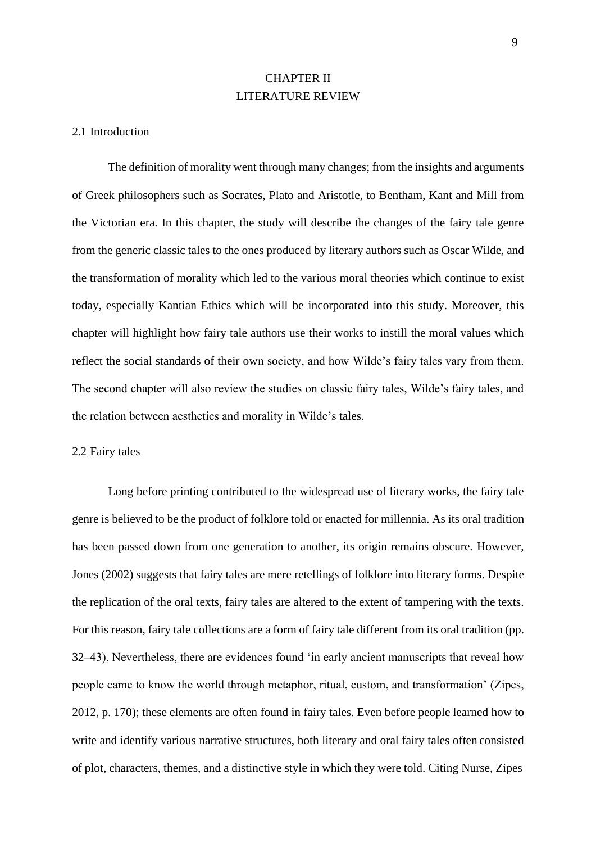# CHAPTER II LITERATURE REVIEW

#### 2.1 Introduction

The definition of morality went through many changes; from the insights and arguments of Greek philosophers such as Socrates, Plato and Aristotle, to Bentham, Kant and Mill from the Victorian era. In this chapter, the study will describe the changes of the fairy tale genre from the generic classic tales to the ones produced by literary authors such as Oscar Wilde, and the transformation of morality which led to the various moral theories which continue to exist today, especially Kantian Ethics which will be incorporated into this study. Moreover, this chapter will highlight how fairy tale authors use their works to instill the moral values which reflect the social standards of their own society, and how Wilde's fairy tales vary from them. The second chapter will also review the studies on classic fairy tales, Wilde's fairy tales, and the relation between aesthetics and morality in Wilde's tales.

#### 2.2 Fairy tales

Long before printing contributed to the widespread use of literary works, the fairy tale genre is believed to be the product of folklore told or enacted for millennia. As its oral tradition has been passed down from one generation to another, its origin remains obscure. However, Jones (2002) suggests that fairy tales are mere retellings of folklore into literary forms. Despite the replication of the oral texts, fairy tales are altered to the extent of tampering with the texts. For this reason, fairy tale collections are a form of fairy tale different from its oral tradition (pp. 32–43). Nevertheless, there are evidences found 'in early ancient manuscripts that reveal how people came to know the world through metaphor, ritual, custom, and transformation' (Zipes, 2012, p. 170); these elements are often found in fairy tales. Even before people learned how to write and identify various narrative structures, both literary and oral fairy tales often consisted of plot, characters, themes, and a distinctive style in which they were told. Citing Nurse, Zipes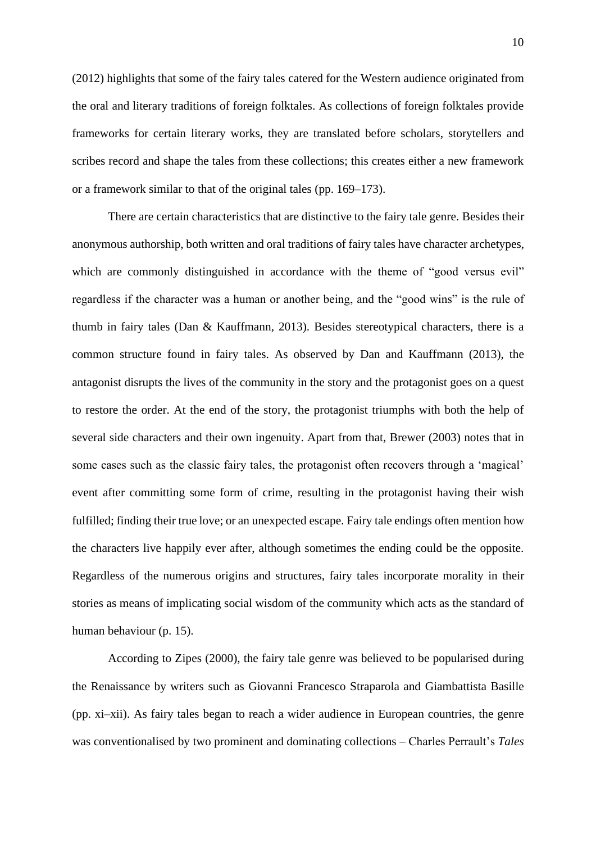(2012) highlights that some of the fairy tales catered for the Western audience originated from the oral and literary traditions of foreign folktales. As collections of foreign folktales provide frameworks for certain literary works, they are translated before scholars, storytellers and scribes record and shape the tales from these collections; this creates either a new framework or a framework similar to that of the original tales (pp. 169–173).

There are certain characteristics that are distinctive to the fairy tale genre. Besides their anonymous authorship, both written and oral traditions of fairy tales have character archetypes, which are commonly distinguished in accordance with the theme of "good versus evil" regardless if the character was a human or another being, and the "good wins" is the rule of thumb in fairy tales (Dan & Kauffmann, 2013). Besides stereotypical characters, there is a common structure found in fairy tales. As observed by Dan and Kauffmann (2013), the antagonist disrupts the lives of the community in the story and the protagonist goes on a quest to restore the order. At the end of the story, the protagonist triumphs with both the help of several side characters and their own ingenuity. Apart from that, Brewer (2003) notes that in some cases such as the classic fairy tales, the protagonist often recovers through a 'magical' event after committing some form of crime, resulting in the protagonist having their wish fulfilled; finding their true love; or an unexpected escape. Fairy tale endings often mention how the characters live happily ever after, although sometimes the ending could be the opposite. Regardless of the numerous origins and structures, fairy tales incorporate morality in their stories as means of implicating social wisdom of the community which acts as the standard of human behaviour (p. 15).

According to Zipes (2000), the fairy tale genre was believed to be popularised during the Renaissance by writers such as Giovanni Francesco Straparola and Giambattista Basille (pp. xi–xii). As fairy tales began to reach a wider audience in European countries, the genre was conventionalised by two prominent and dominating collections – Charles Perrault's *Tales*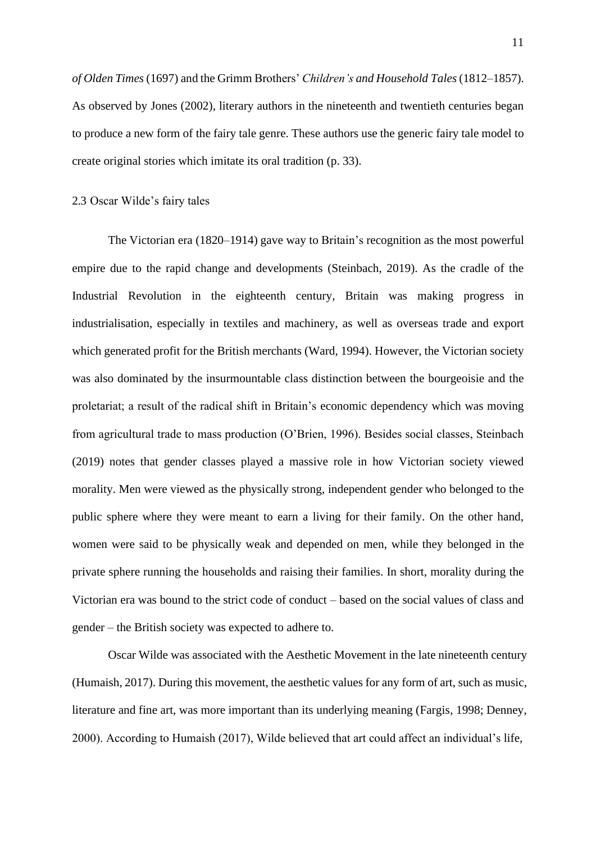*of Olden Times*(1697) and the Grimm Brothers' *Children's and Household Tales*(1812–1857). As observed by Jones (2002), literary authors in the nineteenth and twentieth centuries began to produce a new form of the fairy tale genre. These authors use the generic fairy tale model to create original stories which imitate its oral tradition (p. 33).

#### 2.3 Oscar Wilde's fairy tales

The Victorian era (1820–1914) gave way to Britain's recognition as the most powerful empire due to the rapid change and developments (Steinbach, 2019). As the cradle of the Industrial Revolution in the eighteenth century, Britain was making progress in industrialisation, especially in textiles and machinery, as well as overseas trade and export which generated profit for the British merchants (Ward, 1994). However, the Victorian society was also dominated by the insurmountable class distinction between the bourgeoisie and the proletariat; a result of the radical shift in Britain's economic dependency which was moving from agricultural trade to mass production (O'Brien, 1996). Besides social classes, Steinbach (2019) notes that gender classes played a massive role in how Victorian society viewed morality. Men were viewed as the physically strong, independent gender who belonged to the public sphere where they were meant to earn a living for their family. On the other hand, women were said to be physically weak and depended on men, while they belonged in the private sphere running the households and raising their families. In short, morality during the Victorian era was bound to the strict code of conduct – based on the social values of class and gender – the British society was expected to adhere to.

Oscar Wilde was associated with the Aesthetic Movement in the late nineteenth century (Humaish, 2017). During this movement, the aesthetic values for any form of art, such as music, literature and fine art, was more important than its underlying meaning (Fargis, 1998; Denney, 2000). According to Humaish (2017), Wilde believed that art could affect an individual's life,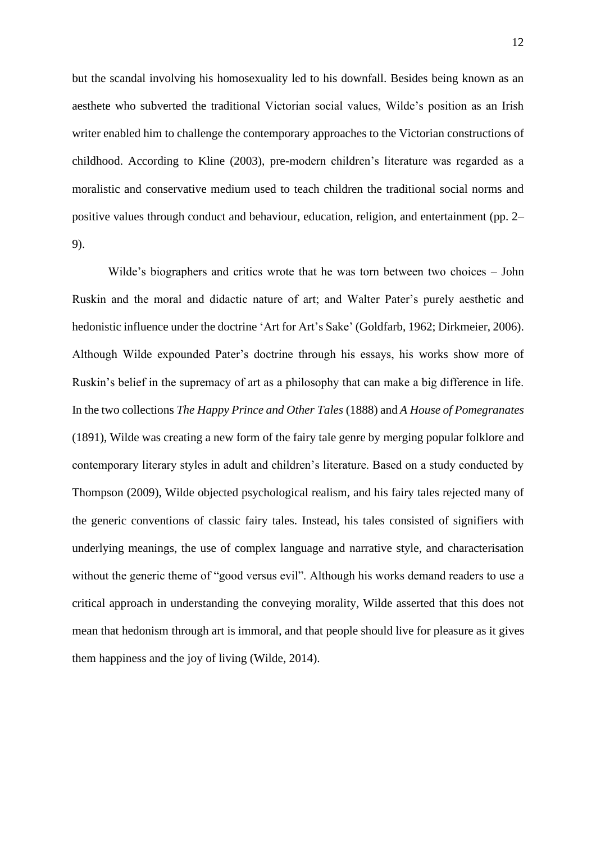but the scandal involving his homosexuality led to his downfall. Besides being known as an aesthete who subverted the traditional Victorian social values, Wilde's position as an Irish writer enabled him to challenge the contemporary approaches to the Victorian constructions of childhood. According to Kline (2003), pre-modern children's literature was regarded as a moralistic and conservative medium used to teach children the traditional social norms and positive values through conduct and behaviour, education, religion, and entertainment (pp. 2– 9).

Wilde's biographers and critics wrote that he was torn between two choices – John Ruskin and the moral and didactic nature of art; and Walter Pater's purely aesthetic and hedonistic influence under the doctrine 'Art for Art's Sake' (Goldfarb, 1962; Dirkmeier, 2006). Although Wilde expounded Pater's doctrine through his essays, his works show more of Ruskin's belief in the supremacy of art as a philosophy that can make a big difference in life. In the two collections *The Happy Prince and Other Tales* (1888) and *A House of Pomegranates*  (1891), Wilde was creating a new form of the fairy tale genre by merging popular folklore and contemporary literary styles in adult and children's literature. Based on a study conducted by Thompson (2009), Wilde objected psychological realism, and his fairy tales rejected many of the generic conventions of classic fairy tales. Instead, his tales consisted of signifiers with underlying meanings, the use of complex language and narrative style, and characterisation without the generic theme of "good versus evil". Although his works demand readers to use a critical approach in understanding the conveying morality, Wilde asserted that this does not mean that hedonism through art is immoral, and that people should live for pleasure as it gives them happiness and the joy of living (Wilde, 2014).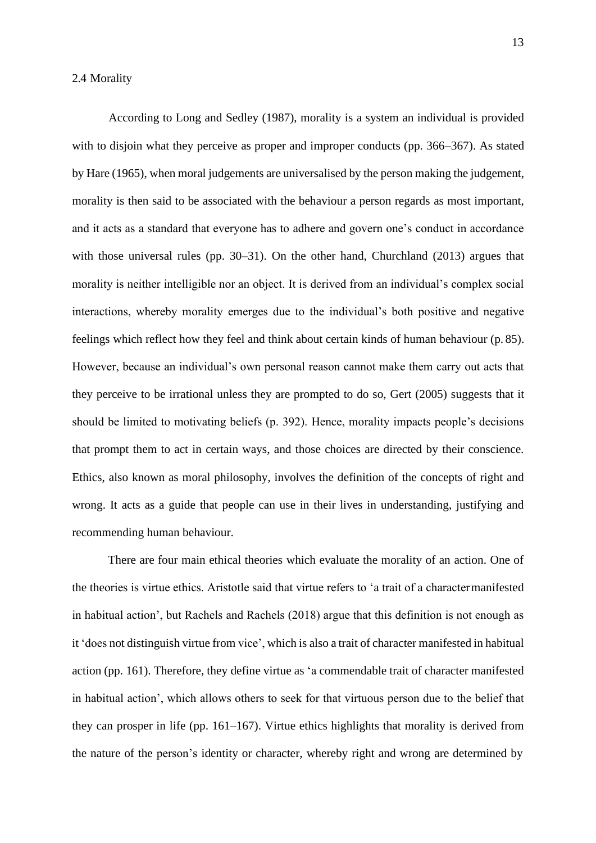According to Long and Sedley (1987), morality is a system an individual is provided with to disjoin what they perceive as proper and improper conducts (pp. 366–367). As stated by Hare (1965), when moral judgements are universalised by the person making the judgement, morality is then said to be associated with the behaviour a person regards as most important, and it acts as a standard that everyone has to adhere and govern one's conduct in accordance with those universal rules (pp. 30–31). On the other hand, Churchland (2013) argues that morality is neither intelligible nor an object. It is derived from an individual's complex social interactions, whereby morality emerges due to the individual's both positive and negative feelings which reflect how they feel and think about certain kinds of human behaviour (p. 85). However, because an individual's own personal reason cannot make them carry out acts that they perceive to be irrational unless they are prompted to do so, Gert (2005) suggests that it should be limited to motivating beliefs (p. 392). Hence, morality impacts people's decisions that prompt them to act in certain ways, and those choices are directed by their conscience. Ethics, also known as moral philosophy, involves the definition of the concepts of right and wrong. It acts as a guide that people can use in their lives in understanding, justifying and recommending human behaviour.

There are four main ethical theories which evaluate the morality of an action. One of the theories is virtue ethics. Aristotle said that virtue refers to 'a trait of a charactermanifested in habitual action', but Rachels and Rachels (2018) argue that this definition is not enough as it 'does not distinguish virtue from vice', which is also a trait of character manifested in habitual action (pp. 161). Therefore, they define virtue as 'a commendable trait of character manifested in habitual action', which allows others to seek for that virtuous person due to the belief that they can prosper in life (pp. 161–167). Virtue ethics highlights that morality is derived from the nature of the person's identity or character, whereby right and wrong are determined by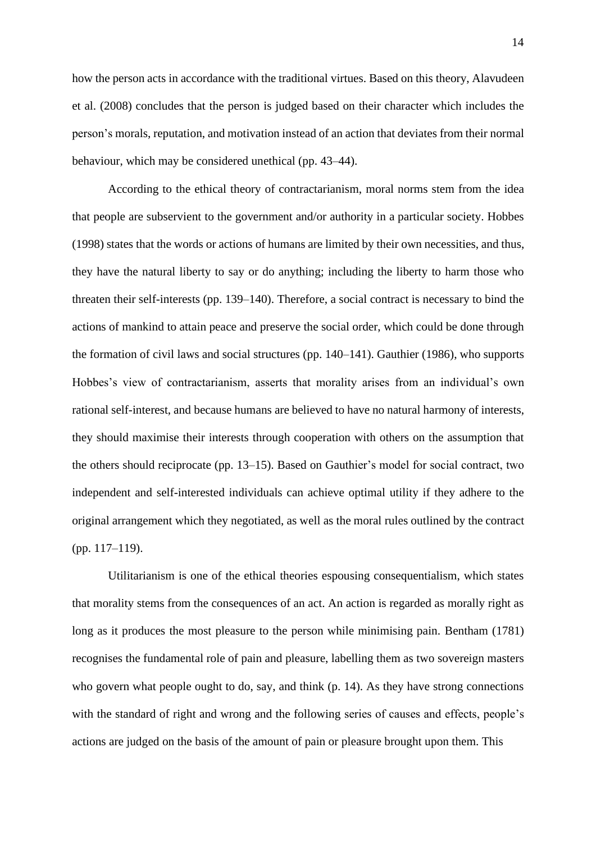how the person acts in accordance with the traditional virtues. Based on this theory, Alavudeen et al. (2008) concludes that the person is judged based on their character which includes the person's morals, reputation, and motivation instead of an action that deviates from their normal behaviour, which may be considered unethical (pp. 43–44).

According to the ethical theory of contractarianism, moral norms stem from the idea that people are subservient to the government and/or authority in a particular society. Hobbes (1998) states that the words or actions of humans are limited by their own necessities, and thus, they have the natural liberty to say or do anything; including the liberty to harm those who threaten their self-interests (pp. 139–140). Therefore, a social contract is necessary to bind the actions of mankind to attain peace and preserve the social order, which could be done through the formation of civil laws and social structures (pp. 140–141). Gauthier (1986), who supports Hobbes's view of contractarianism, asserts that morality arises from an individual's own rational self-interest, and because humans are believed to have no natural harmony of interests, they should maximise their interests through cooperation with others on the assumption that the others should reciprocate (pp. 13–15). Based on Gauthier's model for social contract, two independent and self-interested individuals can achieve optimal utility if they adhere to the original arrangement which they negotiated, as well as the moral rules outlined by the contract (pp. 117–119).

Utilitarianism is one of the ethical theories espousing consequentialism, which states that morality stems from the consequences of an act. An action is regarded as morally right as long as it produces the most pleasure to the person while minimising pain. Bentham (1781) recognises the fundamental role of pain and pleasure, labelling them as two sovereign masters who govern what people ought to do, say, and think (p. 14). As they have strong connections with the standard of right and wrong and the following series of causes and effects, people's actions are judged on the basis of the amount of pain or pleasure brought upon them. This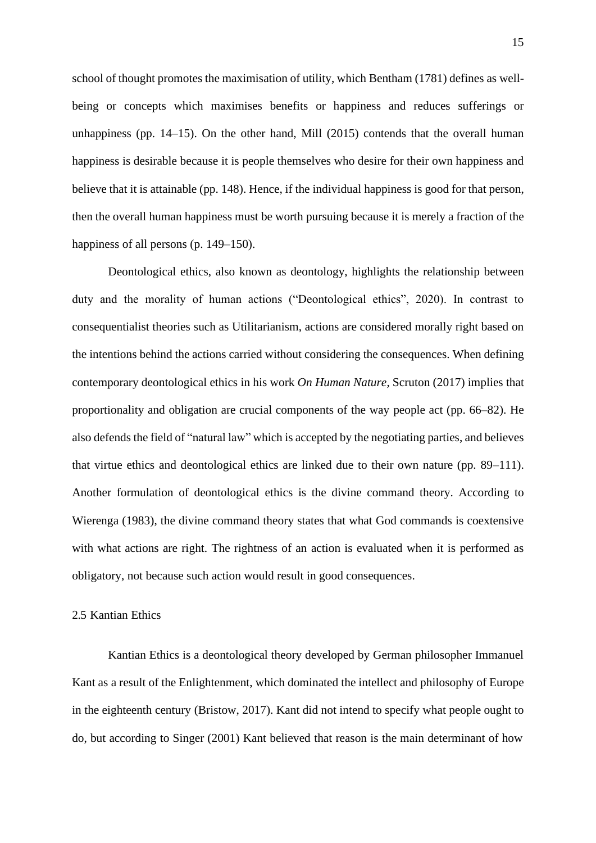school of thought promotes the maximisation of utility, which Bentham (1781) defines as wellbeing or concepts which maximises benefits or happiness and reduces sufferings or unhappiness (pp. 14–15). On the other hand, Mill (2015) contends that the overall human happiness is desirable because it is people themselves who desire for their own happiness and believe that it is attainable (pp. 148). Hence, if the individual happiness is good for that person, then the overall human happiness must be worth pursuing because it is merely a fraction of the happiness of all persons (p. 149–150).

Deontological ethics, also known as deontology, highlights the relationship between duty and the morality of human actions ("Deontological ethics", 2020). In contrast to consequentialist theories such as Utilitarianism, actions are considered morally right based on the intentions behind the actions carried without considering the consequences. When defining contemporary deontological ethics in his work *On Human Nature*, Scruton (2017) implies that proportionality and obligation are crucial components of the way people act (pp. 66–82). He also defends the field of "natural law" which is accepted by the negotiating parties, and believes that virtue ethics and deontological ethics are linked due to their own nature (pp. 89–111). Another formulation of deontological ethics is the divine command theory. According to Wierenga (1983), the divine command theory states that what God commands is coextensive with what actions are right. The rightness of an action is evaluated when it is performed as obligatory, not because such action would result in good consequences.

#### 2.5 Kantian Ethics

Kantian Ethics is a deontological theory developed by German philosopher Immanuel Kant as a result of the Enlightenment, which dominated the intellect and philosophy of Europe in the eighteenth century (Bristow, 2017). Kant did not intend to specify what people ought to do, but according to Singer (2001) Kant believed that reason is the main determinant of how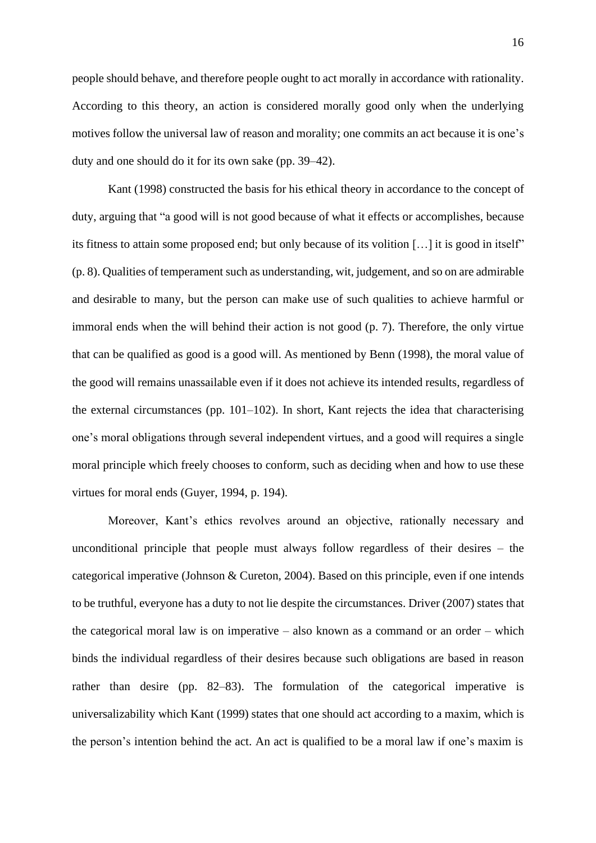people should behave, and therefore people ought to act morally in accordance with rationality. According to this theory, an action is considered morally good only when the underlying motives follow the universal law of reason and morality; one commits an act because it is one's duty and one should do it for its own sake (pp. 39–42).

Kant (1998) constructed the basis for his ethical theory in accordance to the concept of duty, arguing that "a good will is not good because of what it effects or accomplishes, because its fitness to attain some proposed end; but only because of its volition […] it is good in itself" (p. 8). Qualities of temperament such as understanding, wit, judgement, and so on are admirable and desirable to many, but the person can make use of such qualities to achieve harmful or immoral ends when the will behind their action is not good (p. 7). Therefore, the only virtue that can be qualified as good is a good will. As mentioned by Benn (1998), the moral value of the good will remains unassailable even if it does not achieve its intended results, regardless of the external circumstances (pp. 101–102). In short, Kant rejects the idea that characterising one's moral obligations through several independent virtues, and a good will requires a single moral principle which freely chooses to conform, such as deciding when and how to use these virtues for moral ends (Guyer, 1994, p. 194).

Moreover, Kant's ethics revolves around an objective, rationally necessary and unconditional principle that people must always follow regardless of their desires – the categorical imperative (Johnson & Cureton, 2004). Based on this principle, even if one intends to be truthful, everyone has a duty to not lie despite the circumstances. Driver (2007) states that the categorical moral law is on imperative – also known as a command or an order – which binds the individual regardless of their desires because such obligations are based in reason rather than desire (pp. 82–83). The formulation of the categorical imperative is universalizability which Kant (1999) states that one should act according to a maxim, which is the person's intention behind the act. An act is qualified to be a moral law if one's maxim is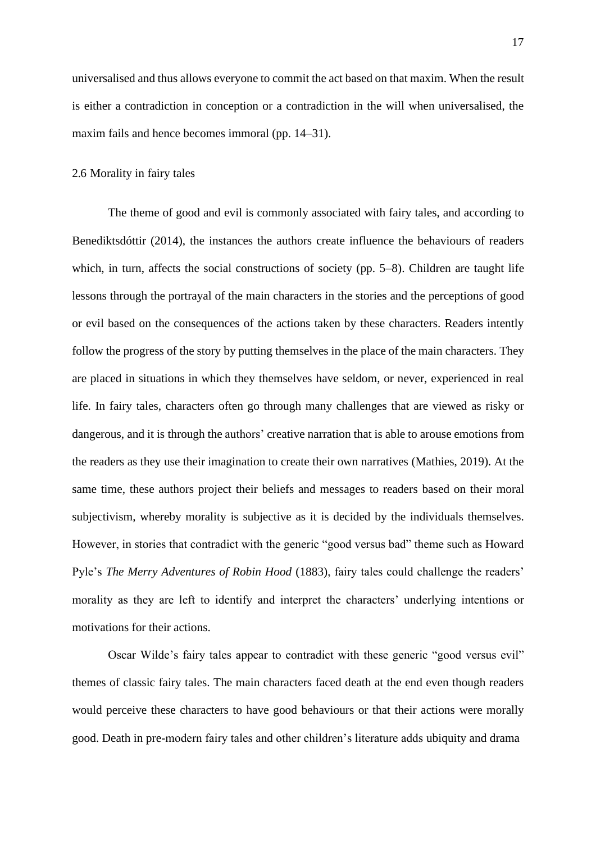universalised and thus allows everyone to commit the act based on that maxim. When the result is either a contradiction in conception or a contradiction in the will when universalised, the maxim fails and hence becomes immoral (pp. 14–31).

#### 2.6 Morality in fairy tales

The theme of good and evil is commonly associated with fairy tales, and according to Benediktsdóttir (2014), the instances the authors create influence the behaviours of readers which, in turn, affects the social constructions of society (pp. 5–8). Children are taught life lessons through the portrayal of the main characters in the stories and the perceptions of good or evil based on the consequences of the actions taken by these characters. Readers intently follow the progress of the story by putting themselves in the place of the main characters. They are placed in situations in which they themselves have seldom, or never, experienced in real life. In fairy tales, characters often go through many challenges that are viewed as risky or dangerous, and it is through the authors' creative narration that is able to arouse emotions from the readers as they use their imagination to create their own narratives (Mathies, 2019). At the same time, these authors project their beliefs and messages to readers based on their moral subjectivism, whereby morality is subjective as it is decided by the individuals themselves. However, in stories that contradict with the generic "good versus bad" theme such as Howard Pyle's *The Merry Adventures of Robin Hood* (1883), fairy tales could challenge the readers' morality as they are left to identify and interpret the characters' underlying intentions or motivations for their actions.

Oscar Wilde's fairy tales appear to contradict with these generic "good versus evil" themes of classic fairy tales. The main characters faced death at the end even though readers would perceive these characters to have good behaviours or that their actions were morally good. Death in pre-modern fairy tales and other children's literature adds ubiquity and drama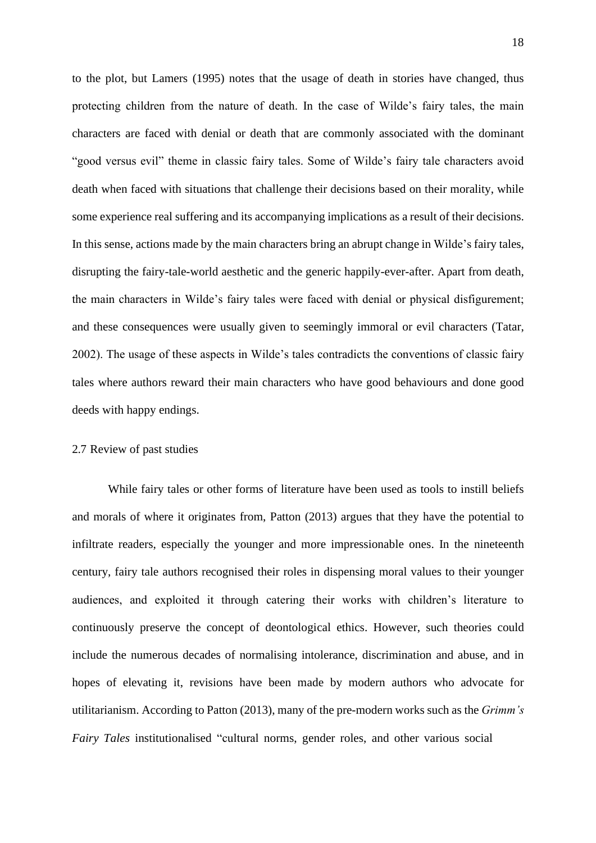to the plot, but Lamers (1995) notes that the usage of death in stories have changed, thus protecting children from the nature of death. In the case of Wilde's fairy tales, the main characters are faced with denial or death that are commonly associated with the dominant "good versus evil" theme in classic fairy tales. Some of Wilde's fairy tale characters avoid death when faced with situations that challenge their decisions based on their morality, while some experience real suffering and its accompanying implications as a result of their decisions. In this sense, actions made by the main characters bring an abrupt change in Wilde's fairy tales, disrupting the fairy-tale-world aesthetic and the generic happily-ever-after. Apart from death, the main characters in Wilde's fairy tales were faced with denial or physical disfigurement; and these consequences were usually given to seemingly immoral or evil characters (Tatar, 2002). The usage of these aspects in Wilde's tales contradicts the conventions of classic fairy tales where authors reward their main characters who have good behaviours and done good deeds with happy endings.

#### 2.7 Review of past studies

While fairy tales or other forms of literature have been used as tools to instill beliefs and morals of where it originates from, Patton (2013) argues that they have the potential to infiltrate readers, especially the younger and more impressionable ones. In the nineteenth century, fairy tale authors recognised their roles in dispensing moral values to their younger audiences, and exploited it through catering their works with children's literature to continuously preserve the concept of deontological ethics. However, such theories could include the numerous decades of normalising intolerance, discrimination and abuse, and in hopes of elevating it, revisions have been made by modern authors who advocate for utilitarianism. According to Patton (2013), many of the pre-modern works such as the *Grimm's Fairy Tales* institutionalised "cultural norms, gender roles, and other various social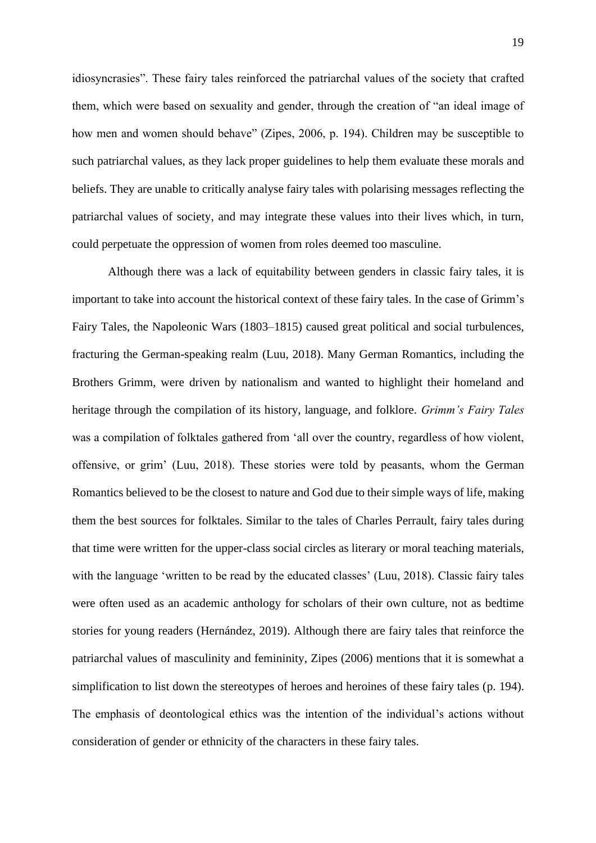idiosyncrasies". These fairy tales reinforced the patriarchal values of the society that crafted them, which were based on sexuality and gender, through the creation of "an ideal image of how men and women should behave" (Zipes, 2006, p. 194). Children may be susceptible to such patriarchal values, as they lack proper guidelines to help them evaluate these morals and beliefs. They are unable to critically analyse fairy tales with polarising messages reflecting the patriarchal values of society, and may integrate these values into their lives which, in turn, could perpetuate the oppression of women from roles deemed too masculine.

Although there was a lack of equitability between genders in classic fairy tales, it is important to take into account the historical context of these fairy tales. In the case of Grimm's Fairy Tales, the Napoleonic Wars (1803–1815) caused great political and social turbulences, fracturing the German-speaking realm (Luu, 2018). Many German Romantics, including the Brothers Grimm, were driven by nationalism and wanted to highlight their homeland and heritage through the compilation of its history, language, and folklore. *Grimm's Fairy Tales*  was a compilation of folktales gathered from 'all over the country, regardless of how violent, offensive, or grim' (Luu, 2018). These stories were told by peasants, whom the German Romantics believed to be the closest to nature and God due to their simple ways of life, making them the best sources for folktales. Similar to the tales of Charles Perrault, fairy tales during that time were written for the upper-class social circles as literary or moral teaching materials, with the language 'written to be read by the educated classes' (Luu, 2018). Classic fairy tales were often used as an academic anthology for scholars of their own culture, not as bedtime stories for young readers (Hernández, 2019). Although there are fairy tales that reinforce the patriarchal values of masculinity and femininity, Zipes (2006) mentions that it is somewhat a simplification to list down the stereotypes of heroes and heroines of these fairy tales (p. 194). The emphasis of deontological ethics was the intention of the individual's actions without consideration of gender or ethnicity of the characters in these fairy tales.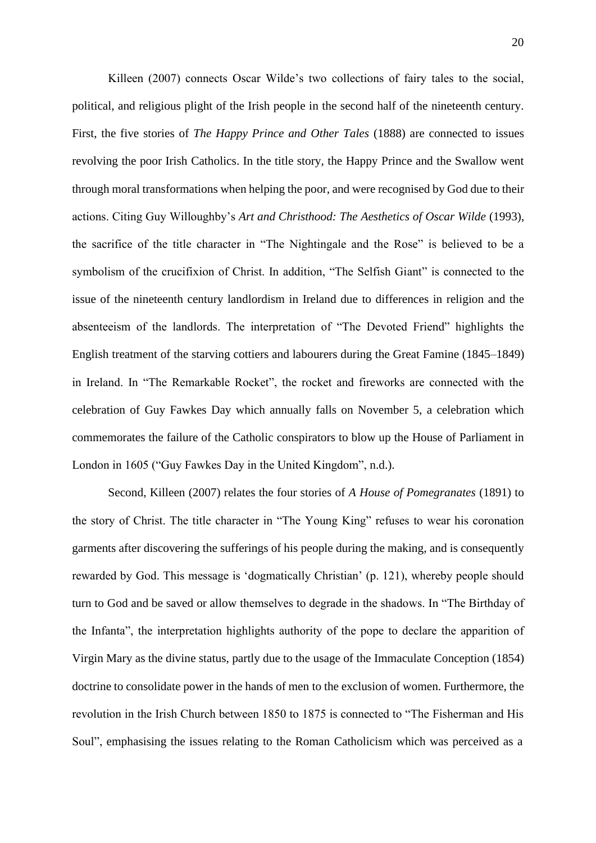Killeen (2007) connects Oscar Wilde's two collections of fairy tales to the social, political, and religious plight of the Irish people in the second half of the nineteenth century. First, the five stories of *The Happy Prince and Other Tales* (1888) are connected to issues revolving the poor Irish Catholics. In the title story, the Happy Prince and the Swallow went through moral transformations when helping the poor, and were recognised by God due to their actions. Citing Guy Willoughby's *Art and Christhood: The Aesthetics of Oscar Wilde* (1993), the sacrifice of the title character in "The Nightingale and the Rose" is believed to be a symbolism of the crucifixion of Christ. In addition, "The Selfish Giant" is connected to the issue of the nineteenth century landlordism in Ireland due to differences in religion and the absenteeism of the landlords. The interpretation of "The Devoted Friend" highlights the English treatment of the starving cottiers and labourers during the Great Famine (1845–1849) in Ireland. In "The Remarkable Rocket", the rocket and fireworks are connected with the celebration of Guy Fawkes Day which annually falls on November 5, a celebration which commemorates the failure of the Catholic conspirators to blow up the House of Parliament in London in 1605 ("Guy Fawkes Day in the United Kingdom", n.d.).

Second, Killeen (2007) relates the four stories of *A House of Pomegranates* (1891) to the story of Christ. The title character in "The Young King" refuses to wear his coronation garments after discovering the sufferings of his people during the making, and is consequently rewarded by God. This message is 'dogmatically Christian' (p. 121), whereby people should turn to God and be saved or allow themselves to degrade in the shadows. In "The Birthday of the Infanta", the interpretation highlights authority of the pope to declare the apparition of Virgin Mary as the divine status, partly due to the usage of the Immaculate Conception (1854) doctrine to consolidate power in the hands of men to the exclusion of women. Furthermore, the revolution in the Irish Church between 1850 to 1875 is connected to "The Fisherman and His Soul", emphasising the issues relating to the Roman Catholicism which was perceived as a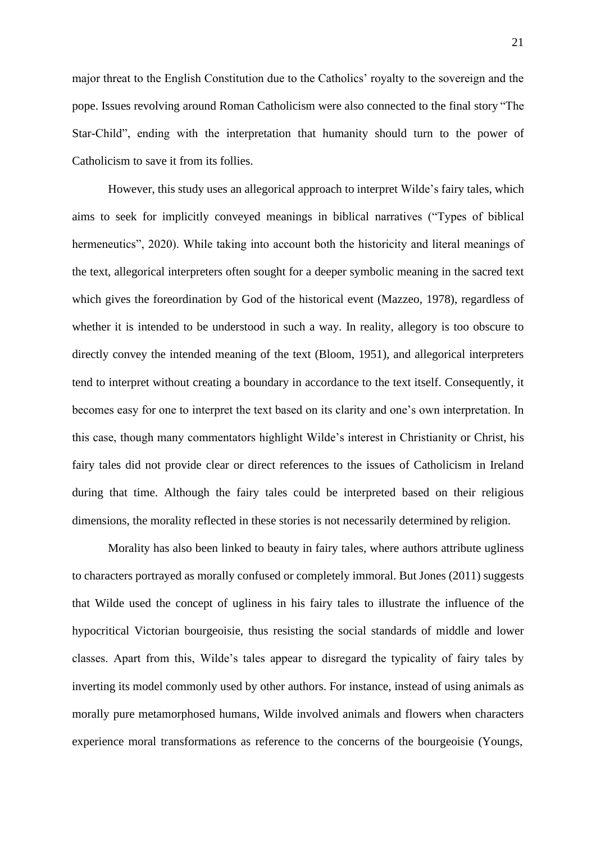major threat to the English Constitution due to the Catholics' royalty to the sovereign and the pope. Issues revolving around Roman Catholicism were also connected to the final story "The Star-Child", ending with the interpretation that humanity should turn to the power of Catholicism to save it from its follies.

However, this study uses an allegorical approach to interpret Wilde's fairy tales, which aims to seek for implicitly conveyed meanings in biblical narratives ("Types of biblical hermeneutics", 2020). While taking into account both the historicity and literal meanings of the text, allegorical interpreters often sought for a deeper symbolic meaning in the sacred text which gives the foreordination by God of the historical event (Mazzeo, 1978), regardless of whether it is intended to be understood in such a way. In reality, allegory is too obscure to directly convey the intended meaning of the text (Bloom, 1951), and allegorical interpreters tend to interpret without creating a boundary in accordance to the text itself. Consequently, it becomes easy for one to interpret the text based on its clarity and one's own interpretation. In this case, though many commentators highlight Wilde's interest in Christianity or Christ, his fairy tales did not provide clear or direct references to the issues of Catholicism in Ireland during that time. Although the fairy tales could be interpreted based on their religious dimensions, the morality reflected in these stories is not necessarily determined by religion.

Morality has also been linked to beauty in fairy tales, where authors attribute ugliness to characters portrayed as morally confused or completely immoral. But Jones (2011) suggests that Wilde used the concept of ugliness in his fairy tales to illustrate the influence of the hypocritical Victorian bourgeoisie, thus resisting the social standards of middle and lower classes. Apart from this, Wilde's tales appear to disregard the typicality of fairy tales by inverting its model commonly used by other authors. For instance, instead of using animals as morally pure metamorphosed humans, Wilde involved animals and flowers when characters experience moral transformations as reference to the concerns of the bourgeoisie (Youngs,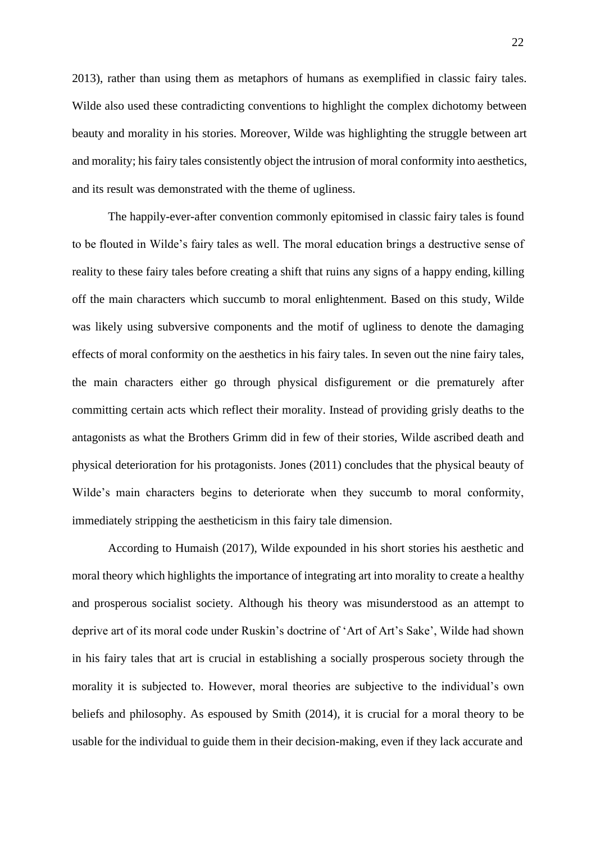2013), rather than using them as metaphors of humans as exemplified in classic fairy tales. Wilde also used these contradicting conventions to highlight the complex dichotomy between beauty and morality in his stories. Moreover, Wilde was highlighting the struggle between art and morality; his fairy tales consistently object the intrusion of moral conformity into aesthetics, and its result was demonstrated with the theme of ugliness.

The happily-ever-after convention commonly epitomised in classic fairy tales is found to be flouted in Wilde's fairy tales as well. The moral education brings a destructive sense of reality to these fairy tales before creating a shift that ruins any signs of a happy ending, killing off the main characters which succumb to moral enlightenment. Based on this study, Wilde was likely using subversive components and the motif of ugliness to denote the damaging effects of moral conformity on the aesthetics in his fairy tales. In seven out the nine fairy tales, the main characters either go through physical disfigurement or die prematurely after committing certain acts which reflect their morality. Instead of providing grisly deaths to the antagonists as what the Brothers Grimm did in few of their stories, Wilde ascribed death and physical deterioration for his protagonists. Jones (2011) concludes that the physical beauty of Wilde's main characters begins to deteriorate when they succumb to moral conformity, immediately stripping the aestheticism in this fairy tale dimension.

According to Humaish (2017), Wilde expounded in his short stories his aesthetic and moral theory which highlights the importance of integrating art into morality to create a healthy and prosperous socialist society. Although his theory was misunderstood as an attempt to deprive art of its moral code under Ruskin's doctrine of 'Art of Art's Sake', Wilde had shown in his fairy tales that art is crucial in establishing a socially prosperous society through the morality it is subjected to. However, moral theories are subjective to the individual's own beliefs and philosophy. As espoused by Smith (2014), it is crucial for a moral theory to be usable for the individual to guide them in their decision-making, even if they lack accurate and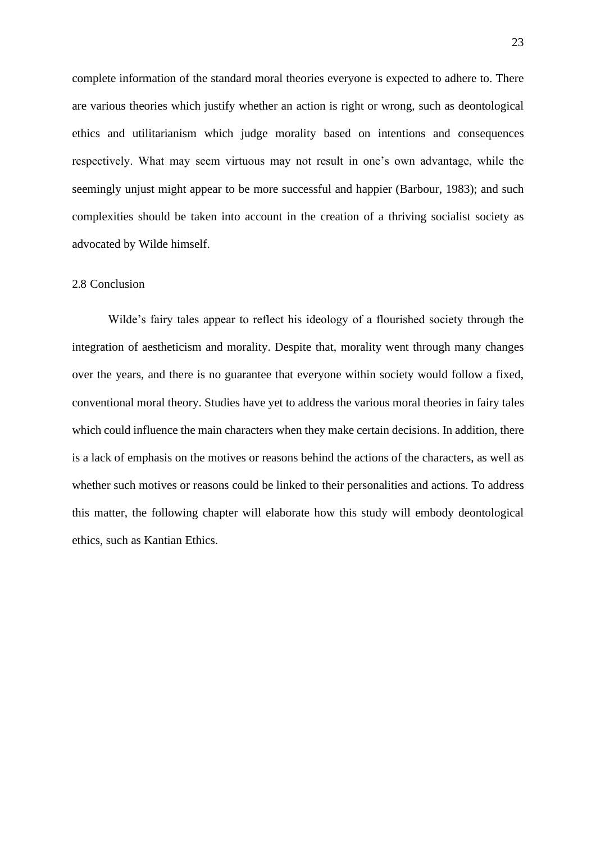complete information of the standard moral theories everyone is expected to adhere to. There are various theories which justify whether an action is right or wrong, such as deontological ethics and utilitarianism which judge morality based on intentions and consequences respectively. What may seem virtuous may not result in one's own advantage, while the seemingly unjust might appear to be more successful and happier (Barbour, 1983); and such complexities should be taken into account in the creation of a thriving socialist society as advocated by Wilde himself.

### 2.8 Conclusion

Wilde's fairy tales appear to reflect his ideology of a flourished society through the integration of aestheticism and morality. Despite that, morality went through many changes over the years, and there is no guarantee that everyone within society would follow a fixed, conventional moral theory. Studies have yet to address the various moral theories in fairy tales which could influence the main characters when they make certain decisions. In addition, there is a lack of emphasis on the motives or reasons behind the actions of the characters, as well as whether such motives or reasons could be linked to their personalities and actions. To address this matter, the following chapter will elaborate how this study will embody deontological ethics, such as Kantian Ethics.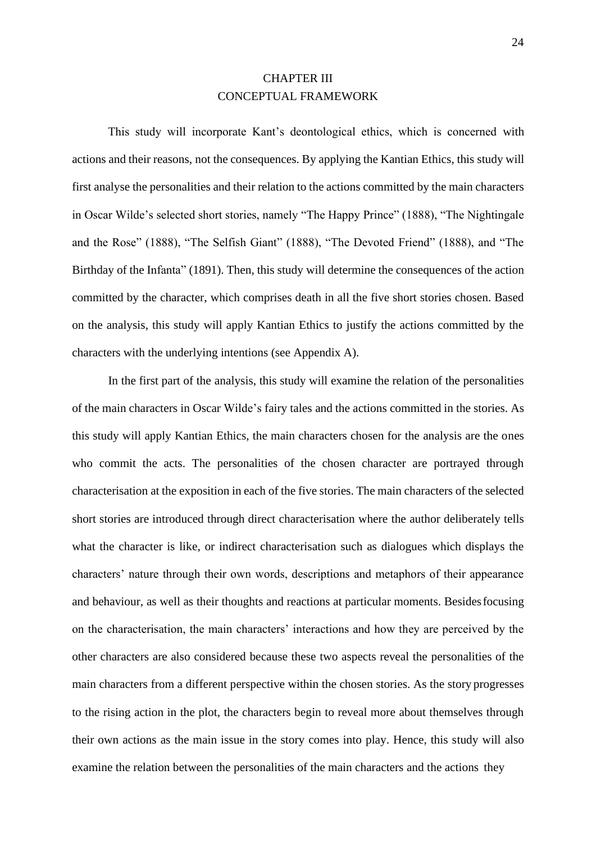## CHAPTER III CONCEPTUAL FRAMEWORK

This study will incorporate Kant's deontological ethics, which is concerned with actions and their reasons, not the consequences. By applying the Kantian Ethics, this study will first analyse the personalities and their relation to the actions committed by the main characters in Oscar Wilde's selected short stories, namely "The Happy Prince" (1888), "The Nightingale and the Rose" (1888), "The Selfish Giant" (1888), "The Devoted Friend" (1888), and "The Birthday of the Infanta" (1891). Then, this study will determine the consequences of the action committed by the character, which comprises death in all the five short stories chosen. Based on the analysis, this study will apply Kantian Ethics to justify the actions committed by the characters with the underlying intentions (see Appendix A).

In the first part of the analysis, this study will examine the relation of the personalities of the main characters in Oscar Wilde's fairy tales and the actions committed in the stories. As this study will apply Kantian Ethics, the main characters chosen for the analysis are the ones who commit the acts. The personalities of the chosen character are portrayed through characterisation at the exposition in each of the five stories. The main characters of the selected short stories are introduced through direct characterisation where the author deliberately tells what the character is like, or indirect characterisation such as dialogues which displays the characters' nature through their own words, descriptions and metaphors of their appearance and behaviour, as well as their thoughts and reactions at particular moments. Besidesfocusing on the characterisation, the main characters' interactions and how they are perceived by the other characters are also considered because these two aspects reveal the personalities of the main characters from a different perspective within the chosen stories. As the story progresses to the rising action in the plot, the characters begin to reveal more about themselves through their own actions as the main issue in the story comes into play. Hence, this study will also examine the relation between the personalities of the main characters and the actions they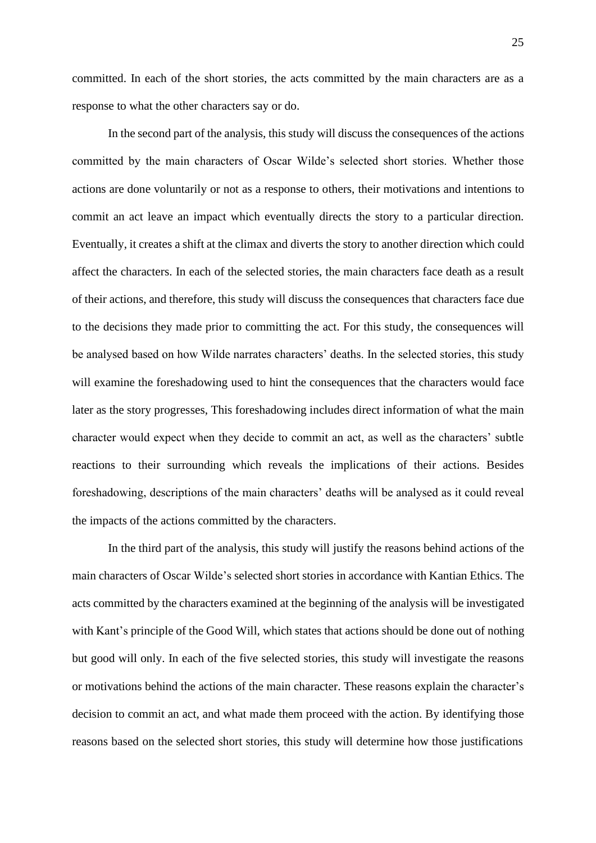committed. In each of the short stories, the acts committed by the main characters are as a response to what the other characters say or do.

In the second part of the analysis, this study will discuss the consequences of the actions committed by the main characters of Oscar Wilde's selected short stories. Whether those actions are done voluntarily or not as a response to others, their motivations and intentions to commit an act leave an impact which eventually directs the story to a particular direction. Eventually, it creates a shift at the climax and diverts the story to another direction which could affect the characters. In each of the selected stories, the main characters face death as a result of their actions, and therefore, this study will discuss the consequences that characters face due to the decisions they made prior to committing the act. For this study, the consequences will be analysed based on how Wilde narrates characters' deaths. In the selected stories, this study will examine the foreshadowing used to hint the consequences that the characters would face later as the story progresses, This foreshadowing includes direct information of what the main character would expect when they decide to commit an act, as well as the characters' subtle reactions to their surrounding which reveals the implications of their actions. Besides foreshadowing, descriptions of the main characters' deaths will be analysed as it could reveal the impacts of the actions committed by the characters.

In the third part of the analysis, this study will justify the reasons behind actions of the main characters of Oscar Wilde's selected short stories in accordance with Kantian Ethics. The acts committed by the characters examined at the beginning of the analysis will be investigated with Kant's principle of the Good Will, which states that actions should be done out of nothing but good will only. In each of the five selected stories, this study will investigate the reasons or motivations behind the actions of the main character. These reasons explain the character's decision to commit an act, and what made them proceed with the action. By identifying those reasons based on the selected short stories, this study will determine how those justifications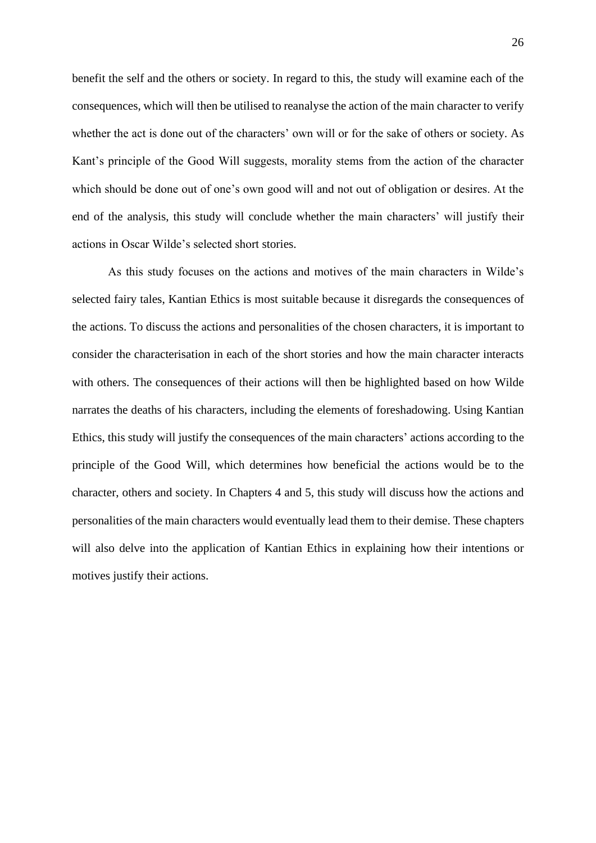benefit the self and the others or society. In regard to this, the study will examine each of the consequences, which will then be utilised to reanalyse the action of the main character to verify whether the act is done out of the characters' own will or for the sake of others or society. As Kant's principle of the Good Will suggests, morality stems from the action of the character which should be done out of one's own good will and not out of obligation or desires. At the end of the analysis, this study will conclude whether the main characters' will justify their actions in Oscar Wilde's selected short stories.

As this study focuses on the actions and motives of the main characters in Wilde's selected fairy tales, Kantian Ethics is most suitable because it disregards the consequences of the actions. To discuss the actions and personalities of the chosen characters, it is important to consider the characterisation in each of the short stories and how the main character interacts with others. The consequences of their actions will then be highlighted based on how Wilde narrates the deaths of his characters, including the elements of foreshadowing. Using Kantian Ethics, this study will justify the consequences of the main characters' actions according to the principle of the Good Will, which determines how beneficial the actions would be to the character, others and society. In Chapters 4 and 5, this study will discuss how the actions and personalities of the main characters would eventually lead them to their demise. These chapters will also delve into the application of Kantian Ethics in explaining how their intentions or motives justify their actions.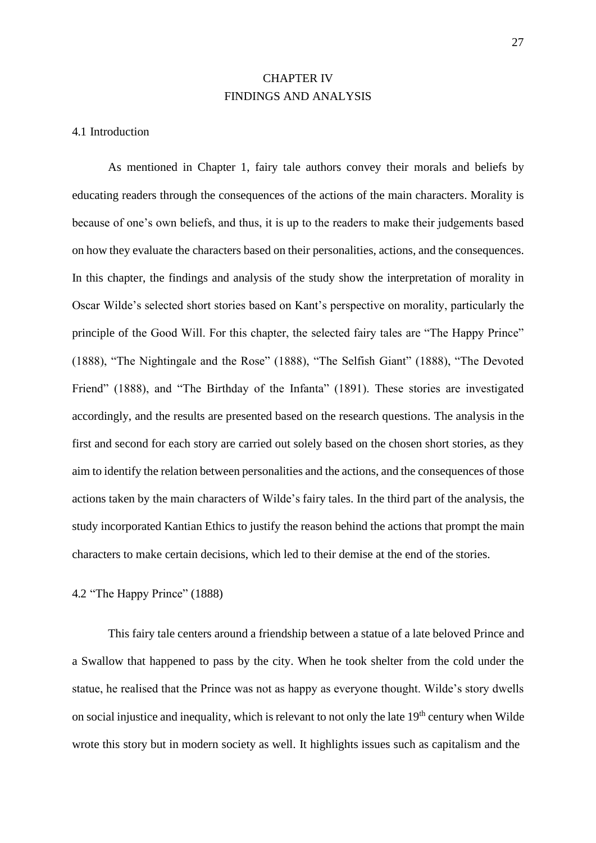## CHAPTER IV FINDINGS AND ANALYSIS

#### 4.1 Introduction

As mentioned in Chapter 1, fairy tale authors convey their morals and beliefs by educating readers through the consequences of the actions of the main characters. Morality is because of one's own beliefs, and thus, it is up to the readers to make their judgements based on how they evaluate the characters based on their personalities, actions, and the consequences. In this chapter, the findings and analysis of the study show the interpretation of morality in Oscar Wilde's selected short stories based on Kant's perspective on morality, particularly the principle of the Good Will. For this chapter, the selected fairy tales are "The Happy Prince" (1888), "The Nightingale and the Rose" (1888), "The Selfish Giant" (1888), "The Devoted Friend" (1888), and "The Birthday of the Infanta" (1891). These stories are investigated accordingly, and the results are presented based on the research questions. The analysis in the first and second for each story are carried out solely based on the chosen short stories, as they aim to identify the relation between personalities and the actions, and the consequences of those actions taken by the main characters of Wilde's fairy tales. In the third part of the analysis, the study incorporated Kantian Ethics to justify the reason behind the actions that prompt the main characters to make certain decisions, which led to their demise at the end of the stories.

4.2 "The Happy Prince" (1888)

This fairy tale centers around a friendship between a statue of a late beloved Prince and a Swallow that happened to pass by the city. When he took shelter from the cold under the statue, he realised that the Prince was not as happy as everyone thought. Wilde's story dwells on social injustice and inequality, which is relevant to not only the late  $19<sup>th</sup>$  century when Wilde wrote this story but in modern society as well. It highlights issues such as capitalism and the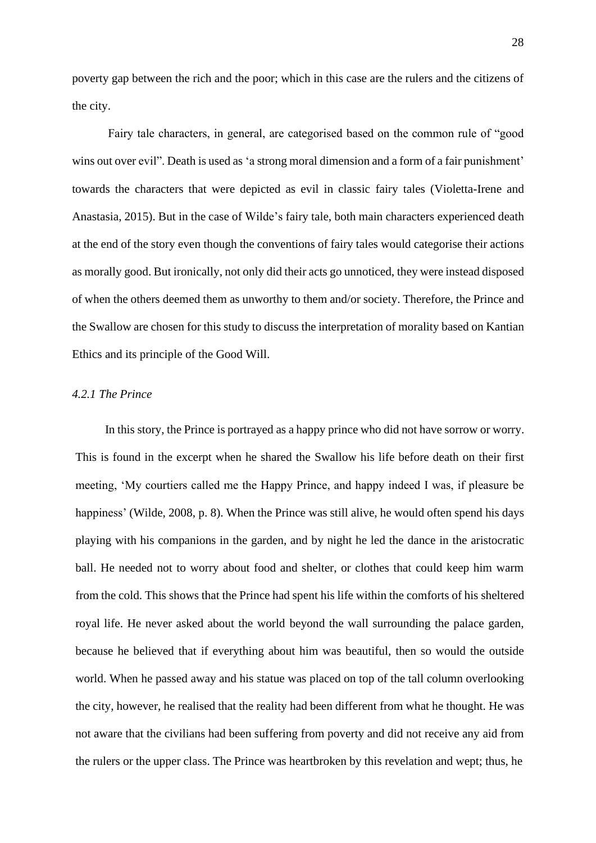poverty gap between the rich and the poor; which in this case are the rulers and the citizens of the city.

Fairy tale characters, in general, are categorised based on the common rule of "good wins out over evil". Death is used as 'a strong moral dimension and a form of a fair punishment' towards the characters that were depicted as evil in classic fairy tales (Violetta-Irene and Anastasia, 2015). But in the case of Wilde's fairy tale, both main characters experienced death at the end of the story even though the conventions of fairy tales would categorise their actions as morally good. But ironically, not only did their acts go unnoticed, they were instead disposed of when the others deemed them as unworthy to them and/or society. Therefore, the Prince and the Swallow are chosen for this study to discuss the interpretation of morality based on Kantian Ethics and its principle of the Good Will.

#### *4.2.1 The Prince*

In this story, the Prince is portrayed as a happy prince who did not have sorrow or worry. This is found in the excerpt when he shared the Swallow his life before death on their first meeting, 'My courtiers called me the Happy Prince, and happy indeed I was, if pleasure be happiness' (Wilde, 2008, p. 8). When the Prince was still alive, he would often spend his days playing with his companions in the garden, and by night he led the dance in the aristocratic ball. He needed not to worry about food and shelter, or clothes that could keep him warm from the cold. This shows that the Prince had spent his life within the comforts of his sheltered royal life. He never asked about the world beyond the wall surrounding the palace garden, because he believed that if everything about him was beautiful, then so would the outside world. When he passed away and his statue was placed on top of the tall column overlooking the city, however, he realised that the reality had been different from what he thought. He was not aware that the civilians had been suffering from poverty and did not receive any aid from the rulers or the upper class. The Prince was heartbroken by this revelation and wept; thus, he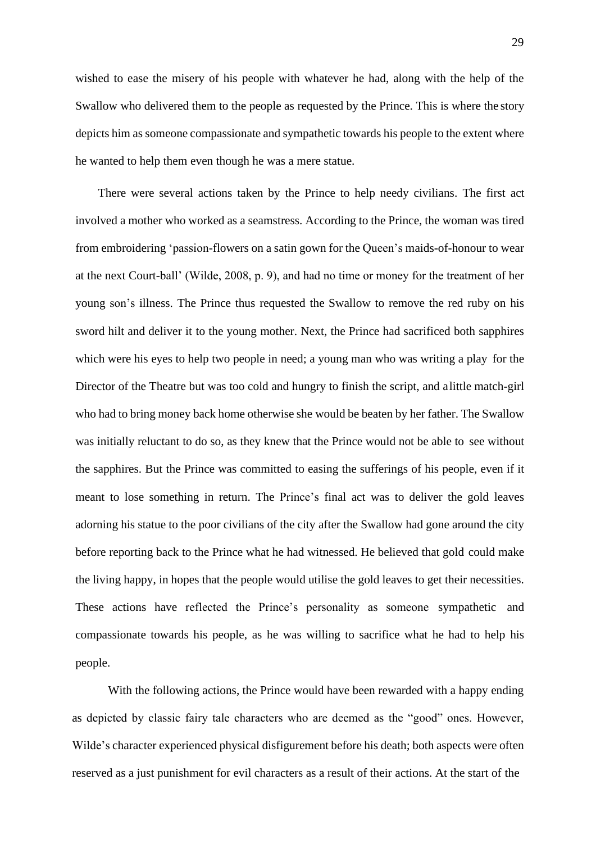wished to ease the misery of his people with whatever he had, along with the help of the Swallow who delivered them to the people as requested by the Prince. This is where the story depicts him as someone compassionate and sympathetic towards his people to the extent where he wanted to help them even though he was a mere statue.

There were several actions taken by the Prince to help needy civilians. The first act involved a mother who worked as a seamstress. According to the Prince, the woman was tired from embroidering 'passion-flowers on a satin gown for the Queen's maids-of-honour to wear at the next Court-ball' (Wilde, 2008, p. 9), and had no time or money for the treatment of her young son's illness. The Prince thus requested the Swallow to remove the red ruby on his sword hilt and deliver it to the young mother. Next, the Prince had sacrificed both sapphires which were his eyes to help two people in need; a young man who was writing a play for the Director of the Theatre but was too cold and hungry to finish the script, and alittle match-girl who had to bring money back home otherwise she would be beaten by her father. The Swallow was initially reluctant to do so, as they knew that the Prince would not be able to see without the sapphires. But the Prince was committed to easing the sufferings of his people, even if it meant to lose something in return. The Prince's final act was to deliver the gold leaves adorning his statue to the poor civilians of the city after the Swallow had gone around the city before reporting back to the Prince what he had witnessed. He believed that gold could make the living happy, in hopes that the people would utilise the gold leaves to get their necessities. These actions have reflected the Prince's personality as someone sympathetic and compassionate towards his people, as he was willing to sacrifice what he had to help his people.

With the following actions, the Prince would have been rewarded with a happy ending as depicted by classic fairy tale characters who are deemed as the "good" ones. However, Wilde's character experienced physical disfigurement before his death; both aspects were often reserved as a just punishment for evil characters as a result of their actions. At the start of the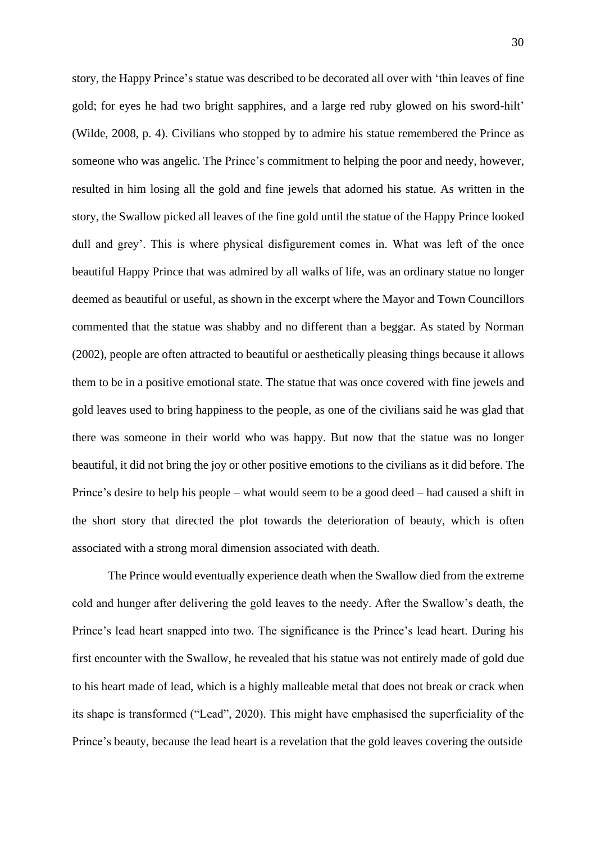story, the Happy Prince's statue was described to be decorated all over with 'thin leaves of fine gold; for eyes he had two bright sapphires, and a large red ruby glowed on his sword-hilt' (Wilde, 2008, p. 4). Civilians who stopped by to admire his statue remembered the Prince as someone who was angelic. The Prince's commitment to helping the poor and needy, however, resulted in him losing all the gold and fine jewels that adorned his statue. As written in the story, the Swallow picked all leaves of the fine gold until the statue of the Happy Prince looked dull and grey'. This is where physical disfigurement comes in. What was left of the once beautiful Happy Prince that was admired by all walks of life, was an ordinary statue no longer deemed as beautiful or useful, as shown in the excerpt where the Mayor and Town Councillors commented that the statue was shabby and no different than a beggar. As stated by Norman (2002), people are often attracted to beautiful or aesthetically pleasing things because it allows them to be in a positive emotional state. The statue that was once covered with fine jewels and gold leaves used to bring happiness to the people, as one of the civilians said he was glad that there was someone in their world who was happy. But now that the statue was no longer beautiful, it did not bring the joy or other positive emotions to the civilians as it did before. The Prince's desire to help his people – what would seem to be a good deed – had caused a shift in the short story that directed the plot towards the deterioration of beauty, which is often associated with a strong moral dimension associated with death.

The Prince would eventually experience death when the Swallow died from the extreme cold and hunger after delivering the gold leaves to the needy. After the Swallow's death, the Prince's lead heart snapped into two. The significance is the Prince's lead heart. During his first encounter with the Swallow, he revealed that his statue was not entirely made of gold due to his heart made of lead, which is a highly malleable metal that does not break or crack when its shape is transformed ("Lead", 2020). This might have emphasised the superficiality of the Prince's beauty, because the lead heart is a revelation that the gold leaves covering the outside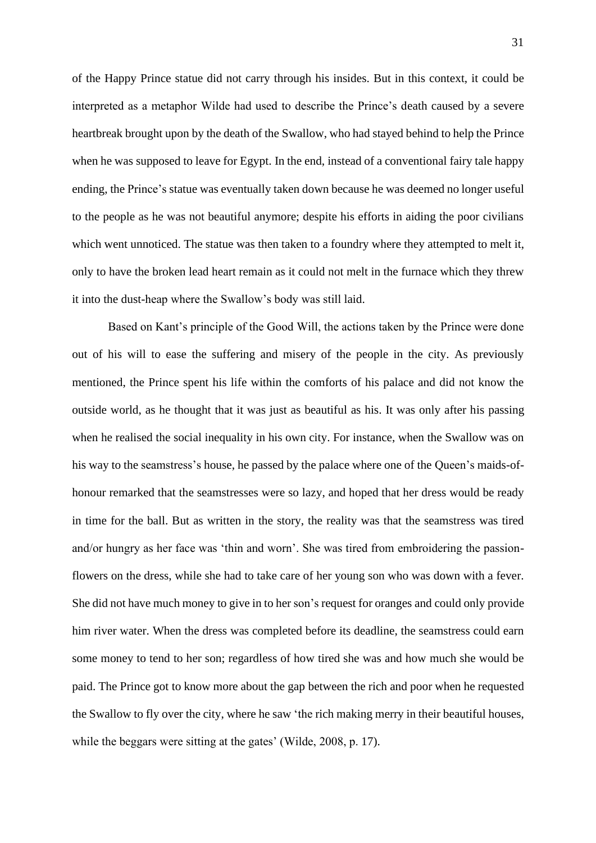of the Happy Prince statue did not carry through his insides. But in this context, it could be interpreted as a metaphor Wilde had used to describe the Prince's death caused by a severe heartbreak brought upon by the death of the Swallow, who had stayed behind to help the Prince when he was supposed to leave for Egypt. In the end, instead of a conventional fairy tale happy ending, the Prince's statue was eventually taken down because he was deemed no longer useful to the people as he was not beautiful anymore; despite his efforts in aiding the poor civilians which went unnoticed. The statue was then taken to a foundry where they attempted to melt it, only to have the broken lead heart remain as it could not melt in the furnace which they threw it into the dust-heap where the Swallow's body was still laid.

Based on Kant's principle of the Good Will, the actions taken by the Prince were done out of his will to ease the suffering and misery of the people in the city. As previously mentioned, the Prince spent his life within the comforts of his palace and did not know the outside world, as he thought that it was just as beautiful as his. It was only after his passing when he realised the social inequality in his own city. For instance, when the Swallow was on his way to the seamstress's house, he passed by the palace where one of the Queen's maids-ofhonour remarked that the seamstresses were so lazy, and hoped that her dress would be ready in time for the ball. But as written in the story, the reality was that the seamstress was tired and/or hungry as her face was 'thin and worn'. She was tired from embroidering the passionflowers on the dress, while she had to take care of her young son who was down with a fever. She did not have much money to give in to her son's request for oranges and could only provide him river water. When the dress was completed before its deadline, the seamstress could earn some money to tend to her son; regardless of how tired she was and how much she would be paid. The Prince got to know more about the gap between the rich and poor when he requested the Swallow to fly over the city, where he saw 'the rich making merry in their beautiful houses, while the beggars were sitting at the gates' (Wilde, 2008, p. 17).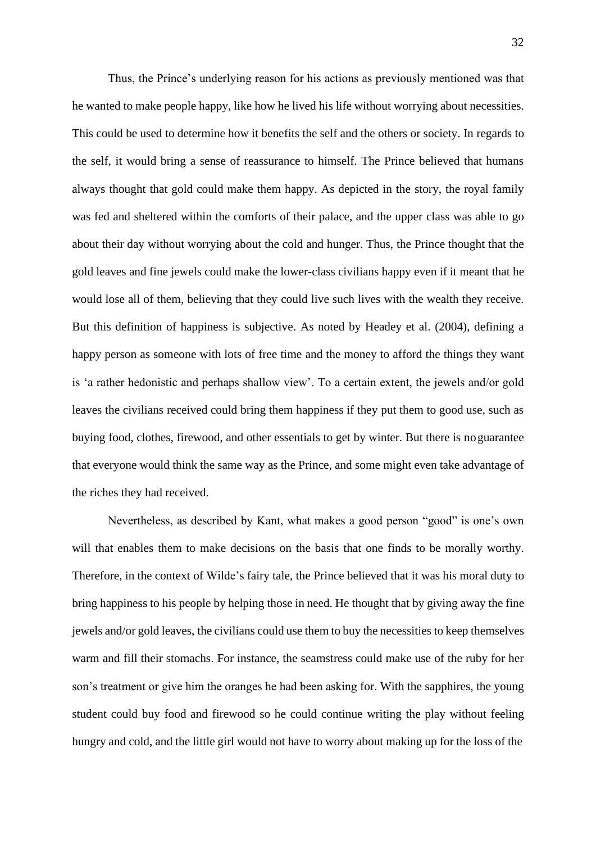Thus, the Prince's underlying reason for his actions as previously mentioned was that he wanted to make people happy, like how he lived his life without worrying about necessities. This could be used to determine how it benefits the self and the others or society. In regards to the self, it would bring a sense of reassurance to himself. The Prince believed that humans always thought that gold could make them happy. As depicted in the story, the royal family was fed and sheltered within the comforts of their palace, and the upper class was able to go about their day without worrying about the cold and hunger. Thus, the Prince thought that the gold leaves and fine jewels could make the lower-class civilians happy even if it meant that he would lose all of them, believing that they could live such lives with the wealth they receive. But this definition of happiness is subjective. As noted by Headey et al. (2004), defining a happy person as someone with lots of free time and the money to afford the things they want is 'a rather hedonistic and perhaps shallow view'. To a certain extent, the jewels and/or gold leaves the civilians received could bring them happiness if they put them to good use, such as buying food, clothes, firewood, and other essentials to get by winter. But there is noguarantee that everyone would think the same way as the Prince, and some might even take advantage of the riches they had received.

Nevertheless, as described by Kant, what makes a good person "good" is one's own will that enables them to make decisions on the basis that one finds to be morally worthy. Therefore, in the context of Wilde's fairy tale, the Prince believed that it was his moral duty to bring happiness to his people by helping those in need. He thought that by giving away the fine jewels and/or gold leaves, the civilians could use them to buy the necessities to keep themselves warm and fill their stomachs. For instance, the seamstress could make use of the ruby for her son's treatment or give him the oranges he had been asking for. With the sapphires, the young student could buy food and firewood so he could continue writing the play without feeling hungry and cold, and the little girl would not have to worry about making up for the loss of the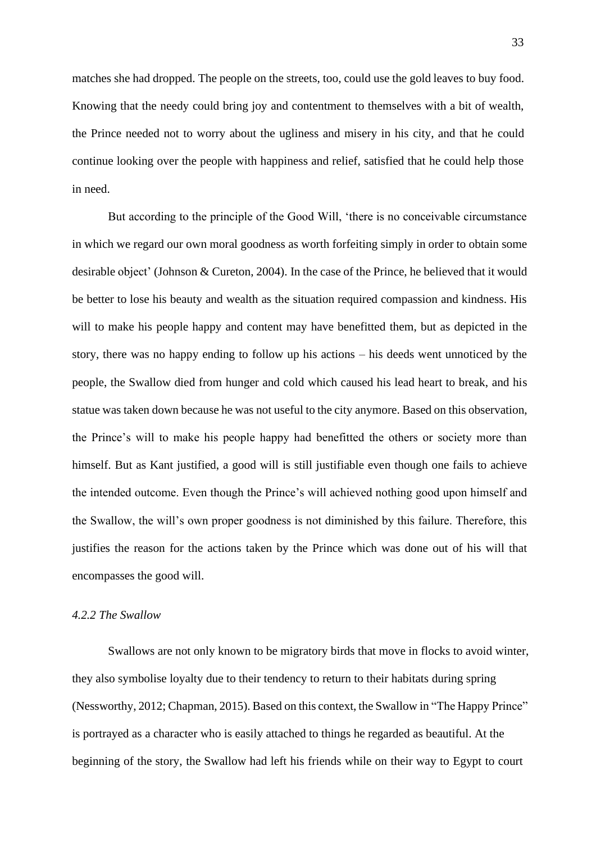matches she had dropped. The people on the streets, too, could use the gold leaves to buy food. Knowing that the needy could bring joy and contentment to themselves with a bit of wealth, the Prince needed not to worry about the ugliness and misery in his city, and that he could continue looking over the people with happiness and relief, satisfied that he could help those in need.

But according to the principle of the Good Will, 'there is no conceivable circumstance in which we regard our own moral goodness as worth forfeiting simply in order to obtain some desirable object' (Johnson & Cureton, 2004). In the case of the Prince, he believed that it would be better to lose his beauty and wealth as the situation required compassion and kindness. His will to make his people happy and content may have benefitted them, but as depicted in the story, there was no happy ending to follow up his actions – his deeds went unnoticed by the people, the Swallow died from hunger and cold which caused his lead heart to break, and his statue was taken down because he was not useful to the city anymore. Based on this observation, the Prince's will to make his people happy had benefitted the others or society more than himself. But as Kant justified, a good will is still justifiable even though one fails to achieve the intended outcome. Even though the Prince's will achieved nothing good upon himself and the Swallow, the will's own proper goodness is not diminished by this failure. Therefore, this justifies the reason for the actions taken by the Prince which was done out of his will that encompasses the good will.

#### *4.2.2 The Swallow*

Swallows are not only known to be migratory birds that move in flocks to avoid winter, they also symbolise loyalty due to their tendency to return to their habitats during spring (Nessworthy, 2012; Chapman, 2015). Based on this context, the Swallow in "The Happy Prince" is portrayed as a character who is easily attached to things he regarded as beautiful. At the beginning of the story, the Swallow had left his friends while on their way to Egypt to court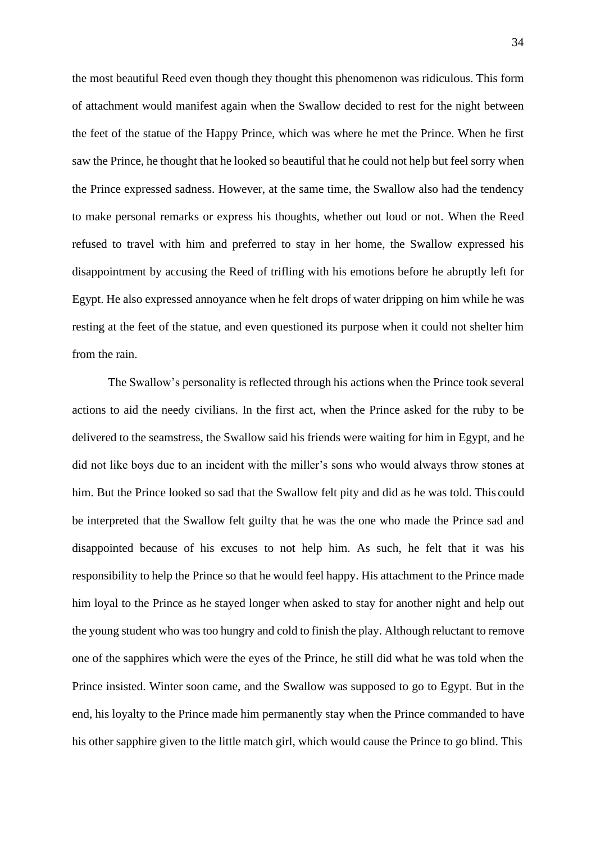the most beautiful Reed even though they thought this phenomenon was ridiculous. This form of attachment would manifest again when the Swallow decided to rest for the night between the feet of the statue of the Happy Prince, which was where he met the Prince. When he first saw the Prince, he thought that he looked so beautiful that he could not help but feel sorry when the Prince expressed sadness. However, at the same time, the Swallow also had the tendency to make personal remarks or express his thoughts, whether out loud or not. When the Reed refused to travel with him and preferred to stay in her home, the Swallow expressed his disappointment by accusing the Reed of trifling with his emotions before he abruptly left for Egypt. He also expressed annoyance when he felt drops of water dripping on him while he was resting at the feet of the statue, and even questioned its purpose when it could not shelter him from the rain.

The Swallow's personality is reflected through his actions when the Prince took several actions to aid the needy civilians. In the first act, when the Prince asked for the ruby to be delivered to the seamstress, the Swallow said his friends were waiting for him in Egypt, and he did not like boys due to an incident with the miller's sons who would always throw stones at him. But the Prince looked so sad that the Swallow felt pity and did as he was told. This could be interpreted that the Swallow felt guilty that he was the one who made the Prince sad and disappointed because of his excuses to not help him. As such, he felt that it was his responsibility to help the Prince so that he would feel happy. His attachment to the Prince made him loyal to the Prince as he stayed longer when asked to stay for another night and help out the young student who was too hungry and cold to finish the play. Although reluctant to remove one of the sapphires which were the eyes of the Prince, he still did what he was told when the Prince insisted. Winter soon came, and the Swallow was supposed to go to Egypt. But in the end, his loyalty to the Prince made him permanently stay when the Prince commanded to have his other sapphire given to the little match girl, which would cause the Prince to go blind. This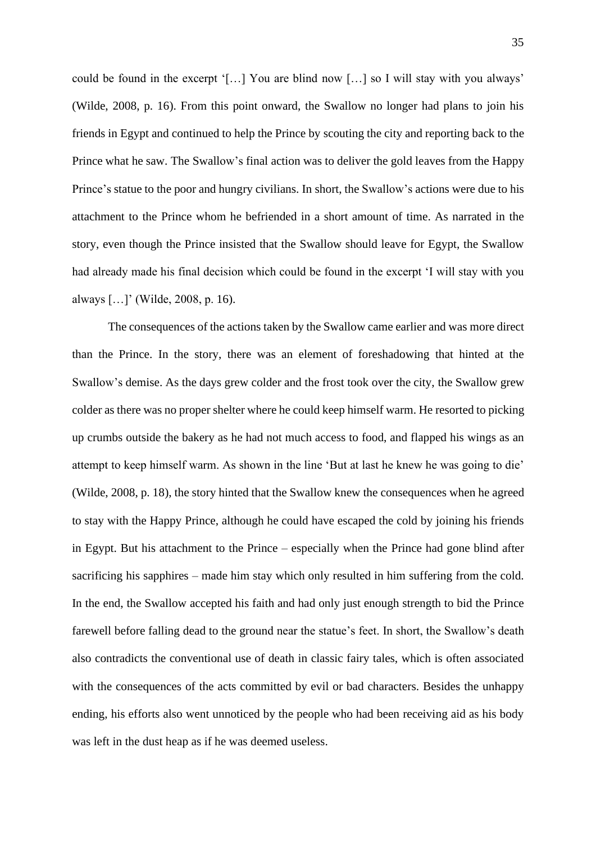could be found in the excerpt '[…] You are blind now […] so I will stay with you always' (Wilde, 2008, p. 16). From this point onward, the Swallow no longer had plans to join his friends in Egypt and continued to help the Prince by scouting the city and reporting back to the Prince what he saw. The Swallow's final action was to deliver the gold leaves from the Happy Prince's statue to the poor and hungry civilians. In short, the Swallow's actions were due to his attachment to the Prince whom he befriended in a short amount of time. As narrated in the story, even though the Prince insisted that the Swallow should leave for Egypt, the Swallow had already made his final decision which could be found in the excerpt 'I will stay with you always […]' (Wilde, 2008, p. 16).

The consequences of the actions taken by the Swallow came earlier and was more direct than the Prince. In the story, there was an element of foreshadowing that hinted at the Swallow's demise. As the days grew colder and the frost took over the city, the Swallow grew colder as there was no proper shelter where he could keep himself warm. He resorted to picking up crumbs outside the bakery as he had not much access to food, and flapped his wings as an attempt to keep himself warm. As shown in the line 'But at last he knew he was going to die' (Wilde, 2008, p. 18), the story hinted that the Swallow knew the consequences when he agreed to stay with the Happy Prince, although he could have escaped the cold by joining his friends in Egypt. But his attachment to the Prince – especially when the Prince had gone blind after sacrificing his sapphires – made him stay which only resulted in him suffering from the cold. In the end, the Swallow accepted his faith and had only just enough strength to bid the Prince farewell before falling dead to the ground near the statue's feet. In short, the Swallow's death also contradicts the conventional use of death in classic fairy tales, which is often associated with the consequences of the acts committed by evil or bad characters. Besides the unhappy ending, his efforts also went unnoticed by the people who had been receiving aid as his body was left in the dust heap as if he was deemed useless.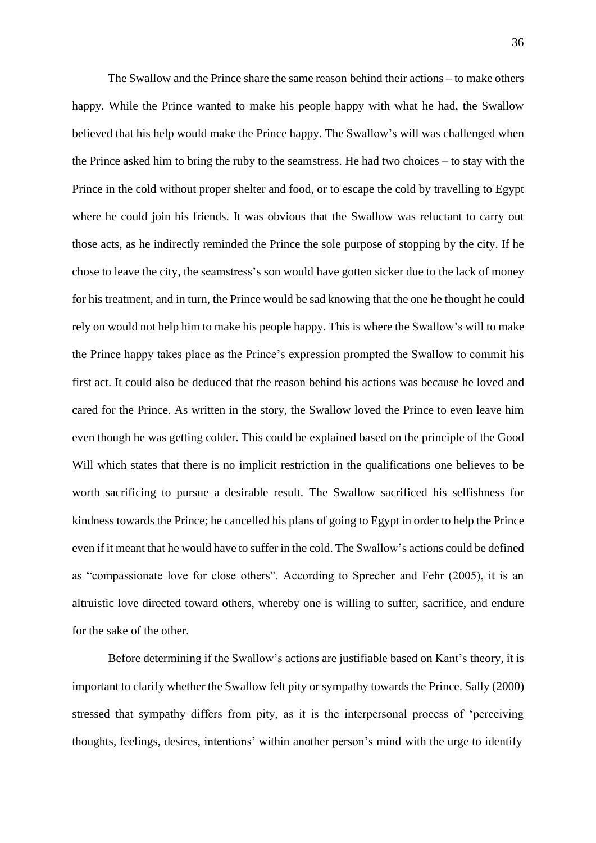The Swallow and the Prince share the same reason behind their actions – to make others happy. While the Prince wanted to make his people happy with what he had, the Swallow believed that his help would make the Prince happy. The Swallow's will was challenged when the Prince asked him to bring the ruby to the seamstress. He had two choices – to stay with the Prince in the cold without proper shelter and food, or to escape the cold by travelling to Egypt where he could join his friends. It was obvious that the Swallow was reluctant to carry out those acts, as he indirectly reminded the Prince the sole purpose of stopping by the city. If he chose to leave the city, the seamstress's son would have gotten sicker due to the lack of money for his treatment, and in turn, the Prince would be sad knowing that the one he thought he could rely on would not help him to make his people happy. This is where the Swallow's will to make the Prince happy takes place as the Prince's expression prompted the Swallow to commit his first act. It could also be deduced that the reason behind his actions was because he loved and cared for the Prince. As written in the story, the Swallow loved the Prince to even leave him even though he was getting colder. This could be explained based on the principle of the Good Will which states that there is no implicit restriction in the qualifications one believes to be worth sacrificing to pursue a desirable result. The Swallow sacrificed his selfishness for kindness towards the Prince; he cancelled his plans of going to Egypt in order to help the Prince even if it meant that he would have to suffer in the cold. The Swallow's actions could be defined as "compassionate love for close others". According to Sprecher and Fehr (2005), it is an altruistic love directed toward others, whereby one is willing to suffer, sacrifice, and endure for the sake of the other.

Before determining if the Swallow's actions are justifiable based on Kant's theory, it is important to clarify whether the Swallow felt pity or sympathy towards the Prince. Sally (2000) stressed that sympathy differs from pity, as it is the interpersonal process of 'perceiving thoughts, feelings, desires, intentions' within another person's mind with the urge to identify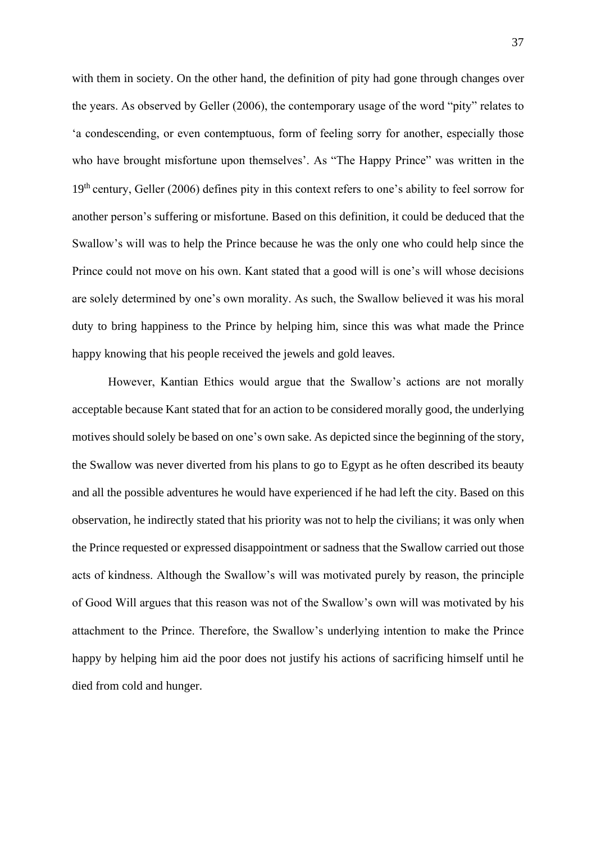with them in society. On the other hand, the definition of pity had gone through changes over the years. As observed by Geller (2006), the contemporary usage of the word "pity" relates to 'a condescending, or even contemptuous, form of feeling sorry for another, especially those who have brought misfortune upon themselves'. As "The Happy Prince" was written in the 19<sup>th</sup> century, Geller (2006) defines pity in this context refers to one's ability to feel sorrow for another person's suffering or misfortune. Based on this definition, it could be deduced that the Swallow's will was to help the Prince because he was the only one who could help since the Prince could not move on his own. Kant stated that a good will is one's will whose decisions are solely determined by one's own morality. As such, the Swallow believed it was his moral duty to bring happiness to the Prince by helping him, since this was what made the Prince happy knowing that his people received the jewels and gold leaves.

However, Kantian Ethics would argue that the Swallow's actions are not morally acceptable because Kant stated that for an action to be considered morally good, the underlying motives should solely be based on one's own sake. As depicted since the beginning of the story, the Swallow was never diverted from his plans to go to Egypt as he often described its beauty and all the possible adventures he would have experienced if he had left the city. Based on this observation, he indirectly stated that his priority was not to help the civilians; it was only when the Prince requested or expressed disappointment or sadness that the Swallow carried out those acts of kindness. Although the Swallow's will was motivated purely by reason, the principle of Good Will argues that this reason was not of the Swallow's own will was motivated by his attachment to the Prince. Therefore, the Swallow's underlying intention to make the Prince happy by helping him aid the poor does not justify his actions of sacrificing himself until he died from cold and hunger.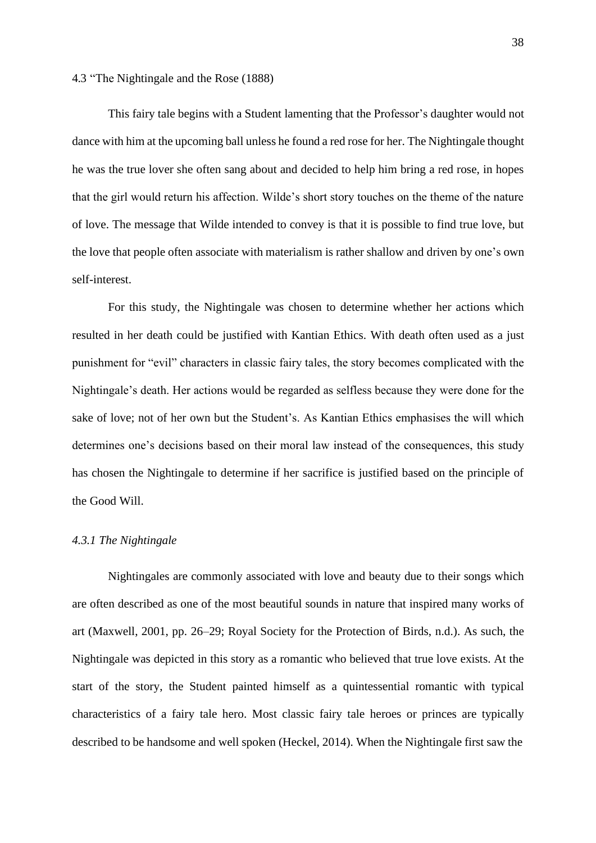#### 4.3 "The Nightingale and the Rose (1888)

This fairy tale begins with a Student lamenting that the Professor's daughter would not dance with him at the upcoming ball unless he found a red rose for her. The Nightingale thought he was the true lover she often sang about and decided to help him bring a red rose, in hopes that the girl would return his affection. Wilde's short story touches on the theme of the nature of love. The message that Wilde intended to convey is that it is possible to find true love, but the love that people often associate with materialism is rather shallow and driven by one's own self-interest.

For this study, the Nightingale was chosen to determine whether her actions which resulted in her death could be justified with Kantian Ethics. With death often used as a just punishment for "evil" characters in classic fairy tales, the story becomes complicated with the Nightingale's death. Her actions would be regarded as selfless because they were done for the sake of love; not of her own but the Student's. As Kantian Ethics emphasises the will which determines one's decisions based on their moral law instead of the consequences, this study has chosen the Nightingale to determine if her sacrifice is justified based on the principle of the Good Will.

## *4.3.1 The Nightingale*

Nightingales are commonly associated with love and beauty due to their songs which are often described as one of the most beautiful sounds in nature that inspired many works of art (Maxwell, 2001, pp. 26–29; Royal Society for the Protection of Birds, n.d.). As such, the Nightingale was depicted in this story as a romantic who believed that true love exists. At the start of the story, the Student painted himself as a quintessential romantic with typical characteristics of a fairy tale hero. Most classic fairy tale heroes or princes are typically described to be handsome and well spoken (Heckel, 2014). When the Nightingale first saw the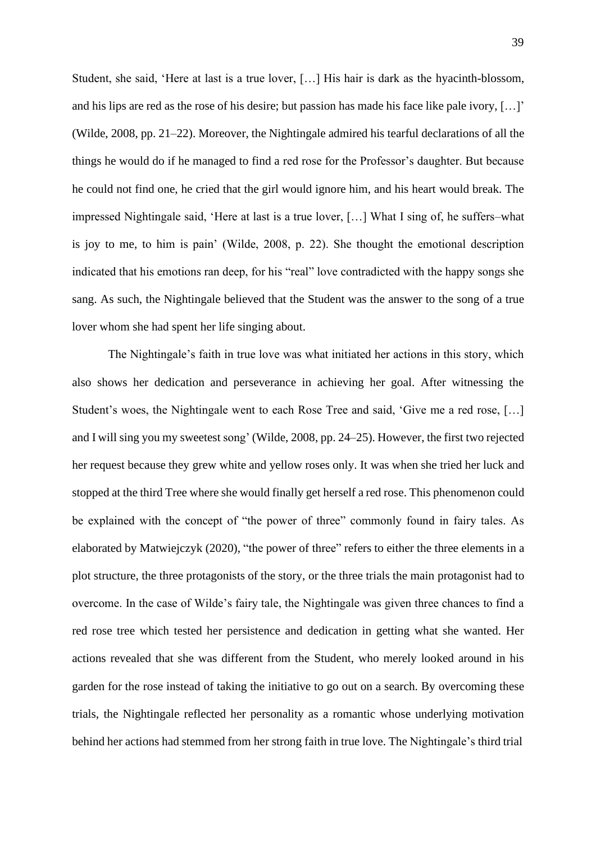Student, she said, 'Here at last is a true lover, […] His hair is dark as the hyacinth-blossom, and his lips are red as the rose of his desire; but passion has made his face like pale ivory, […]' (Wilde, 2008, pp. 21–22). Moreover, the Nightingale admired his tearful declarations of all the things he would do if he managed to find a red rose for the Professor's daughter. But because he could not find one, he cried that the girl would ignore him, and his heart would break. The impressed Nightingale said, 'Here at last is a true lover, […] What I sing of, he suffers–what is joy to me, to him is pain' (Wilde, 2008, p. 22). She thought the emotional description indicated that his emotions ran deep, for his "real" love contradicted with the happy songs she sang. As such, the Nightingale believed that the Student was the answer to the song of a true lover whom she had spent her life singing about.

The Nightingale's faith in true love was what initiated her actions in this story, which also shows her dedication and perseverance in achieving her goal. After witnessing the Student's woes, the Nightingale went to each Rose Tree and said, 'Give me a red rose, […] and I will sing you my sweetest song' (Wilde, 2008, pp. 24–25). However, the first two rejected her request because they grew white and yellow roses only. It was when she tried her luck and stopped at the third Tree where she would finally get herself a red rose. This phenomenon could be explained with the concept of "the power of three" commonly found in fairy tales. As elaborated by Matwiejczyk (2020), "the power of three" refers to either the three elements in a plot structure, the three protagonists of the story, or the three trials the main protagonist had to overcome. In the case of Wilde's fairy tale, the Nightingale was given three chances to find a red rose tree which tested her persistence and dedication in getting what she wanted. Her actions revealed that she was different from the Student, who merely looked around in his garden for the rose instead of taking the initiative to go out on a search. By overcoming these trials, the Nightingale reflected her personality as a romantic whose underlying motivation behind her actions had stemmed from her strong faith in true love. The Nightingale's third trial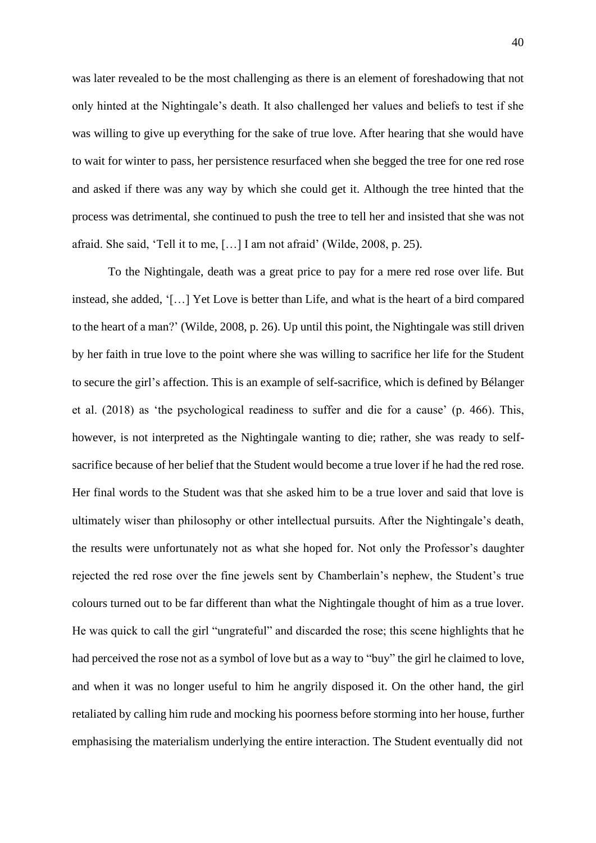was later revealed to be the most challenging as there is an element of foreshadowing that not only hinted at the Nightingale's death. It also challenged her values and beliefs to test if she was willing to give up everything for the sake of true love. After hearing that she would have to wait for winter to pass, her persistence resurfaced when she begged the tree for one red rose and asked if there was any way by which she could get it. Although the tree hinted that the process was detrimental, she continued to push the tree to tell her and insisted that she was not afraid. She said, 'Tell it to me, […] I am not afraid' (Wilde, 2008, p. 25).

To the Nightingale, death was a great price to pay for a mere red rose over life. But instead, she added, '[…] Yet Love is better than Life, and what is the heart of a bird compared to the heart of a man?' (Wilde, 2008, p. 26). Up until this point, the Nightingale was still driven by her faith in true love to the point where she was willing to sacrifice her life for the Student to secure the girl's affection. This is an example of self-sacrifice, which is defined by Bélanger et al. (2018) as 'the psychological readiness to suffer and die for a cause' (p. 466). This, however, is not interpreted as the Nightingale wanting to die; rather, she was ready to selfsacrifice because of her belief that the Student would become a true lover if he had the red rose. Her final words to the Student was that she asked him to be a true lover and said that love is ultimately wiser than philosophy or other intellectual pursuits. After the Nightingale's death, the results were unfortunately not as what she hoped for. Not only the Professor's daughter rejected the red rose over the fine jewels sent by Chamberlain's nephew, the Student's true colours turned out to be far different than what the Nightingale thought of him as a true lover. He was quick to call the girl "ungrateful" and discarded the rose; this scene highlights that he had perceived the rose not as a symbol of love but as a way to "buy" the girl he claimed to love, and when it was no longer useful to him he angrily disposed it. On the other hand, the girl retaliated by calling him rude and mocking his poorness before storming into her house, further emphasising the materialism underlying the entire interaction. The Student eventually did not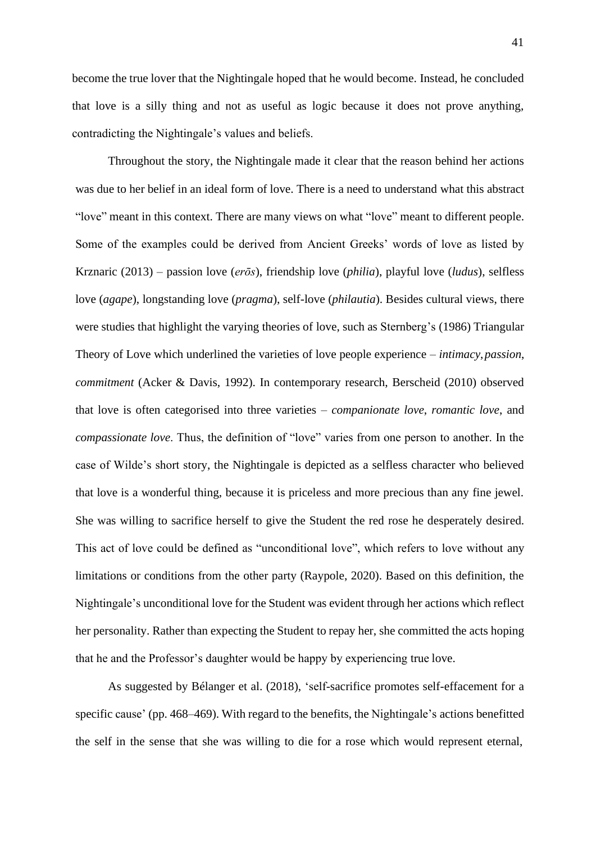become the true lover that the Nightingale hoped that he would become. Instead, he concluded

that love is a silly thing and not as useful as logic because it does not prove anything, contradicting the Nightingale's values and beliefs.

Throughout the story, the Nightingale made it clear that the reason behind her actions was due to her belief in an ideal form of love. There is a need to understand what this abstract "love" meant in this context. There are many views on what "love" meant to different people. Some of the examples could be derived from Ancient Greeks' words of love as listed by Krznaric (2013) – passion love (*erōs*), friendship love (*philia*), playful love (*ludus*), selfless love (*agape*), longstanding love (*pragma*), self-love (*philautia*). Besides cultural views, there were studies that highlight the varying theories of love, such as Sternberg's (1986) Triangular Theory of Love which underlined the varieties of love people experience – *intimacy*,*passion*, *commitment* (Acker & Davis, 1992). In contemporary research, Berscheid (2010) observed that love is often categorised into three varieties – *companionate love*, *romantic love*, and *compassionate love*. Thus, the definition of "love" varies from one person to another. In the case of Wilde's short story, the Nightingale is depicted as a selfless character who believed that love is a wonderful thing, because it is priceless and more precious than any fine jewel. She was willing to sacrifice herself to give the Student the red rose he desperately desired. This act of love could be defined as "unconditional love", which refers to love without any limitations or conditions from the other party (Raypole, 2020). Based on this definition, the Nightingale's unconditional love for the Student was evident through her actions which reflect her personality. Rather than expecting the Student to repay her, she committed the acts hoping that he and the Professor's daughter would be happy by experiencing true love.

As suggested by Bélanger et al. (2018), 'self-sacrifice promotes self-effacement for a specific cause' (pp. 468–469). With regard to the benefits, the Nightingale's actions benefitted the self in the sense that she was willing to die for a rose which would represent eternal,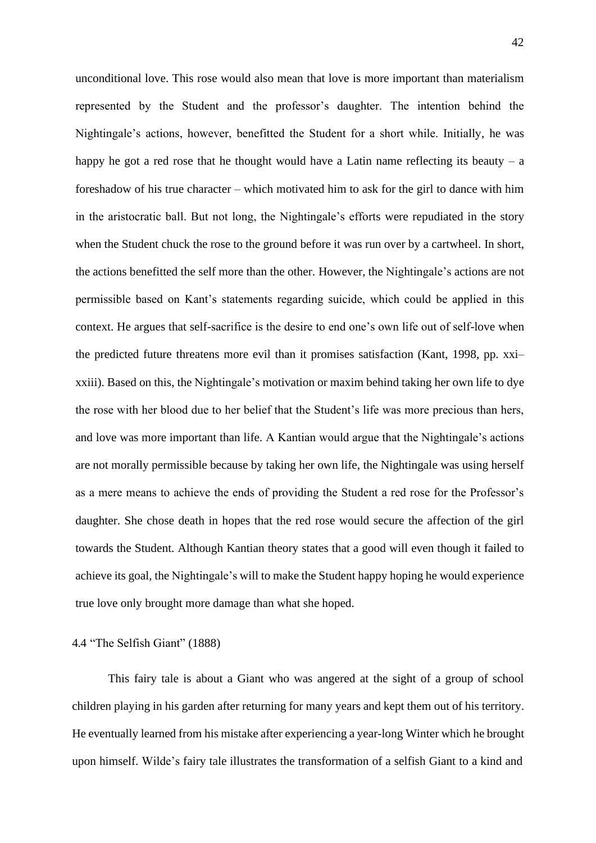unconditional love. This rose would also mean that love is more important than materialism represented by the Student and the professor's daughter. The intention behind the Nightingale's actions, however, benefitted the Student for a short while. Initially, he was happy he got a red rose that he thought would have a Latin name reflecting its beauty  $- a$ foreshadow of his true character – which motivated him to ask for the girl to dance with him in the aristocratic ball. But not long, the Nightingale's efforts were repudiated in the story when the Student chuck the rose to the ground before it was run over by a cartwheel. In short, the actions benefitted the self more than the other. However, the Nightingale's actions are not permissible based on Kant's statements regarding suicide, which could be applied in this context. He argues that self-sacrifice is the desire to end one's own life out of self-love when the predicted future threatens more evil than it promises satisfaction (Kant, 1998, pp. xxi– xxiii). Based on this, the Nightingale's motivation or maxim behind taking her own life to dye the rose with her blood due to her belief that the Student's life was more precious than hers, and love was more important than life. A Kantian would argue that the Nightingale's actions are not morally permissible because by taking her own life, the Nightingale was using herself as a mere means to achieve the ends of providing the Student a red rose for the Professor's daughter. She chose death in hopes that the red rose would secure the affection of the girl towards the Student. Although Kantian theory states that a good will even though it failed to achieve its goal, the Nightingale's will to make the Student happy hoping he would experience true love only brought more damage than what she hoped.

### 4.4 "The Selfish Giant" (1888)

This fairy tale is about a Giant who was angered at the sight of a group of school children playing in his garden after returning for many years and kept them out of his territory. He eventually learned from his mistake after experiencing a year-long Winter which he brought upon himself. Wilde's fairy tale illustrates the transformation of a selfish Giant to a kind and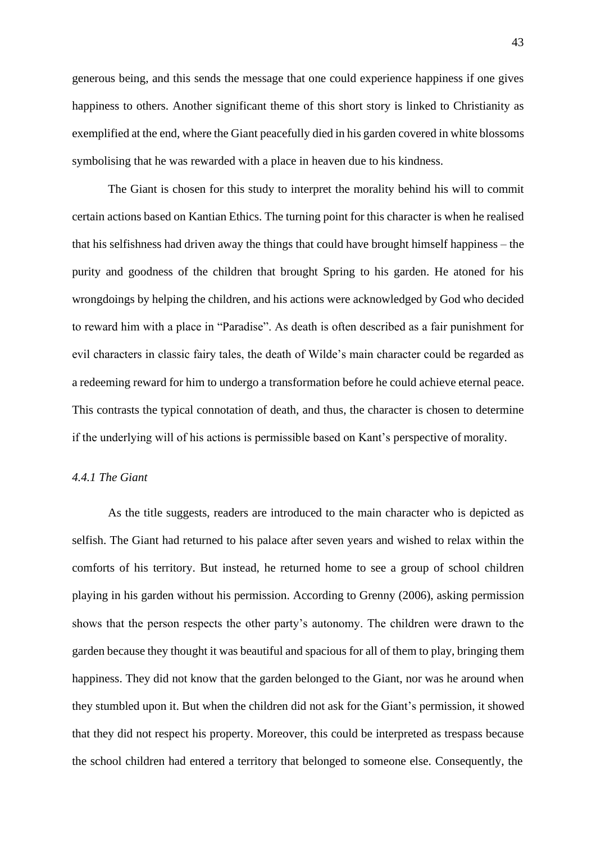generous being, and this sends the message that one could experience happiness if one gives happiness to others. Another significant theme of this short story is linked to Christianity as exemplified at the end, where the Giant peacefully died in his garden covered in white blossoms symbolising that he was rewarded with a place in heaven due to his kindness.

The Giant is chosen for this study to interpret the morality behind his will to commit certain actions based on Kantian Ethics. The turning point for this character is when he realised that his selfishness had driven away the things that could have brought himself happiness – the purity and goodness of the children that brought Spring to his garden. He atoned for his wrongdoings by helping the children, and his actions were acknowledged by God who decided to reward him with a place in "Paradise". As death is often described as a fair punishment for evil characters in classic fairy tales, the death of Wilde's main character could be regarded as a redeeming reward for him to undergo a transformation before he could achieve eternal peace. This contrasts the typical connotation of death, and thus, the character is chosen to determine if the underlying will of his actions is permissible based on Kant's perspective of morality.

# *4.4.1 The Giant*

As the title suggests, readers are introduced to the main character who is depicted as selfish. The Giant had returned to his palace after seven years and wished to relax within the comforts of his territory. But instead, he returned home to see a group of school children playing in his garden without his permission. According to Grenny (2006), asking permission shows that the person respects the other party's autonomy. The children were drawn to the garden because they thought it was beautiful and spacious for all of them to play, bringing them happiness. They did not know that the garden belonged to the Giant, nor was he around when they stumbled upon it. But when the children did not ask for the Giant's permission, it showed that they did not respect his property. Moreover, this could be interpreted as trespass because the school children had entered a territory that belonged to someone else. Consequently, the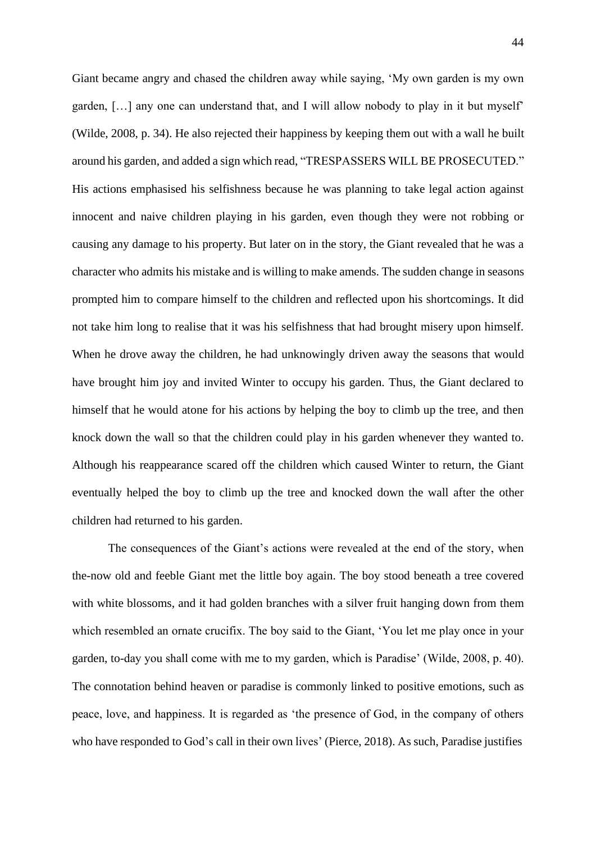Giant became angry and chased the children away while saying, 'My own garden is my own garden, […] any one can understand that, and I will allow nobody to play in it but myself' (Wilde, 2008, p. 34). He also rejected their happiness by keeping them out with a wall he built around his garden, and added a sign which read, "TRESPASSERS WILL BE PROSECUTED." His actions emphasised his selfishness because he was planning to take legal action against innocent and naive children playing in his garden, even though they were not robbing or causing any damage to his property. But later on in the story, the Giant revealed that he was a character who admits his mistake and is willing to make amends. The sudden change in seasons prompted him to compare himself to the children and reflected upon his shortcomings. It did not take him long to realise that it was his selfishness that had brought misery upon himself. When he drove away the children, he had unknowingly driven away the seasons that would have brought him joy and invited Winter to occupy his garden. Thus, the Giant declared to himself that he would atone for his actions by helping the boy to climb up the tree, and then knock down the wall so that the children could play in his garden whenever they wanted to. Although his reappearance scared off the children which caused Winter to return, the Giant eventually helped the boy to climb up the tree and knocked down the wall after the other children had returned to his garden.

The consequences of the Giant's actions were revealed at the end of the story, when the-now old and feeble Giant met the little boy again. The boy stood beneath a tree covered with white blossoms, and it had golden branches with a silver fruit hanging down from them which resembled an ornate crucifix. The boy said to the Giant, 'You let me play once in your garden, to-day you shall come with me to my garden, which is Paradise' (Wilde, 2008, p. 40). The connotation behind heaven or paradise is commonly linked to positive emotions, such as peace, love, and happiness. It is regarded as 'the presence of God, in the company of others who have responded to God's call in their own lives' (Pierce, 2018). As such, Paradise justifies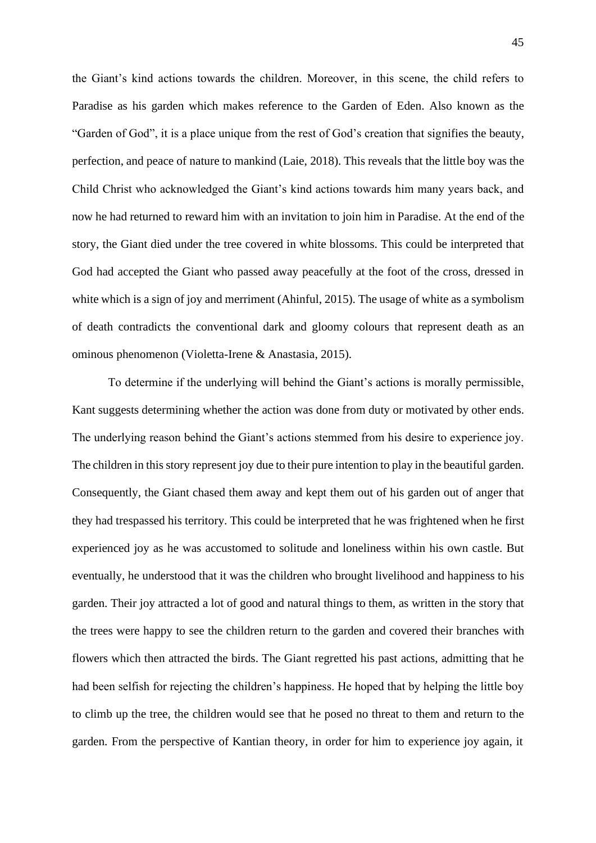the Giant's kind actions towards the children. Moreover, in this scene, the child refers to Paradise as his garden which makes reference to the Garden of Eden. Also known as the "Garden of God", it is a place unique from the rest of God's creation that signifies the beauty, perfection, and peace of nature to mankind (Laie, 2018). This reveals that the little boy was the Child Christ who acknowledged the Giant's kind actions towards him many years back, and now he had returned to reward him with an invitation to join him in Paradise. At the end of the story, the Giant died under the tree covered in white blossoms. This could be interpreted that God had accepted the Giant who passed away peacefully at the foot of the cross, dressed in white which is a sign of joy and merriment (Ahinful, 2015). The usage of white as a symbolism of death contradicts the conventional dark and gloomy colours that represent death as an ominous phenomenon (Violetta-Irene & Anastasia, 2015).

To determine if the underlying will behind the Giant's actions is morally permissible, Kant suggests determining whether the action was done from duty or motivated by other ends. The underlying reason behind the Giant's actions stemmed from his desire to experience joy. The children in this story represent joy due to their pure intention to play in the beautiful garden. Consequently, the Giant chased them away and kept them out of his garden out of anger that they had trespassed his territory. This could be interpreted that he was frightened when he first experienced joy as he was accustomed to solitude and loneliness within his own castle. But eventually, he understood that it was the children who brought livelihood and happiness to his garden. Their joy attracted a lot of good and natural things to them, as written in the story that the trees were happy to see the children return to the garden and covered their branches with flowers which then attracted the birds. The Giant regretted his past actions, admitting that he had been selfish for rejecting the children's happiness. He hoped that by helping the little boy to climb up the tree, the children would see that he posed no threat to them and return to the garden. From the perspective of Kantian theory, in order for him to experience joy again, it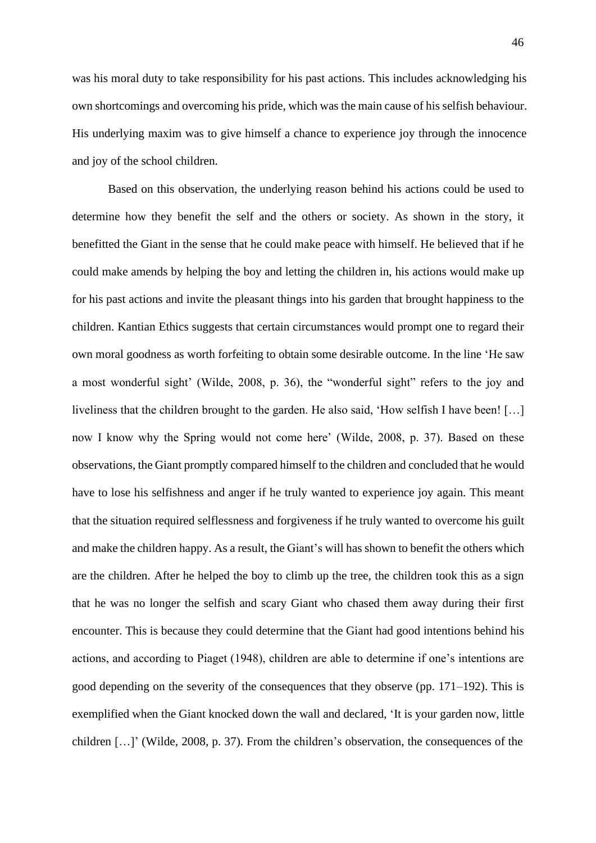was his moral duty to take responsibility for his past actions. This includes acknowledging his own shortcomings and overcoming his pride, which was the main cause of his selfish behaviour. His underlying maxim was to give himself a chance to experience joy through the innocence and joy of the school children.

Based on this observation, the underlying reason behind his actions could be used to determine how they benefit the self and the others or society. As shown in the story, it benefitted the Giant in the sense that he could make peace with himself. He believed that if he could make amends by helping the boy and letting the children in, his actions would make up for his past actions and invite the pleasant things into his garden that brought happiness to the children. Kantian Ethics suggests that certain circumstances would prompt one to regard their own moral goodness as worth forfeiting to obtain some desirable outcome. In the line 'He saw a most wonderful sight' (Wilde, 2008, p. 36), the "wonderful sight" refers to the joy and liveliness that the children brought to the garden. He also said, 'How selfish I have been! […] now I know why the Spring would not come here' (Wilde, 2008, p. 37). Based on these observations, the Giant promptly compared himself to the children and concluded that he would have to lose his selfishness and anger if he truly wanted to experience joy again. This meant that the situation required selflessness and forgiveness if he truly wanted to overcome his guilt and make the children happy. As a result, the Giant's will has shown to benefit the others which are the children. After he helped the boy to climb up the tree, the children took this as a sign that he was no longer the selfish and scary Giant who chased them away during their first encounter. This is because they could determine that the Giant had good intentions behind his actions, and according to Piaget (1948), children are able to determine if one's intentions are good depending on the severity of the consequences that they observe (pp. 171–192). This is exemplified when the Giant knocked down the wall and declared, 'It is your garden now, little children […]' (Wilde, 2008, p. 37). From the children's observation, the consequences of the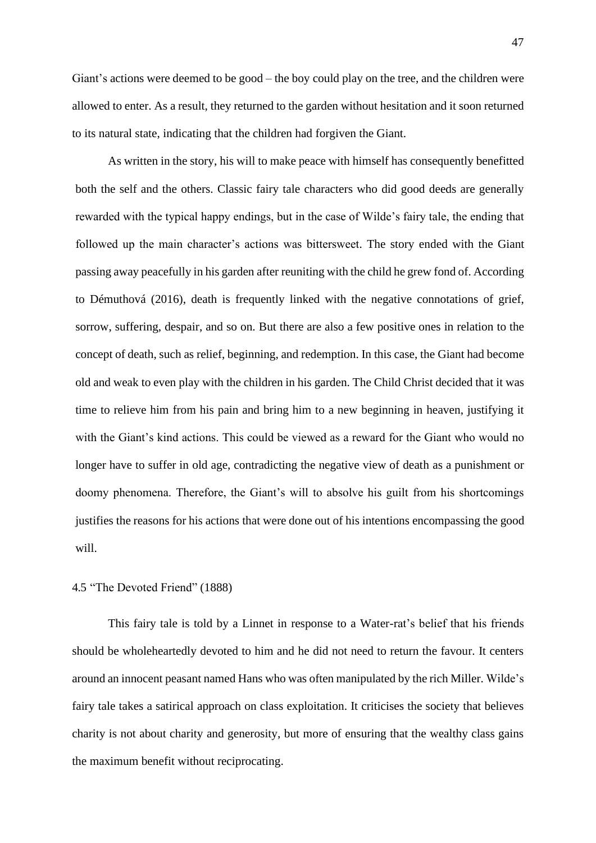Giant's actions were deemed to be good – the boy could play on the tree, and the children were allowed to enter. As a result, they returned to the garden without hesitation and it soon returned to its natural state, indicating that the children had forgiven the Giant.

As written in the story, his will to make peace with himself has consequently benefitted both the self and the others. Classic fairy tale characters who did good deeds are generally rewarded with the typical happy endings, but in the case of Wilde's fairy tale, the ending that followed up the main character's actions was bittersweet. The story ended with the Giant passing away peacefully in his garden after reuniting with the child he grew fond of. According to Démuthová (2016), death is frequently linked with the negative connotations of grief, sorrow, suffering, despair, and so on. But there are also a few positive ones in relation to the concept of death, such as relief, beginning, and redemption. In this case, the Giant had become old and weak to even play with the children in his garden. The Child Christ decided that it was time to relieve him from his pain and bring him to a new beginning in heaven, justifying it with the Giant's kind actions. This could be viewed as a reward for the Giant who would no longer have to suffer in old age, contradicting the negative view of death as a punishment or doomy phenomena. Therefore, the Giant's will to absolve his guilt from his shortcomings justifies the reasons for his actions that were done out of his intentions encompassing the good will.

## 4.5 "The Devoted Friend" (1888)

This fairy tale is told by a Linnet in response to a Water-rat's belief that his friends should be wholeheartedly devoted to him and he did not need to return the favour. It centers around an innocent peasant named Hans who was often manipulated by the rich Miller. Wilde's fairy tale takes a satirical approach on class exploitation. It criticises the society that believes charity is not about charity and generosity, but more of ensuring that the wealthy class gains the maximum benefit without reciprocating.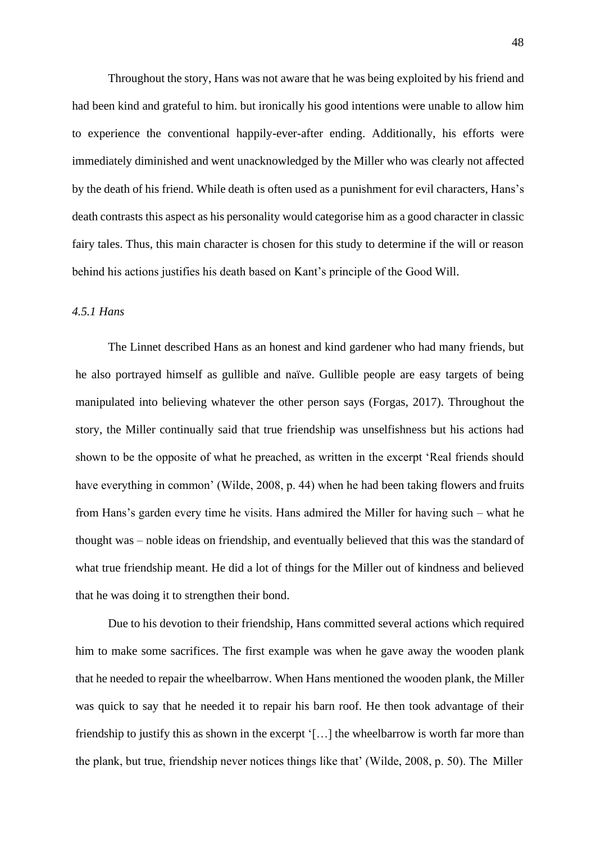Throughout the story, Hans was not aware that he was being exploited by his friend and had been kind and grateful to him. but ironically his good intentions were unable to allow him to experience the conventional happily-ever-after ending. Additionally, his efforts were immediately diminished and went unacknowledged by the Miller who was clearly not affected by the death of his friend. While death is often used as a punishment for evil characters, Hans's death contrasts this aspect as his personality would categorise him as a good character in classic fairy tales. Thus, this main character is chosen for this study to determine if the will or reason behind his actions justifies his death based on Kant's principle of the Good Will.

#### *4.5.1 Hans*

The Linnet described Hans as an honest and kind gardener who had many friends, but he also portrayed himself as gullible and naïve. Gullible people are easy targets of being manipulated into believing whatever the other person says (Forgas, 2017). Throughout the story, the Miller continually said that true friendship was unselfishness but his actions had shown to be the opposite of what he preached, as written in the excerpt 'Real friends should have everything in common' (Wilde, 2008, p. 44) when he had been taking flowers and fruits from Hans's garden every time he visits. Hans admired the Miller for having such – what he thought was – noble ideas on friendship, and eventually believed that this was the standard of what true friendship meant. He did a lot of things for the Miller out of kindness and believed that he was doing it to strengthen their bond.

Due to his devotion to their friendship, Hans committed several actions which required him to make some sacrifices. The first example was when he gave away the wooden plank that he needed to repair the wheelbarrow. When Hans mentioned the wooden plank, the Miller was quick to say that he needed it to repair his barn roof. He then took advantage of their friendship to justify this as shown in the excerpt '[…] the wheelbarrow is worth far more than the plank, but true, friendship never notices things like that' (Wilde, 2008, p. 50). The Miller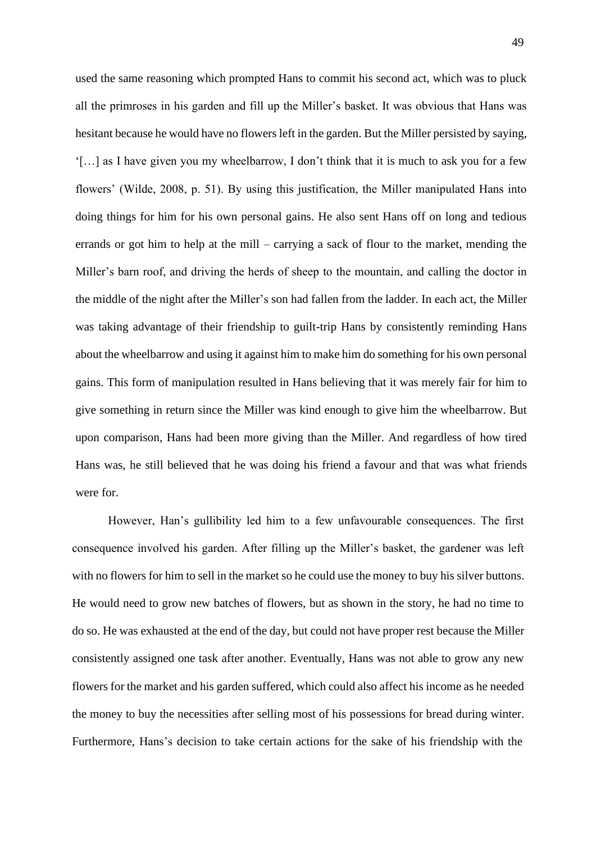used the same reasoning which prompted Hans to commit his second act, which was to pluck all the primroses in his garden and fill up the Miller's basket. It was obvious that Hans was hesitant because he would have no flowers left in the garden. But the Miller persisted by saying, '[…] as I have given you my wheelbarrow, I don't think that it is much to ask you for a few flowers' (Wilde, 2008, p. 51). By using this justification, the Miller manipulated Hans into doing things for him for his own personal gains. He also sent Hans off on long and tedious errands or got him to help at the mill – carrying a sack of flour to the market, mending the Miller's barn roof, and driving the herds of sheep to the mountain, and calling the doctor in the middle of the night after the Miller's son had fallen from the ladder. In each act, the Miller was taking advantage of their friendship to guilt-trip Hans by consistently reminding Hans about the wheelbarrow and using it against him to make him do something for his own personal gains. This form of manipulation resulted in Hans believing that it was merely fair for him to give something in return since the Miller was kind enough to give him the wheelbarrow. But upon comparison, Hans had been more giving than the Miller. And regardless of how tired Hans was, he still believed that he was doing his friend a favour and that was what friends were for.

However, Han's gullibility led him to a few unfavourable consequences. The first consequence involved his garden. After filling up the Miller's basket, the gardener was left with no flowers for him to sell in the market so he could use the money to buy his silver buttons. He would need to grow new batches of flowers, but as shown in the story, he had no time to do so. He was exhausted at the end of the day, but could not have proper rest because the Miller consistently assigned one task after another. Eventually, Hans was not able to grow any new flowers for the market and his garden suffered, which could also affect his income as he needed the money to buy the necessities after selling most of his possessions for bread during winter. Furthermore, Hans's decision to take certain actions for the sake of his friendship with the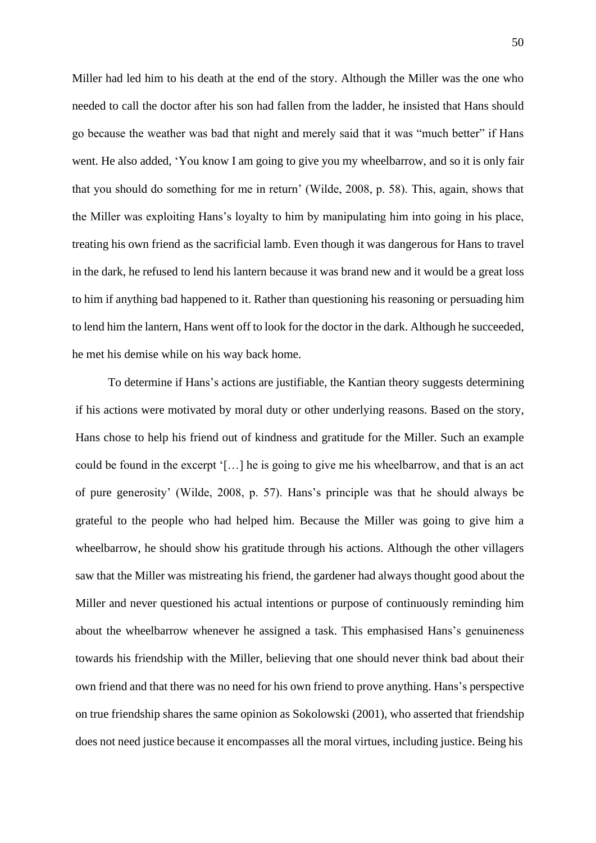Miller had led him to his death at the end of the story. Although the Miller was the one who needed to call the doctor after his son had fallen from the ladder, he insisted that Hans should go because the weather was bad that night and merely said that it was "much better" if Hans went. He also added, 'You know I am going to give you my wheelbarrow, and so it is only fair that you should do something for me in return' (Wilde, 2008, p. 58). This, again, shows that the Miller was exploiting Hans's loyalty to him by manipulating him into going in his place, treating his own friend as the sacrificial lamb. Even though it was dangerous for Hans to travel in the dark, he refused to lend his lantern because it was brand new and it would be a great loss to him if anything bad happened to it. Rather than questioning his reasoning or persuading him to lend him the lantern, Hans went off to look for the doctor in the dark. Although he succeeded, he met his demise while on his way back home.

To determine if Hans's actions are justifiable, the Kantian theory suggests determining if his actions were motivated by moral duty or other underlying reasons. Based on the story, Hans chose to help his friend out of kindness and gratitude for the Miller. Such an example could be found in the excerpt '[…] he is going to give me his wheelbarrow, and that is an act of pure generosity' (Wilde, 2008, p. 57). Hans's principle was that he should always be grateful to the people who had helped him. Because the Miller was going to give him a wheelbarrow, he should show his gratitude through his actions. Although the other villagers saw that the Miller was mistreating his friend, the gardener had always thought good about the Miller and never questioned his actual intentions or purpose of continuously reminding him about the wheelbarrow whenever he assigned a task. This emphasised Hans's genuineness towards his friendship with the Miller, believing that one should never think bad about their own friend and that there was no need for his own friend to prove anything. Hans's perspective on true friendship shares the same opinion as Sokolowski (2001), who asserted that friendship does not need justice because it encompasses all the moral virtues, including justice. Being his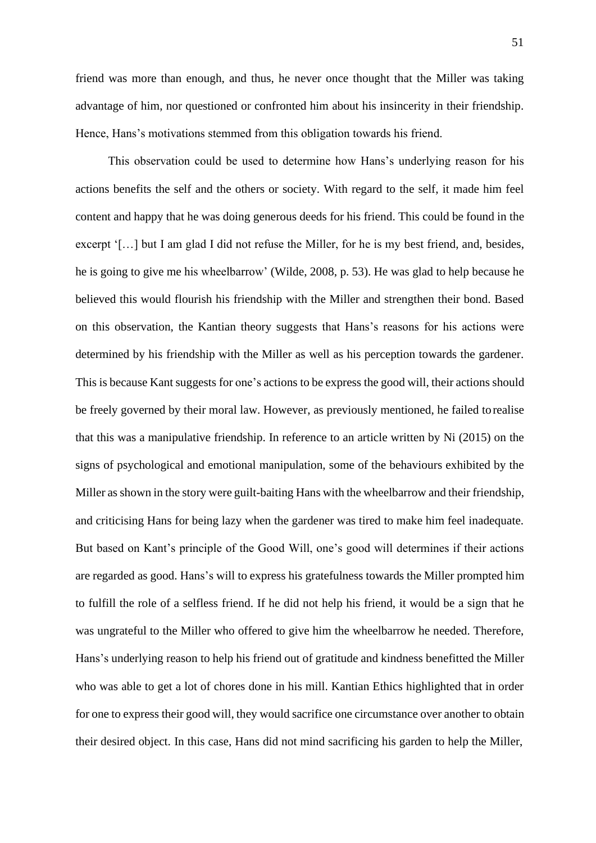friend was more than enough, and thus, he never once thought that the Miller was taking advantage of him, nor questioned or confronted him about his insincerity in their friendship. Hence, Hans's motivations stemmed from this obligation towards his friend.

This observation could be used to determine how Hans's underlying reason for his actions benefits the self and the others or society. With regard to the self, it made him feel content and happy that he was doing generous deeds for his friend. This could be found in the excerpt '[…] but I am glad I did not refuse the Miller, for he is my best friend, and, besides, he is going to give me his wheelbarrow' (Wilde, 2008, p. 53). He was glad to help because he believed this would flourish his friendship with the Miller and strengthen their bond. Based on this observation, the Kantian theory suggests that Hans's reasons for his actions were determined by his friendship with the Miller as well as his perception towards the gardener. This is because Kant suggests for one's actions to be express the good will, their actions should be freely governed by their moral law. However, as previously mentioned, he failed torealise that this was a manipulative friendship. In reference to an article written by Ni (2015) on the signs of psychological and emotional manipulation, some of the behaviours exhibited by the Miller as shown in the story were guilt-baiting Hans with the wheelbarrow and their friendship, and criticising Hans for being lazy when the gardener was tired to make him feel inadequate. But based on Kant's principle of the Good Will, one's good will determines if their actions are regarded as good. Hans's will to express his gratefulness towards the Miller prompted him to fulfill the role of a selfless friend. If he did not help his friend, it would be a sign that he was ungrateful to the Miller who offered to give him the wheelbarrow he needed. Therefore, Hans's underlying reason to help his friend out of gratitude and kindness benefitted the Miller who was able to get a lot of chores done in his mill. Kantian Ethics highlighted that in order for one to express their good will, they would sacrifice one circumstance over another to obtain their desired object. In this case, Hans did not mind sacrificing his garden to help the Miller,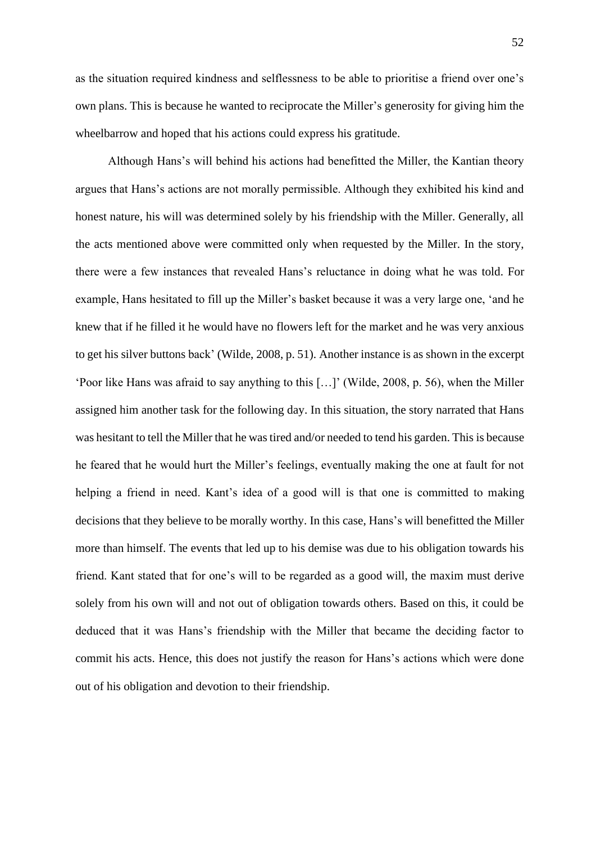as the situation required kindness and selflessness to be able to prioritise a friend over one's own plans. This is because he wanted to reciprocate the Miller's generosity for giving him the wheelbarrow and hoped that his actions could express his gratitude.

Although Hans's will behind his actions had benefitted the Miller, the Kantian theory argues that Hans's actions are not morally permissible. Although they exhibited his kind and honest nature, his will was determined solely by his friendship with the Miller. Generally, all the acts mentioned above were committed only when requested by the Miller. In the story, there were a few instances that revealed Hans's reluctance in doing what he was told. For example, Hans hesitated to fill up the Miller's basket because it was a very large one, 'and he knew that if he filled it he would have no flowers left for the market and he was very anxious to get his silver buttons back' (Wilde, 2008, p. 51). Another instance is as shown in the excerpt 'Poor like Hans was afraid to say anything to this […]' (Wilde, 2008, p. 56), when the Miller assigned him another task for the following day. In this situation, the story narrated that Hans was hesitant to tell the Miller that he was tired and/or needed to tend his garden. This is because he feared that he would hurt the Miller's feelings, eventually making the one at fault for not helping a friend in need. Kant's idea of a good will is that one is committed to making decisions that they believe to be morally worthy. In this case, Hans's will benefitted the Miller more than himself. The events that led up to his demise was due to his obligation towards his friend. Kant stated that for one's will to be regarded as a good will, the maxim must derive solely from his own will and not out of obligation towards others. Based on this, it could be deduced that it was Hans's friendship with the Miller that became the deciding factor to commit his acts. Hence, this does not justify the reason for Hans's actions which were done out of his obligation and devotion to their friendship.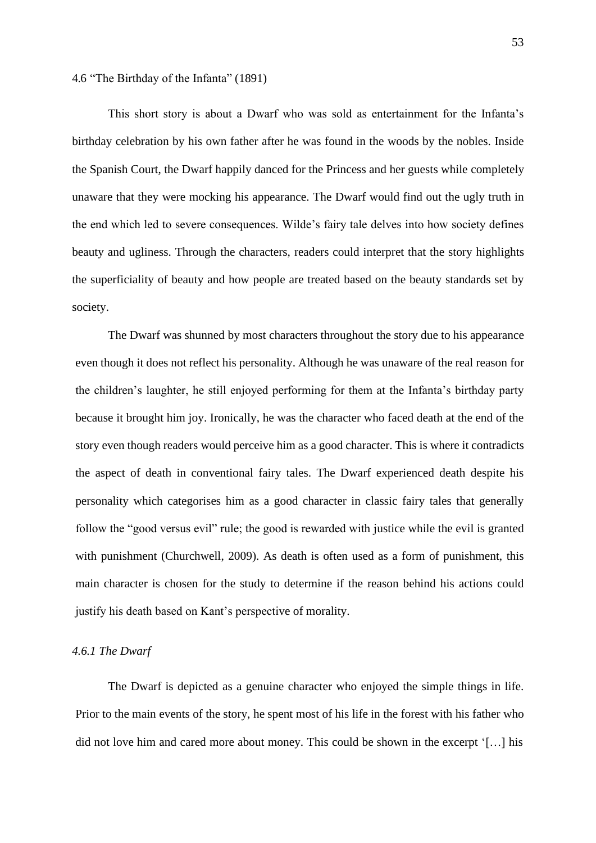4.6 "The Birthday of the Infanta" (1891)

This short story is about a Dwarf who was sold as entertainment for the Infanta's birthday celebration by his own father after he was found in the woods by the nobles. Inside the Spanish Court, the Dwarf happily danced for the Princess and her guests while completely unaware that they were mocking his appearance. The Dwarf would find out the ugly truth in the end which led to severe consequences. Wilde's fairy tale delves into how society defines beauty and ugliness. Through the characters, readers could interpret that the story highlights the superficiality of beauty and how people are treated based on the beauty standards set by society.

The Dwarf was shunned by most characters throughout the story due to his appearance even though it does not reflect his personality. Although he was unaware of the real reason for the children's laughter, he still enjoyed performing for them at the Infanta's birthday party because it brought him joy. Ironically, he was the character who faced death at the end of the story even though readers would perceive him as a good character. This is where it contradicts the aspect of death in conventional fairy tales. The Dwarf experienced death despite his personality which categorises him as a good character in classic fairy tales that generally follow the "good versus evil" rule; the good is rewarded with justice while the evil is granted with punishment (Churchwell, 2009). As death is often used as a form of punishment, this main character is chosen for the study to determine if the reason behind his actions could justify his death based on Kant's perspective of morality.

#### *4.6.1 The Dwarf*

The Dwarf is depicted as a genuine character who enjoyed the simple things in life. Prior to the main events of the story, he spent most of his life in the forest with his father who did not love him and cared more about money. This could be shown in the excerpt '[…] his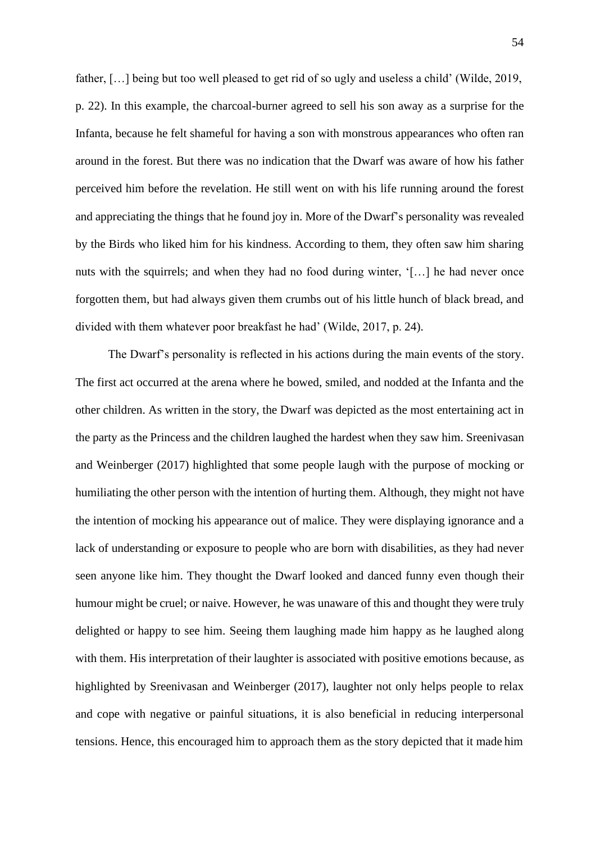father, […] being but too well pleased to get rid of so ugly and useless a child' (Wilde, 2019, p. 22). In this example, the charcoal-burner agreed to sell his son away as a surprise for the Infanta, because he felt shameful for having a son with monstrous appearances who often ran around in the forest. But there was no indication that the Dwarf was aware of how his father perceived him before the revelation. He still went on with his life running around the forest and appreciating the things that he found joy in. More of the Dwarf's personality was revealed by the Birds who liked him for his kindness. According to them, they often saw him sharing nuts with the squirrels; and when they had no food during winter, '[...] he had never once forgotten them, but had always given them crumbs out of his little hunch of black bread, and divided with them whatever poor breakfast he had' (Wilde, 2017, p. 24).

The Dwarf's personality is reflected in his actions during the main events of the story. The first act occurred at the arena where he bowed, smiled, and nodded at the Infanta and the other children. As written in the story, the Dwarf was depicted as the most entertaining act in the party as the Princess and the children laughed the hardest when they saw him. Sreenivasan and Weinberger (2017) highlighted that some people laugh with the purpose of mocking or humiliating the other person with the intention of hurting them. Although, they might not have the intention of mocking his appearance out of malice. They were displaying ignorance and a lack of understanding or exposure to people who are born with disabilities, as they had never seen anyone like him. They thought the Dwarf looked and danced funny even though their humour might be cruel; or naive. However, he was unaware of this and thought they were truly delighted or happy to see him. Seeing them laughing made him happy as he laughed along with them. His interpretation of their laughter is associated with positive emotions because, as highlighted by Sreenivasan and Weinberger (2017), laughter not only helps people to relax and cope with negative or painful situations, it is also beneficial in reducing interpersonal tensions. Hence, this encouraged him to approach them as the story depicted that it made him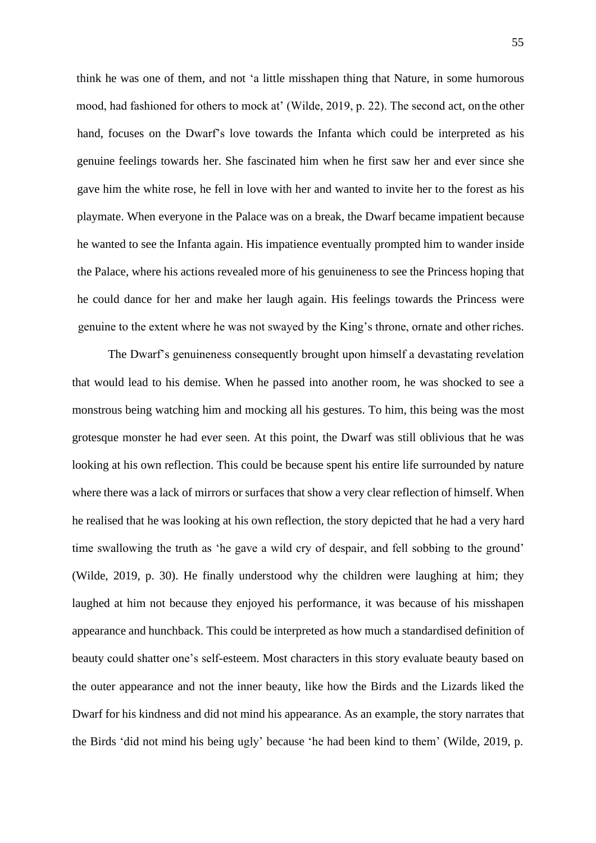think he was one of them, and not 'a little misshapen thing that Nature, in some humorous mood, had fashioned for others to mock at' (Wilde, 2019, p. 22). The second act, on the other hand, focuses on the Dwarf's love towards the Infanta which could be interpreted as his genuine feelings towards her. She fascinated him when he first saw her and ever since she gave him the white rose, he fell in love with her and wanted to invite her to the forest as his playmate. When everyone in the Palace was on a break, the Dwarf became impatient because he wanted to see the Infanta again. His impatience eventually prompted him to wander inside the Palace, where his actions revealed more of his genuineness to see the Princess hoping that he could dance for her and make her laugh again. His feelings towards the Princess were genuine to the extent where he was not swayed by the King's throne, ornate and other riches.

The Dwarf's genuineness consequently brought upon himself a devastating revelation that would lead to his demise. When he passed into another room, he was shocked to see a monstrous being watching him and mocking all his gestures. To him, this being was the most grotesque monster he had ever seen. At this point, the Dwarf was still oblivious that he was looking at his own reflection. This could be because spent his entire life surrounded by nature where there was a lack of mirrors or surfaces that show a very clear reflection of himself. When he realised that he was looking at his own reflection, the story depicted that he had a very hard time swallowing the truth as 'he gave a wild cry of despair, and fell sobbing to the ground' (Wilde, 2019, p. 30). He finally understood why the children were laughing at him; they laughed at him not because they enjoyed his performance, it was because of his misshapen appearance and hunchback. This could be interpreted as how much a standardised definition of beauty could shatter one's self-esteem. Most characters in this story evaluate beauty based on the outer appearance and not the inner beauty, like how the Birds and the Lizards liked the Dwarf for his kindness and did not mind his appearance. As an example, the story narrates that the Birds 'did not mind his being ugly' because 'he had been kind to them' (Wilde, 2019, p.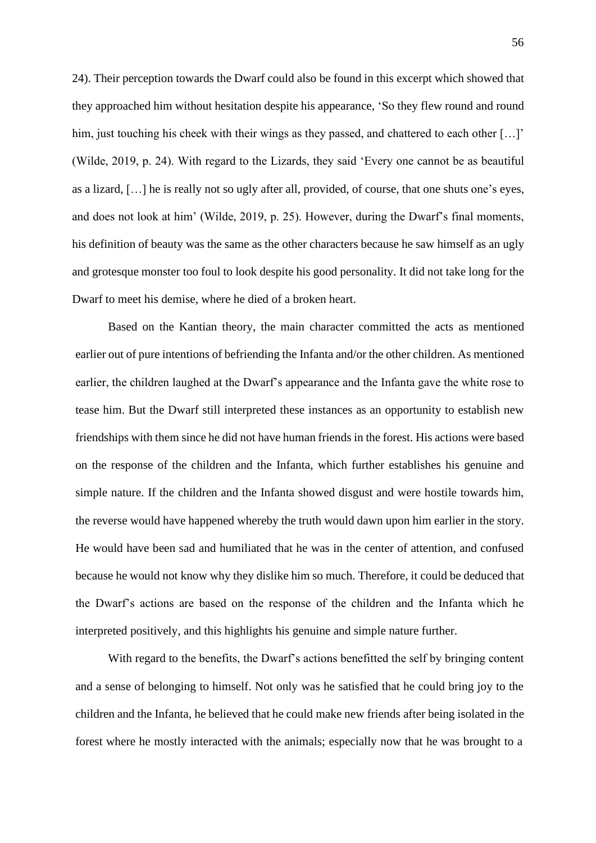24). Their perception towards the Dwarf could also be found in this excerpt which showed that they approached him without hesitation despite his appearance, 'So they flew round and round him, just touching his cheek with their wings as they passed, and chattered to each other [...]' (Wilde, 2019, p. 24). With regard to the Lizards, they said 'Every one cannot be as beautiful as a lizard, […] he is really not so ugly after all, provided, of course, that one shuts one's eyes, and does not look at him' (Wilde, 2019, p. 25). However, during the Dwarf's final moments, his definition of beauty was the same as the other characters because he saw himself as an ugly and grotesque monster too foul to look despite his good personality. It did not take long for the Dwarf to meet his demise, where he died of a broken heart.

Based on the Kantian theory, the main character committed the acts as mentioned earlier out of pure intentions of befriending the Infanta and/or the other children. As mentioned earlier, the children laughed at the Dwarf's appearance and the Infanta gave the white rose to tease him. But the Dwarf still interpreted these instances as an opportunity to establish new friendships with them since he did not have human friends in the forest. His actions were based on the response of the children and the Infanta, which further establishes his genuine and simple nature. If the children and the Infanta showed disgust and were hostile towards him, the reverse would have happened whereby the truth would dawn upon him earlier in the story. He would have been sad and humiliated that he was in the center of attention, and confused because he would not know why they dislike him so much. Therefore, it could be deduced that the Dwarf's actions are based on the response of the children and the Infanta which he interpreted positively, and this highlights his genuine and simple nature further.

With regard to the benefits, the Dwarf's actions benefitted the self by bringing content and a sense of belonging to himself. Not only was he satisfied that he could bring joy to the children and the Infanta, he believed that he could make new friends after being isolated in the forest where he mostly interacted with the animals; especially now that he was brought to a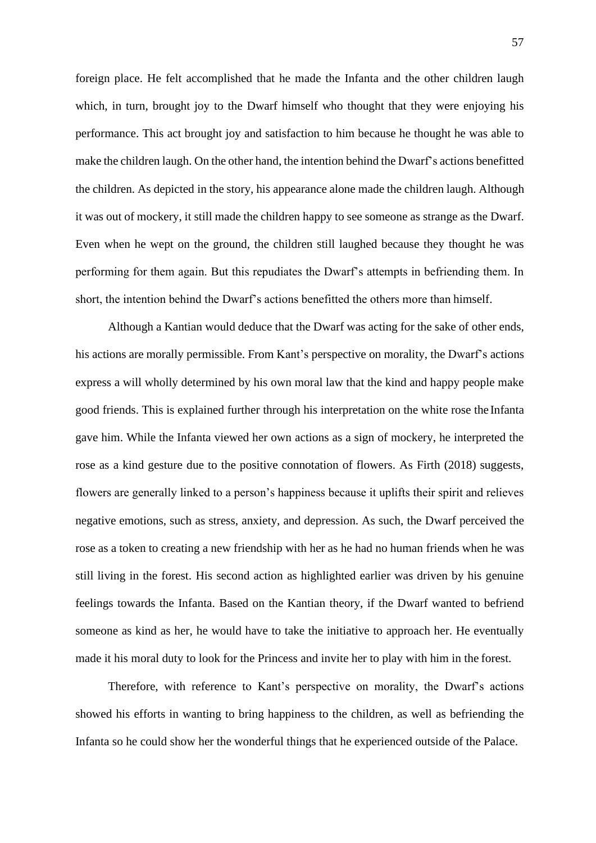foreign place. He felt accomplished that he made the Infanta and the other children laugh which, in turn, brought joy to the Dwarf himself who thought that they were enjoying his performance. This act brought joy and satisfaction to him because he thought he was able to make the children laugh. On the other hand, the intention behind the Dwarf's actions benefitted the children. As depicted in the story, his appearance alone made the children laugh. Although it was out of mockery, it still made the children happy to see someone as strange as the Dwarf. Even when he wept on the ground, the children still laughed because they thought he was performing for them again. But this repudiates the Dwarf's attempts in befriending them. In short, the intention behind the Dwarf's actions benefitted the others more than himself.

Although a Kantian would deduce that the Dwarf was acting for the sake of other ends, his actions are morally permissible. From Kant's perspective on morality, the Dwarf's actions express a will wholly determined by his own moral law that the kind and happy people make good friends. This is explained further through his interpretation on the white rose the Infanta gave him. While the Infanta viewed her own actions as a sign of mockery, he interpreted the rose as a kind gesture due to the positive connotation of flowers. As Firth (2018) suggests, flowers are generally linked to a person's happiness because it uplifts their spirit and relieves negative emotions, such as stress, anxiety, and depression. As such, the Dwarf perceived the rose as a token to creating a new friendship with her as he had no human friends when he was still living in the forest. His second action as highlighted earlier was driven by his genuine feelings towards the Infanta. Based on the Kantian theory, if the Dwarf wanted to befriend someone as kind as her, he would have to take the initiative to approach her. He eventually made it his moral duty to look for the Princess and invite her to play with him in the forest.

Therefore, with reference to Kant's perspective on morality, the Dwarf's actions showed his efforts in wanting to bring happiness to the children, as well as befriending the Infanta so he could show her the wonderful things that he experienced outside of the Palace.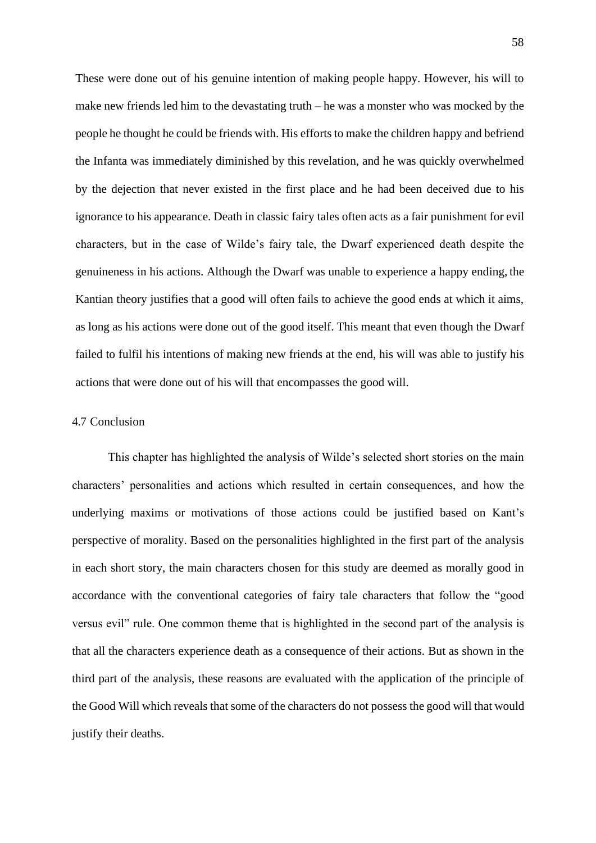These were done out of his genuine intention of making people happy. However, his will to make new friends led him to the devastating truth – he was a monster who was mocked by the people he thought he could be friends with. His efforts to make the children happy and befriend the Infanta was immediately diminished by this revelation, and he was quickly overwhelmed by the dejection that never existed in the first place and he had been deceived due to his ignorance to his appearance. Death in classic fairy tales often acts as a fair punishment for evil characters, but in the case of Wilde's fairy tale, the Dwarf experienced death despite the genuineness in his actions. Although the Dwarf was unable to experience a happy ending, the Kantian theory justifies that a good will often fails to achieve the good ends at which it aims, as long as his actions were done out of the good itself. This meant that even though the Dwarf failed to fulfil his intentions of making new friends at the end, his will was able to justify his actions that were done out of his will that encompasses the good will.

# 4.7 Conclusion

This chapter has highlighted the analysis of Wilde's selected short stories on the main characters' personalities and actions which resulted in certain consequences, and how the underlying maxims or motivations of those actions could be justified based on Kant's perspective of morality. Based on the personalities highlighted in the first part of the analysis in each short story, the main characters chosen for this study are deemed as morally good in accordance with the conventional categories of fairy tale characters that follow the "good versus evil" rule. One common theme that is highlighted in the second part of the analysis is that all the characters experience death as a consequence of their actions. But as shown in the third part of the analysis, these reasons are evaluated with the application of the principle of the Good Will which reveals that some of the characters do not possess the good will that would justify their deaths.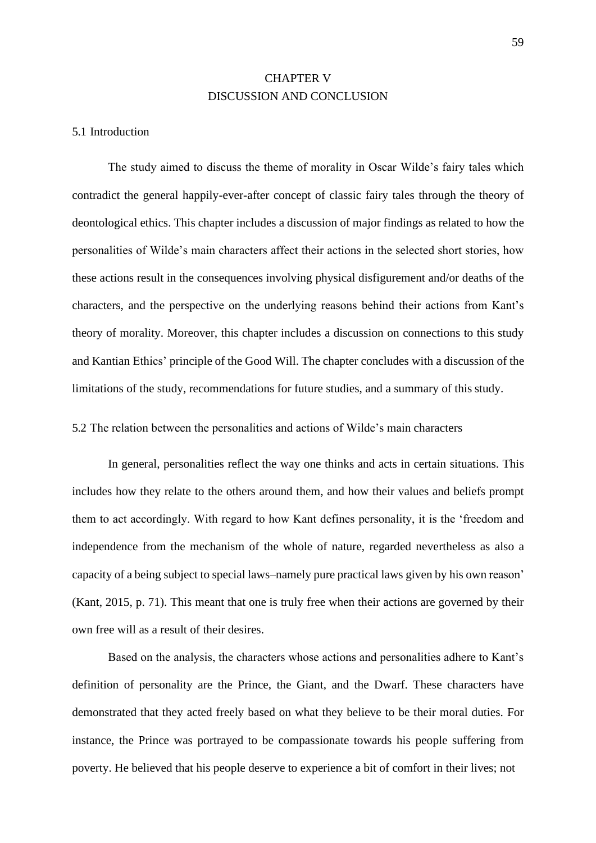# CHAPTER V DISCUSSION AND CONCLUSION

#### 5.1 Introduction

The study aimed to discuss the theme of morality in Oscar Wilde's fairy tales which contradict the general happily-ever-after concept of classic fairy tales through the theory of deontological ethics. This chapter includes a discussion of major findings as related to how the personalities of Wilde's main characters affect their actions in the selected short stories, how these actions result in the consequences involving physical disfigurement and/or deaths of the characters, and the perspective on the underlying reasons behind their actions from Kant's theory of morality. Moreover, this chapter includes a discussion on connections to this study and Kantian Ethics' principle of the Good Will. The chapter concludes with a discussion of the limitations of the study, recommendations for future studies, and a summary of this study.

5.2 The relation between the personalities and actions of Wilde's main characters

In general, personalities reflect the way one thinks and acts in certain situations. This includes how they relate to the others around them, and how their values and beliefs prompt them to act accordingly. With regard to how Kant defines personality, it is the 'freedom and independence from the mechanism of the whole of nature, regarded nevertheless as also a capacity of a being subject to special laws–namely pure practical laws given by his own reason' (Kant, 2015, p. 71). This meant that one is truly free when their actions are governed by their own free will as a result of their desires.

Based on the analysis, the characters whose actions and personalities adhere to Kant's definition of personality are the Prince, the Giant, and the Dwarf. These characters have demonstrated that they acted freely based on what they believe to be their moral duties. For instance, the Prince was portrayed to be compassionate towards his people suffering from poverty. He believed that his people deserve to experience a bit of comfort in their lives; not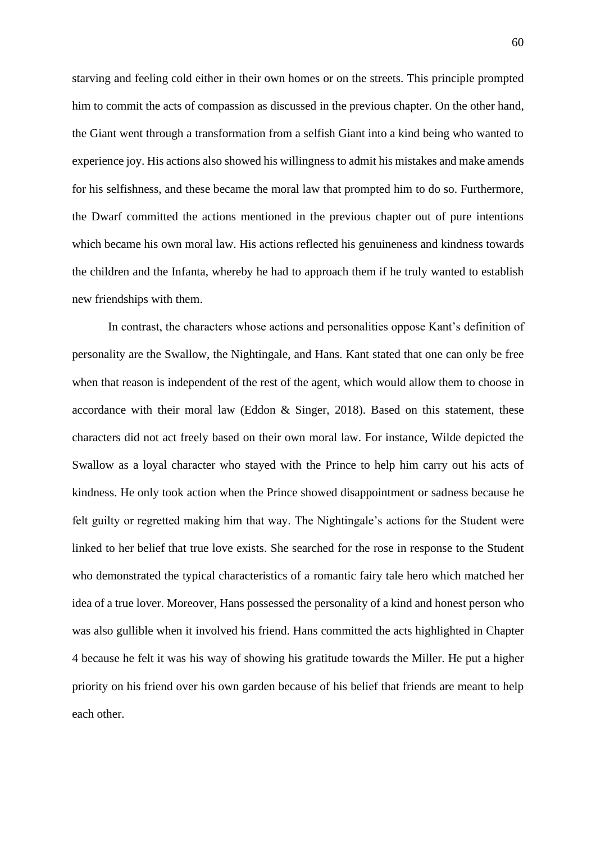starving and feeling cold either in their own homes or on the streets. This principle prompted him to commit the acts of compassion as discussed in the previous chapter. On the other hand, the Giant went through a transformation from a selfish Giant into a kind being who wanted to experience joy. His actions also showed his willingness to admit his mistakes and make amends for his selfishness, and these became the moral law that prompted him to do so. Furthermore, the Dwarf committed the actions mentioned in the previous chapter out of pure intentions which became his own moral law. His actions reflected his genuineness and kindness towards the children and the Infanta, whereby he had to approach them if he truly wanted to establish new friendships with them.

In contrast, the characters whose actions and personalities oppose Kant's definition of personality are the Swallow, the Nightingale, and Hans. Kant stated that one can only be free when that reason is independent of the rest of the agent, which would allow them to choose in accordance with their moral law (Eddon & Singer, 2018). Based on this statement, these characters did not act freely based on their own moral law. For instance, Wilde depicted the Swallow as a loyal character who stayed with the Prince to help him carry out his acts of kindness. He only took action when the Prince showed disappointment or sadness because he felt guilty or regretted making him that way. The Nightingale's actions for the Student were linked to her belief that true love exists. She searched for the rose in response to the Student who demonstrated the typical characteristics of a romantic fairy tale hero which matched her idea of a true lover. Moreover, Hans possessed the personality of a kind and honest person who was also gullible when it involved his friend. Hans committed the acts highlighted in Chapter 4 because he felt it was his way of showing his gratitude towards the Miller. He put a higher priority on his friend over his own garden because of his belief that friends are meant to help each other.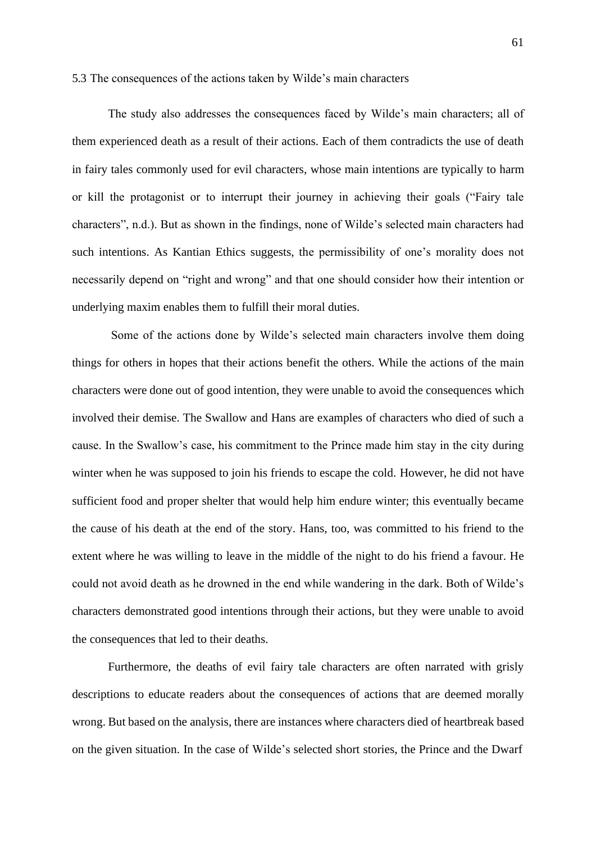#### 5.3 The consequences of the actions taken by Wilde's main characters

The study also addresses the consequences faced by Wilde's main characters; all of them experienced death as a result of their actions. Each of them contradicts the use of death in fairy tales commonly used for evil characters, whose main intentions are typically to harm or kill the protagonist or to interrupt their journey in achieving their goals ("Fairy tale characters", n.d.). But as shown in the findings, none of Wilde's selected main characters had such intentions. As Kantian Ethics suggests, the permissibility of one's morality does not necessarily depend on "right and wrong" and that one should consider how their intention or underlying maxim enables them to fulfill their moral duties.

Some of the actions done by Wilde's selected main characters involve them doing things for others in hopes that their actions benefit the others. While the actions of the main characters were done out of good intention, they were unable to avoid the consequences which involved their demise. The Swallow and Hans are examples of characters who died of such a cause. In the Swallow's case, his commitment to the Prince made him stay in the city during winter when he was supposed to join his friends to escape the cold. However, he did not have sufficient food and proper shelter that would help him endure winter; this eventually became the cause of his death at the end of the story. Hans, too, was committed to his friend to the extent where he was willing to leave in the middle of the night to do his friend a favour. He could not avoid death as he drowned in the end while wandering in the dark. Both of Wilde's characters demonstrated good intentions through their actions, but they were unable to avoid the consequences that led to their deaths.

Furthermore, the deaths of evil fairy tale characters are often narrated with grisly descriptions to educate readers about the consequences of actions that are deemed morally wrong. But based on the analysis, there are instances where characters died of heartbreak based on the given situation. In the case of Wilde's selected short stories, the Prince and the Dwarf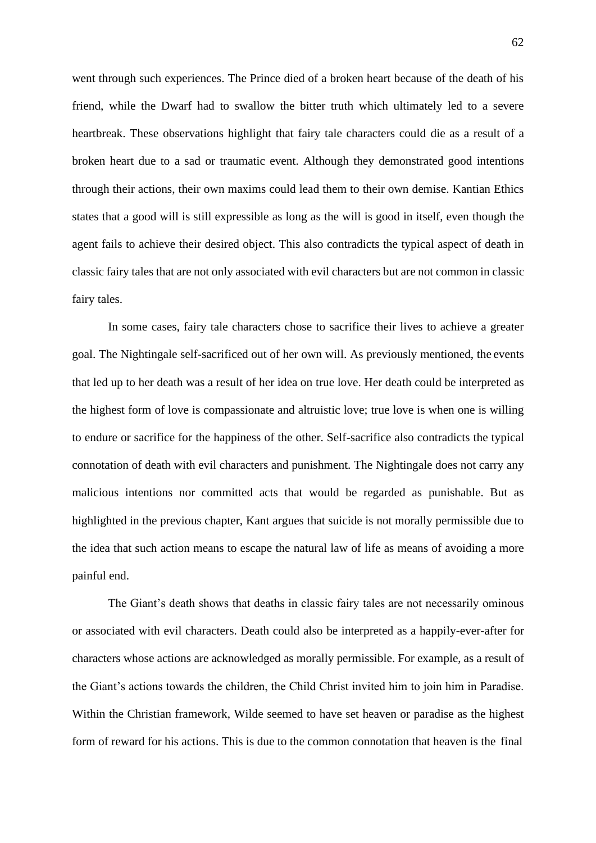went through such experiences. The Prince died of a broken heart because of the death of his friend, while the Dwarf had to swallow the bitter truth which ultimately led to a severe heartbreak. These observations highlight that fairy tale characters could die as a result of a broken heart due to a sad or traumatic event. Although they demonstrated good intentions through their actions, their own maxims could lead them to their own demise. Kantian Ethics states that a good will is still expressible as long as the will is good in itself, even though the agent fails to achieve their desired object. This also contradicts the typical aspect of death in classic fairy tales that are not only associated with evil characters but are not common in classic fairy tales.

In some cases, fairy tale characters chose to sacrifice their lives to achieve a greater goal. The Nightingale self-sacrificed out of her own will. As previously mentioned, the events that led up to her death was a result of her idea on true love. Her death could be interpreted as the highest form of love is compassionate and altruistic love; true love is when one is willing to endure or sacrifice for the happiness of the other. Self-sacrifice also contradicts the typical connotation of death with evil characters and punishment. The Nightingale does not carry any malicious intentions nor committed acts that would be regarded as punishable. But as highlighted in the previous chapter, Kant argues that suicide is not morally permissible due to the idea that such action means to escape the natural law of life as means of avoiding a more painful end.

The Giant's death shows that deaths in classic fairy tales are not necessarily ominous or associated with evil characters. Death could also be interpreted as a happily-ever-after for characters whose actions are acknowledged as morally permissible. For example, as a result of the Giant's actions towards the children, the Child Christ invited him to join him in Paradise. Within the Christian framework, Wilde seemed to have set heaven or paradise as the highest form of reward for his actions. This is due to the common connotation that heaven is the final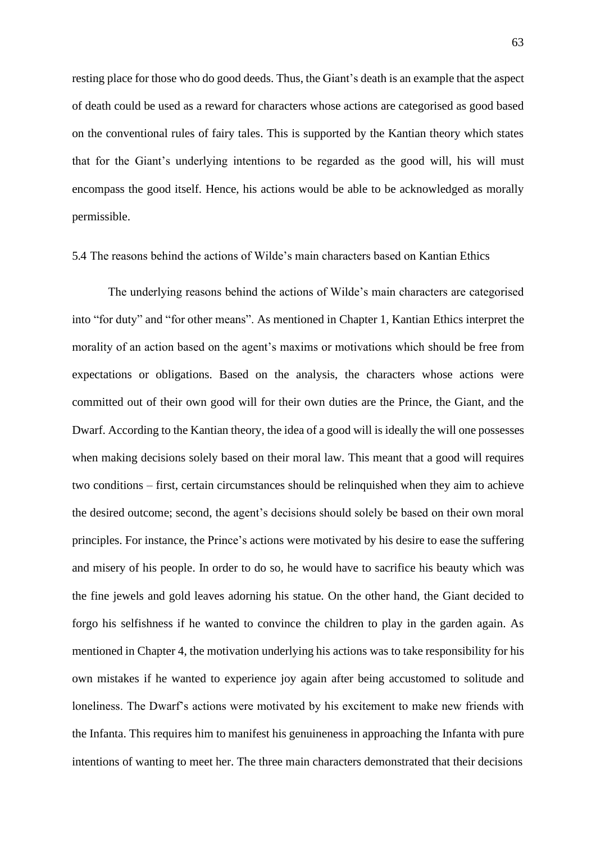resting place for those who do good deeds. Thus, the Giant's death is an example that the aspect of death could be used as a reward for characters whose actions are categorised as good based on the conventional rules of fairy tales. This is supported by the Kantian theory which states that for the Giant's underlying intentions to be regarded as the good will, his will must encompass the good itself. Hence, his actions would be able to be acknowledged as morally permissible.

### 5.4 The reasons behind the actions of Wilde's main characters based on Kantian Ethics

The underlying reasons behind the actions of Wilde's main characters are categorised into "for duty" and "for other means". As mentioned in Chapter 1, Kantian Ethics interpret the morality of an action based on the agent's maxims or motivations which should be free from expectations or obligations. Based on the analysis, the characters whose actions were committed out of their own good will for their own duties are the Prince, the Giant, and the Dwarf. According to the Kantian theory, the idea of a good will is ideally the will one possesses when making decisions solely based on their moral law. This meant that a good will requires two conditions – first, certain circumstances should be relinquished when they aim to achieve the desired outcome; second, the agent's decisions should solely be based on their own moral principles. For instance, the Prince's actions were motivated by his desire to ease the suffering and misery of his people. In order to do so, he would have to sacrifice his beauty which was the fine jewels and gold leaves adorning his statue. On the other hand, the Giant decided to forgo his selfishness if he wanted to convince the children to play in the garden again. As mentioned in Chapter 4, the motivation underlying his actions was to take responsibility for his own mistakes if he wanted to experience joy again after being accustomed to solitude and loneliness. The Dwarf's actions were motivated by his excitement to make new friends with the Infanta. This requires him to manifest his genuineness in approaching the Infanta with pure intentions of wanting to meet her. The three main characters demonstrated that their decisions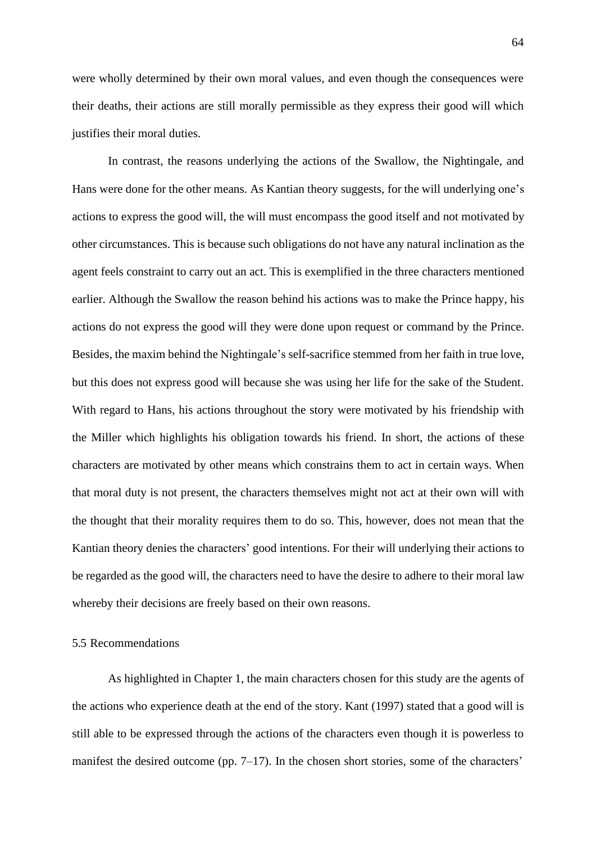were wholly determined by their own moral values, and even though the consequences were their deaths, their actions are still morally permissible as they express their good will which justifies their moral duties.

In contrast, the reasons underlying the actions of the Swallow, the Nightingale, and Hans were done for the other means. As Kantian theory suggests, for the will underlying one's actions to express the good will, the will must encompass the good itself and not motivated by other circumstances. This is because such obligations do not have any natural inclination as the agent feels constraint to carry out an act. This is exemplified in the three characters mentioned earlier. Although the Swallow the reason behind his actions was to make the Prince happy, his actions do not express the good will they were done upon request or command by the Prince. Besides, the maxim behind the Nightingale's self-sacrifice stemmed from her faith in true love, but this does not express good will because she was using her life for the sake of the Student. With regard to Hans, his actions throughout the story were motivated by his friendship with the Miller which highlights his obligation towards his friend. In short, the actions of these characters are motivated by other means which constrains them to act in certain ways. When that moral duty is not present, the characters themselves might not act at their own will with the thought that their morality requires them to do so. This, however, does not mean that the Kantian theory denies the characters' good intentions. For their will underlying their actions to be regarded as the good will, the characters need to have the desire to adhere to their moral law whereby their decisions are freely based on their own reasons.

#### 5.5 Recommendations

As highlighted in Chapter 1, the main characters chosen for this study are the agents of the actions who experience death at the end of the story. Kant (1997) stated that a good will is still able to be expressed through the actions of the characters even though it is powerless to manifest the desired outcome (pp. 7–17). In the chosen short stories, some of the characters'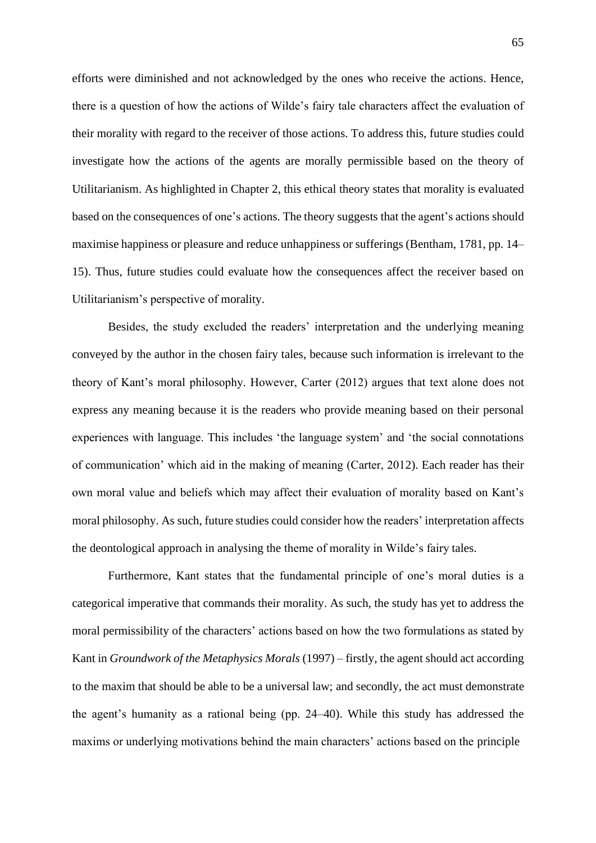efforts were diminished and not acknowledged by the ones who receive the actions. Hence, there is a question of how the actions of Wilde's fairy tale characters affect the evaluation of their morality with regard to the receiver of those actions. To address this, future studies could investigate how the actions of the agents are morally permissible based on the theory of Utilitarianism. As highlighted in Chapter 2, this ethical theory states that morality is evaluated based on the consequences of one's actions. The theory suggests that the agent's actions should maximise happiness or pleasure and reduce unhappiness or sufferings (Bentham, 1781, pp. 14– 15). Thus, future studies could evaluate how the consequences affect the receiver based on Utilitarianism's perspective of morality.

Besides, the study excluded the readers' interpretation and the underlying meaning conveyed by the author in the chosen fairy tales, because such information is irrelevant to the theory of Kant's moral philosophy. However, Carter (2012) argues that text alone does not express any meaning because it is the readers who provide meaning based on their personal experiences with language. This includes 'the language system' and 'the social connotations of communication' which aid in the making of meaning (Carter, 2012). Each reader has their own moral value and beliefs which may affect their evaluation of morality based on Kant's moral philosophy. As such, future studies could consider how the readers' interpretation affects the deontological approach in analysing the theme of morality in Wilde's fairy tales.

Furthermore, Kant states that the fundamental principle of one's moral duties is a categorical imperative that commands their morality. As such, the study has yet to address the moral permissibility of the characters' actions based on how the two formulations as stated by Kant in *Groundwork of the Metaphysics Morals* (1997) – firstly, the agent should act according to the maxim that should be able to be a universal law; and secondly, the act must demonstrate the agent's humanity as a rational being (pp. 24–40). While this study has addressed the maxims or underlying motivations behind the main characters' actions based on the principle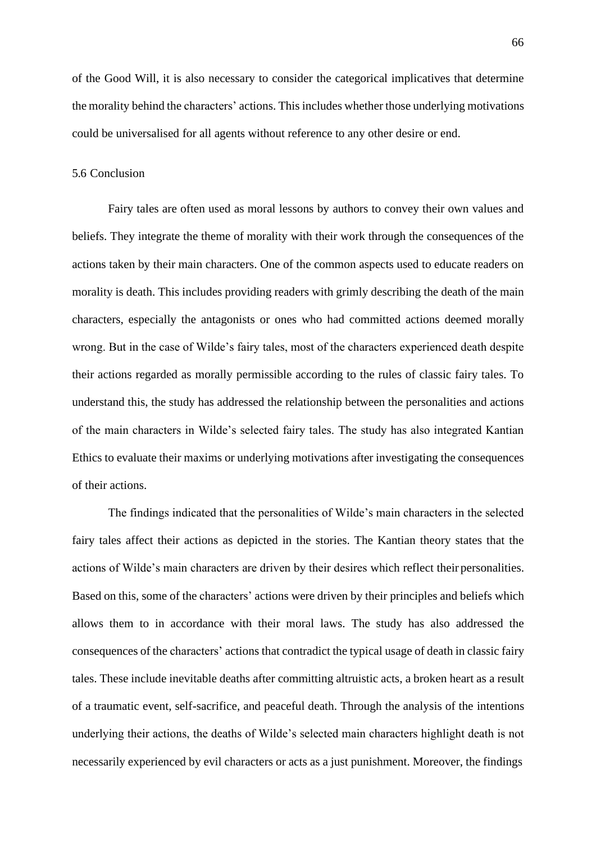of the Good Will, it is also necessary to consider the categorical implicatives that determine the morality behind the characters' actions. This includes whether those underlying motivations could be universalised for all agents without reference to any other desire or end.

## 5.6 Conclusion

Fairy tales are often used as moral lessons by authors to convey their own values and beliefs. They integrate the theme of morality with their work through the consequences of the actions taken by their main characters. One of the common aspects used to educate readers on morality is death. This includes providing readers with grimly describing the death of the main characters, especially the antagonists or ones who had committed actions deemed morally wrong. But in the case of Wilde's fairy tales, most of the characters experienced death despite their actions regarded as morally permissible according to the rules of classic fairy tales. To understand this, the study has addressed the relationship between the personalities and actions of the main characters in Wilde's selected fairy tales. The study has also integrated Kantian Ethics to evaluate their maxims or underlying motivations after investigating the consequences of their actions.

The findings indicated that the personalities of Wilde's main characters in the selected fairy tales affect their actions as depicted in the stories. The Kantian theory states that the actions of Wilde's main characters are driven by their desires which reflect their personalities. Based on this, some of the characters' actions were driven by their principles and beliefs which allows them to in accordance with their moral laws. The study has also addressed the consequences of the characters' actions that contradict the typical usage of death in classic fairy tales. These include inevitable deaths after committing altruistic acts, a broken heart as a result of a traumatic event, self-sacrifice, and peaceful death. Through the analysis of the intentions underlying their actions, the deaths of Wilde's selected main characters highlight death is not necessarily experienced by evil characters or acts as a just punishment. Moreover, the findings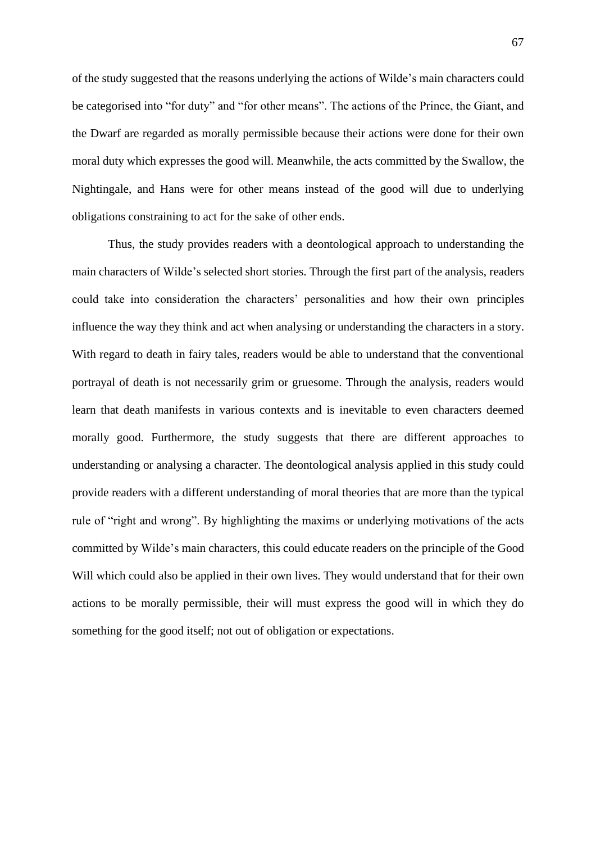of the study suggested that the reasons underlying the actions of Wilde's main characters could be categorised into "for duty" and "for other means". The actions of the Prince, the Giant, and the Dwarf are regarded as morally permissible because their actions were done for their own moral duty which expresses the good will. Meanwhile, the acts committed by the Swallow, the Nightingale, and Hans were for other means instead of the good will due to underlying obligations constraining to act for the sake of other ends.

Thus, the study provides readers with a deontological approach to understanding the main characters of Wilde's selected short stories. Through the first part of the analysis, readers could take into consideration the characters' personalities and how their own principles influence the way they think and act when analysing or understanding the characters in a story. With regard to death in fairy tales, readers would be able to understand that the conventional portrayal of death is not necessarily grim or gruesome. Through the analysis, readers would learn that death manifests in various contexts and is inevitable to even characters deemed morally good. Furthermore, the study suggests that there are different approaches to understanding or analysing a character. The deontological analysis applied in this study could provide readers with a different understanding of moral theories that are more than the typical rule of "right and wrong". By highlighting the maxims or underlying motivations of the acts committed by Wilde's main characters, this could educate readers on the principle of the Good Will which could also be applied in their own lives. They would understand that for their own actions to be morally permissible, their will must express the good will in which they do something for the good itself; not out of obligation or expectations.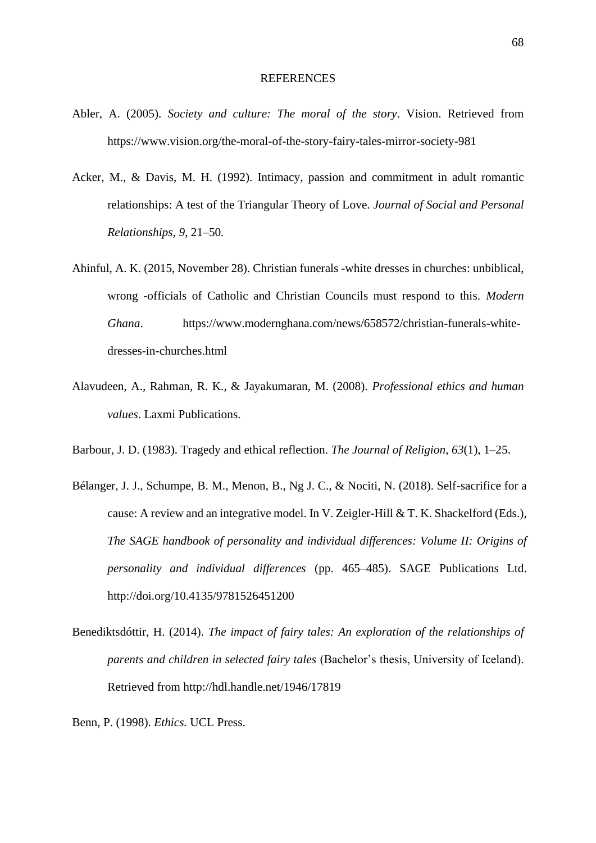## REFERENCES

- Abler, A. (2005). *Society and culture: The moral of the story*. Vision. Retrieved from [https://www.vision.org/the-moral-of-the-story-fairy-tales-mirror-society-981](http://www.vision.org/the-moral-of-the-story-fairy-tales-mirror-society-981)
- Acker, M., & Davis, M. H. (1992). Intimacy, passion and commitment in adult romantic relationships: A test of the Triangular Theory of Love. *Journal of Social and Personal Relationships*, *9*, 21–50*.*
- Ahinful, A. K. (2015, November 28). Christian funerals -white dresses in churches: unbiblical, wrong -officials of Catholic and Christian Councils must respond to this. *Modern Ghana*. [https://www.modernghana.com/news/658572/christian-funerals-white](http://www.modernghana.com/news/658572/christian-funerals-white-)dresses-in-churches.html
- Alavudeen, A., Rahman, R. K., & Jayakumaran, M. (2008). *Professional ethics and human values*. Laxmi Publications.
- Barbour, J. D. (1983). Tragedy and ethical reflection. *The Journal of Religion*, *63*(1), 1–25.
- Bélanger, J. J., Schumpe, B. M., Menon, B., Ng J. C., & Nociti, N. (2018). Self-sacrifice for a cause: A review and an integrative model. In V. Zeigler-Hill & T. K. Shackelford (Eds.), *The SAGE handbook of personality and individual differences: Volume II: Origins of personality and individual differences* (pp. 465–485). SAGE Publications Ltd. <http://doi.org/10.4135/9781526451200>
- Benediktsdóttir, H. (2014). *The impact of fairy tales: An exploration of the relationships of parents and children in selected fairy tales* (Bachelor's thesis, University of Iceland). Retrieved f[rom http://hdl.handle.net/1946/17819](http://hdl.handle.net/1946/17819)

Benn, P. (1998). *Ethics.* UCL Press.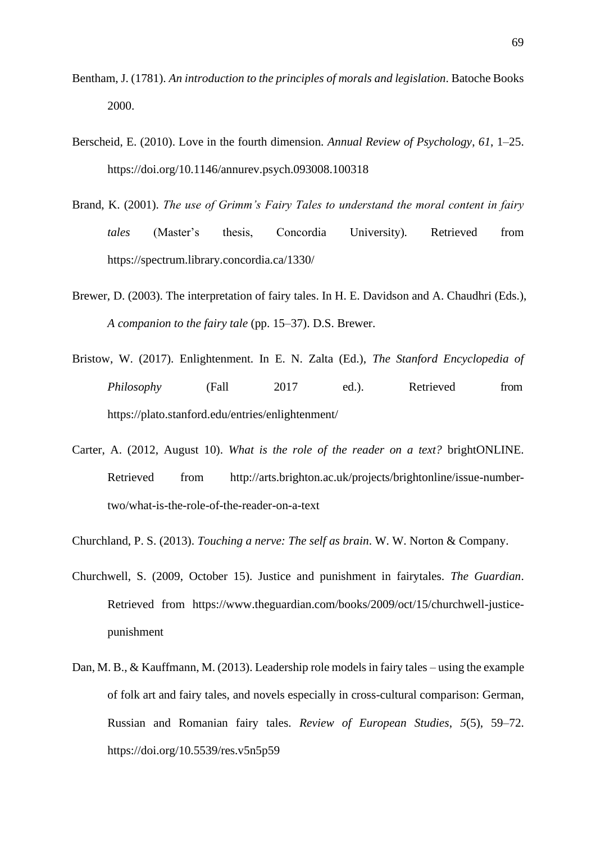- Bentham, J. (1781). *An introduction to the principles of morals and legislation*. Batoche Books 2000.
- Berscheid, E. (2010). Love in the fourth dimension. *Annual Review of Psychology*, *61*, 1–25. https://doi.org/10.1146/annurev.psych.093008.100318
- Brand, K. (2001). *The use of Grimm's Fairy Tales to understand the moral content in fairy tales* (Master's thesis, Concordia University)*.* Retrieved from https://spectrum.library.concordia.ca/1330/
- Brewer, D. (2003). The interpretation of fairy tales. In H. E. Davidson and A. Chaudhri (Eds.), *A companion to the fairy tale* (pp. 15–37). D.S. Brewer.
- Bristow, W. (2017). Enlightenment. In E. N. Zalta (Ed.), *The Stanford Encyclopedia of Philosophy* (Fall 2017 ed.). Retrieved from https://plato.stanford.edu/entries/enlightenment/
- Carter, A. (2012, August 10). *What is the role of the reader on a text?* brightONLINE. Retrieved from [http://arts.brighton.ac.uk/projects/brightonline/issue-number](http://arts.brighton.ac.uk/projects/brightonline/issue-number-)two/what-is-the-role-of-the-reader-on-a-text
- Churchland, P. S. (2013). *Touching a nerve: The self as brain*. W. W. Norton & Company.
- Churchwell, S. (2009, October 15). Justice and punishment in fairytales. *The Guardian*. Retrieved from [https://www.theguardian.com/books/2009/oct/15/churchwell-justice](http://www.theguardian.com/books/2009/oct/15/churchwell-justice-)punishment
- Dan, M. B., & Kauffmann, M. (2013). Leadership role models in fairy tales using the example of folk art and fairy tales, and novels especially in cross-cultural comparison: German, Russian and Romanian fairy tales. *Review of European Studies*, *5*(5), 59–72. https://doi.org/10.5539/res.v5n5p59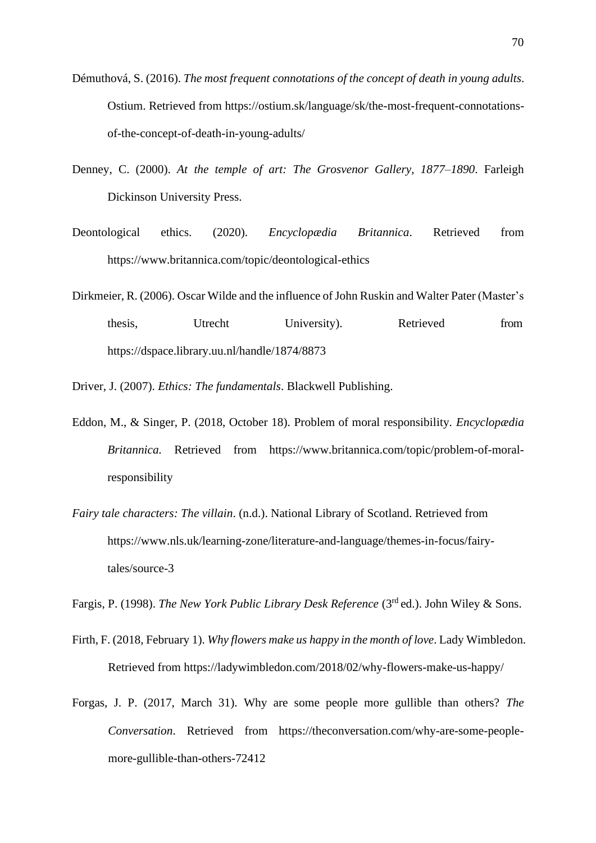- Démuthová, S. (2016). *The most frequent connotations of the concept of death in young adults*. Ostium. Retrieved from https://ostium.sk/language/sk/the-most-frequent-connotationsof-the-concept-of-death-in-young-adults/
- Denney, C. (2000). *At the temple of art: The Grosvenor Gallery, 1877–1890*. Farleigh Dickinson University Press.
- Deontological ethics. (2020). *Encyclopædia Britannica*. Retrieved from [https://www.britannica.com/topic/deontological-ethics](http://www.britannica.com/topic/deontological-ethics)
- Dirkmeier, R. (2006). Oscar Wilde and the influence of John Ruskin and Walter Pater (Master's thesis, Utrecht University). Retrieved from https://dspace.library.uu.nl/handle/1874/8873

Driver, J. (2007). *Ethics: The fundamentals*. Blackwell Publishing.

- Eddon, M., & Singer, P. (2018, October 18). Problem of moral responsibility. *Encyclopædia Britannica.* Retrieved from [https://ww](http://www.britannica.com/topic/problem-of-moral-)w[.britannica.com/topic/problem-of-moral](http://www.britannica.com/topic/problem-of-moral-)responsibility
- *Fairy tale characters: The villain*. (n.d.). National Library of Scotland. Retrieved from [https://www.nls.uk/learning-zone/literature-and-language/themes-in-focus/fairy](http://www.nls.uk/learning-zone/literature-and-language/themes-in-focus/fairy-)tales/source-3

Fargis, P. (1998). *The New York Public Library Desk Reference* (3rd ed.). John Wiley & Sons.

- Firth, F. (2018, February 1). *Why flowers make us happy in the month of love*. Lady Wimbledon. Retrieved from https://ladywimbledon.com/2018/02/why-flowers-make-us-happy/
- Forgas, J. P. (2017, March 31). Why are some people more gullible than others? *The Conversation*. Retrieved from https://theconversation.com/why-are-some-peoplemore-gullible-than-others-72412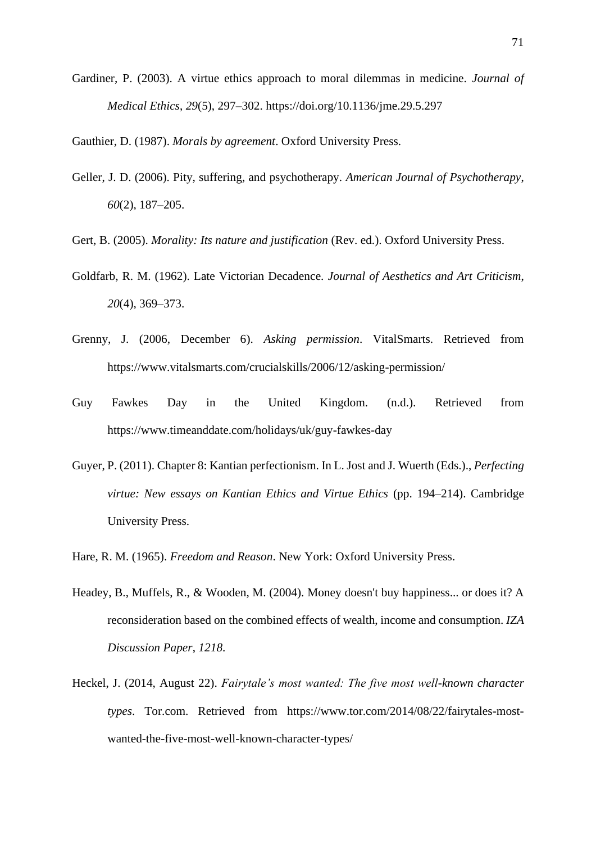Gardiner, P. (2003). A virtue ethics approach to moral dilemmas in medicine. *Journal of Medical Ethics*, *29*(5), 297–302. https://doi.org/10.1136/jme.29.5.297

Gauthier, D. (1987). *Morals by agreement*. Oxford University Press.

- Geller, J. D. (2006). Pity, suffering, and psychotherapy. *American Journal of Psychotherapy*, *60*(2), 187–205.
- Gert, B. (2005). *Morality: Its nature and justification* (Rev. ed.). Oxford University Press.
- Goldfarb, R. M. (1962). Late Victorian Decadence. *Journal of Aesthetics and Art Criticism*, *20*(4), 369–373.
- Grenny, J. (2006, December 6). *Asking permission*. VitalSmarts. Retrieved from [https://ww](http://www.vitalsmarts.com/crucialskills/2006/12/asking-permission/)w[.vitalsmarts.com/crucialskills/2006/12/asking-permission/](http://www.vitalsmarts.com/crucialskills/2006/12/asking-permission/)
- Guy Fawkes Day in the United Kingdom. (n.d.). Retrieved from [https://www.timeanddate.com/holidays/uk/guy-fawkes-day](http://www.timeanddate.com/holidays/uk/guy-fawkes-day)
- Guyer, P. (2011). Chapter 8: Kantian perfectionism. In L. Jost and J. Wuerth (Eds.)., *Perfecting virtue: New essays on Kantian Ethics and Virtue Ethics* (pp. 194–214). Cambridge University Press.
- Hare, R. M. (1965). *Freedom and Reason*. New York: Oxford University Press.
- Headey, B., Muffels, R., & Wooden, M. (2004). Money doesn't buy happiness... or does it? A reconsideration based on the combined effects of wealth, income and consumption. *IZA Discussion Paper*, *1218*.
- Heckel, J. (2014, August 22). *Fairytale's most wanted: The five most well-known character types*. Tor.com. Retrieved from [https://www.tor.com/2014/08/22/fairytales-most](http://www.tor.com/2014/08/22/fairytales-most-)wanted-the-five-most-well-known-character-types/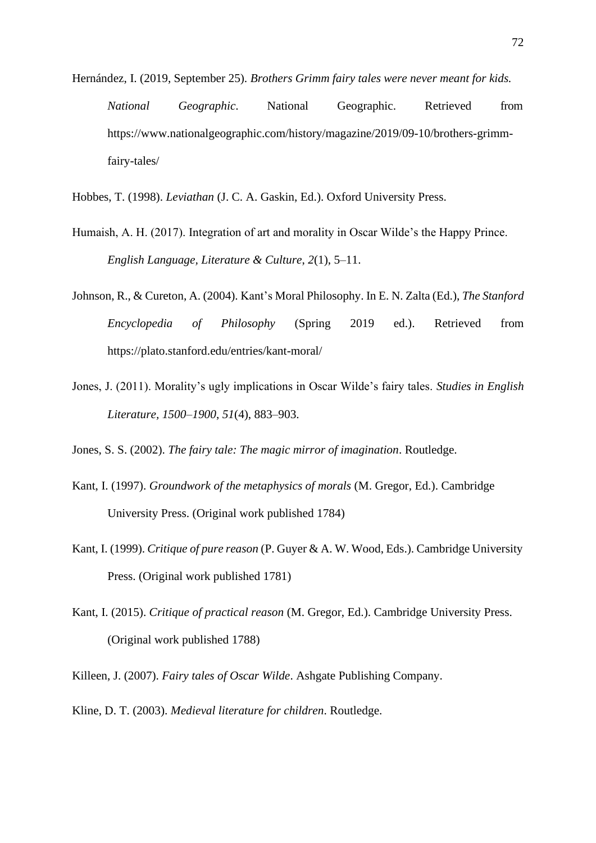- Hernández, I. (2019, September 25). *Brothers Grimm fairy tales were never meant for kids. National Geographic*. National Geographic. Retrieved from [https://ww](http://www.nationalgeographic.com/history/magazine/2019/09-10/brothers-grimm-)w[.nationalgeographic.com/history/magazine/2019/09-10/brothers-grimm](http://www.nationalgeographic.com/history/magazine/2019/09-10/brothers-grimm-)fairy-tales/
- Hobbes, T. (1998). *Leviathan* (J. C. A. Gaskin, Ed.). Oxford University Press.
- Humaish, A. H. (2017). Integration of art and morality in Oscar Wilde's the Happy Prince. *English Language, Literature & Culture*, *2*(1), 5–11.
- Johnson, R., & Cureton, A. (2004). Kant's Moral Philosophy. In E. N. Zalta (Ed.), *The Stanford Encyclopedia of Philosophy* (Spring 2019 ed.). Retrieved from https://plato.stanford.edu/entries/kant-moral/
- Jones, J. (2011). Morality's ugly implications in Oscar Wilde's fairy tales. *Studies in English Literature, 1500–1900*, *51*(4), 883–903.
- Jones, S. S. (2002). *The fairy tale: The magic mirror of imagination*. Routledge.
- Kant, I. (1997). *Groundwork of the metaphysics of morals* (M. Gregor, Ed.). Cambridge University Press. (Original work published 1784)
- Kant, I. (1999). *Critique of pure reason* (P. Guyer & A. W. Wood, Eds.). Cambridge University Press. (Original work published 1781)
- Kant, I. (2015). *Critique of practical reason* (M. Gregor, Ed.). Cambridge University Press. (Original work published 1788)
- Killeen, J. (2007). *Fairy tales of Oscar Wilde*. Ashgate Publishing Company.
- Kline, D. T. (2003). *Medieval literature for children*. Routledge.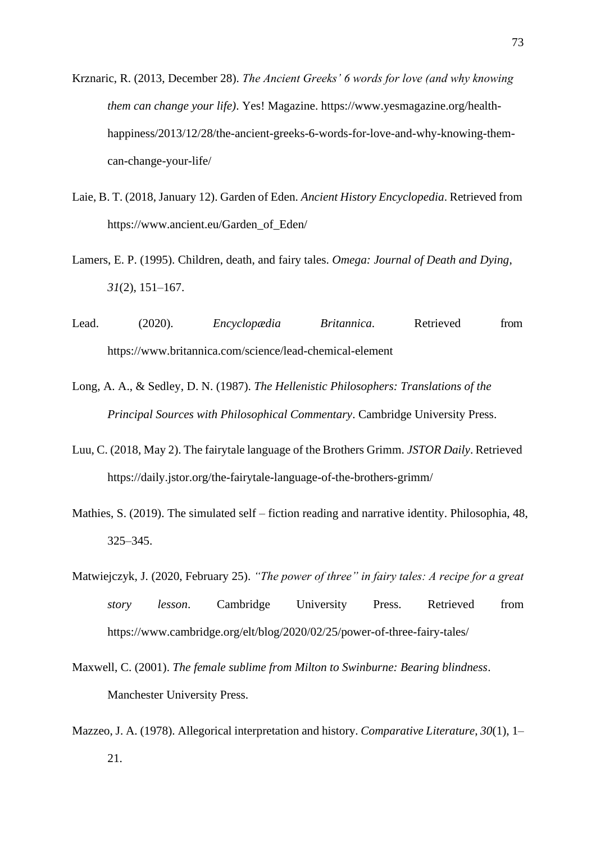- Krznaric, R. (2013, December 28). *The Ancient Greeks' 6 words for love (and why knowing them can change your life)*. Yes! Magazine. [https://ww](http://www.yesmagazine.org/health-)w[.yesmagazine.org/health](http://www.yesmagazine.org/health-)happiness/2013/12/28/the-ancient-greeks-6-words-for-love-and-why-knowing-themcan-change-your-life/
- Laie, B. T. (2018, January 12). Garden of Eden. *Ancient History Encyclopedia*. Retrieved from [https://www.ancient.eu/Garden\\_of\\_Eden/](http://www.ancient.eu/Garden_of_Eden/)
- Lamers, E. P. (1995). Children, death, and fairy tales. *Omega: Journal of Death and Dying*, *31*(2), 151–167.
- Lead. (2020). *Encyclopædia Britannica*. Retrieved from [https://ww](http://www.britannica.com/science/lead-chemical-element)w[.britannica.com/science/lead-chemical-element](http://www.britannica.com/science/lead-chemical-element)
- Long, A. A., & Sedley, D. N. (1987). *The Hellenistic Philosophers: Translations of the Principal Sources with Philosophical Commentary*. Cambridge University Press.
- Luu, C. (2018, May 2). The fairytale language of the Brothers Grimm. *JSTOR Daily*. Retrieved https://daily.jstor.org/the-fairytale-language-of-the-brothers-grimm/
- Mathies, S. (2019). The simulated self fiction reading and narrative identity. Philosophia, 48, 325–345.
- Matwiejczyk, J. (2020, February 25). *"The power of three" in fairy tales: A recipe for a great story lesson*. Cambridge University Press. Retrieved from [https://www.cambridge.org/elt/blog/2020/02/25/power-of-three-fairy-tales/](http://www.cambridge.org/elt/blog/2020/02/25/power-of-three-fairy-tales/)
- Maxwell, C. (2001). *The female sublime from Milton to Swinburne: Bearing blindness*. Manchester University Press.
- Mazzeo, J. A. (1978). Allegorical interpretation and history. *Comparative Literature*, *30*(1), 1– 21.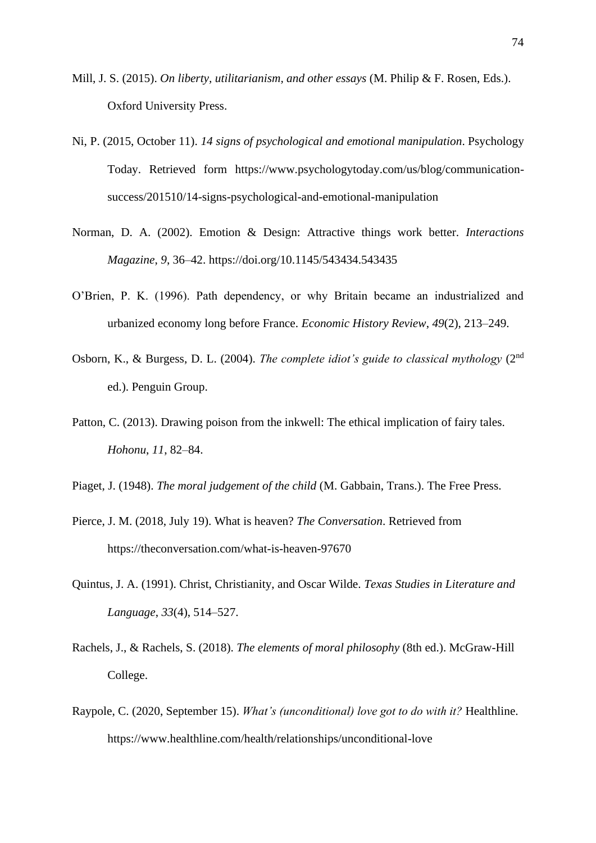- Mill, J. S. (2015). *On liberty, utilitarianism, and other essays* (M. Philip & F. Rosen, Eds.). Oxford University Press.
- Ni, P. (2015, October 11). *14 signs of psychological and emotional manipulation*. Psychology Today. Retrieved form https:[//www.psychologytoday.com/us/blog/communication](http://www.psychologytoday.com/us/blog/communication-)success/201510/14-signs-psychological-and-emotional-manipulation
- Norman, D. A. (2002). Emotion & Design: Attractive things work better. *Interactions Magazine*, *9*, 36–42. https://doi.org/10.1145/543434.543435
- O'Brien, P. K. (1996). Path dependency, or why Britain became an industrialized and urbanized economy long before France. *Economic History Review*, *49*(2), 213–249.
- Osborn, K., & Burgess, D. L. (2004). *The complete idiot's guide to classical mythology* (2<sup>nd</sup>) ed.). Penguin Group.
- Patton, C. (2013). Drawing poison from the inkwell: The ethical implication of fairy tales. *Hohonu*, *11*, 82–84.
- Piaget, J. (1948). *The moral judgement of the child* (M. Gabbain, Trans.). The Free Press.
- Pierce, J. M. (2018, July 19). What is heaven? *The Conversation*. Retrieved from https://theconversation.com/what-is-heaven-97670
- Quintus, J. A. (1991). Christ, Christianity, and Oscar Wilde. *Texas Studies in Literature and Language*, *33*(4), 514–527.
- Rachels, J., & Rachels, S. (2018). *The elements of moral philosophy* (8th ed.). McGraw-Hill College.
- Raypole, C. (2020, September 15). *What's (unconditional) love got to do with it?* Healthline. [https://ww](http://www.healthline.com/health/relationships/unconditional-love)w[.healthline.com/health/relationships/unconditional-love](http://www.healthline.com/health/relationships/unconditional-love)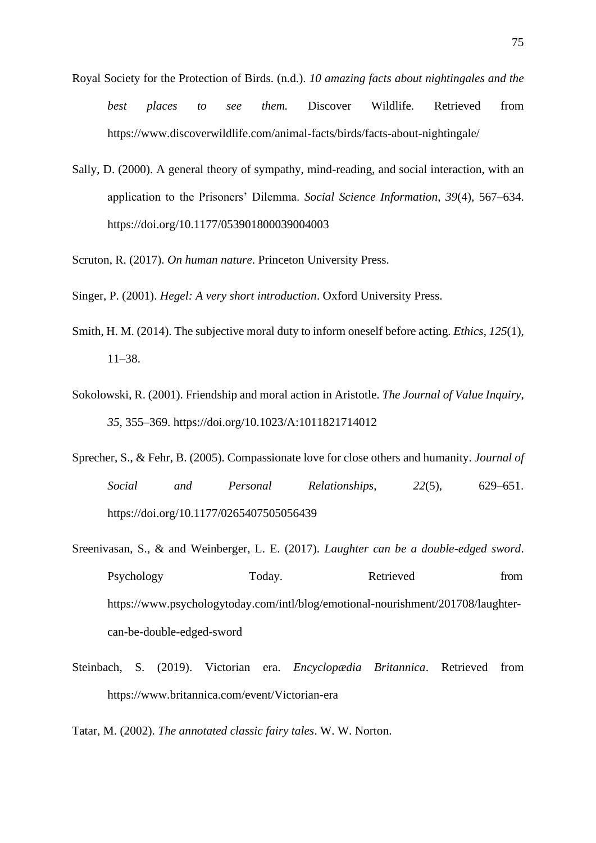- Royal Society for the Protection of Birds. (n.d.). *10 amazing facts about nightingales and the best places to see them.* Discover Wildlife. Retrieved from [https://ww](http://www.discoverwildlife.com/animal-facts/birds/facts-about-nightingale/)w[.discoverwildlife.com/animal-facts/birds/facts-about-nightingale/](http://www.discoverwildlife.com/animal-facts/birds/facts-about-nightingale/)
- Sally, D. (2000). A general theory of sympathy, mind-reading, and social interaction, with an application to the Prisoners' Dilemma. *Social Science Information*, *39*(4), 567–634. https://doi.org/10.1177/053901800039004003
- Scruton, R. (2017). *On human nature*. Princeton University Press.

Singer, P. (2001). *Hegel: A very short introduction*. Oxford University Press.

- Smith, H. M. (2014). The subjective moral duty to inform oneself before acting. *Ethics*, *125*(1), 11–38.
- Sokolowski, R. (2001). Friendship and moral action in Aristotle. *The Journal of Value Inquiry*, *35*, 355–369. https://doi.org/10.1023/A:1011821714012
- Sprecher, S., & Fehr, B. (2005). Compassionate love for close others and humanity. *Journal of Social and Personal Relationships*, *22*(5), 629–651. https://doi.org/10.1177/0265407505056439
- Sreenivasan, S., & and Weinberger, L. E. (2017). *Laughter can be a double-edged sword*. Psychology Today. Retrieved from [https://www.psychologytoday.com/intl/blog/emotional-nourishment/201708/laughter](http://www.psychologytoday.com/intl/blog/emotional-nourishment/201708/laughter-)can-be-double-edged-sword
- Steinbach, S. (2019). Victorian era. *Encyclopædia Britannica*. Retrieved from [https://ww](http://www.britannica.com/event/Victorian-era)w[.britannica.com/event/Victorian-era](http://www.britannica.com/event/Victorian-era)

Tatar, M. (2002). *The annotated classic fairy tales*. W. W. Norton.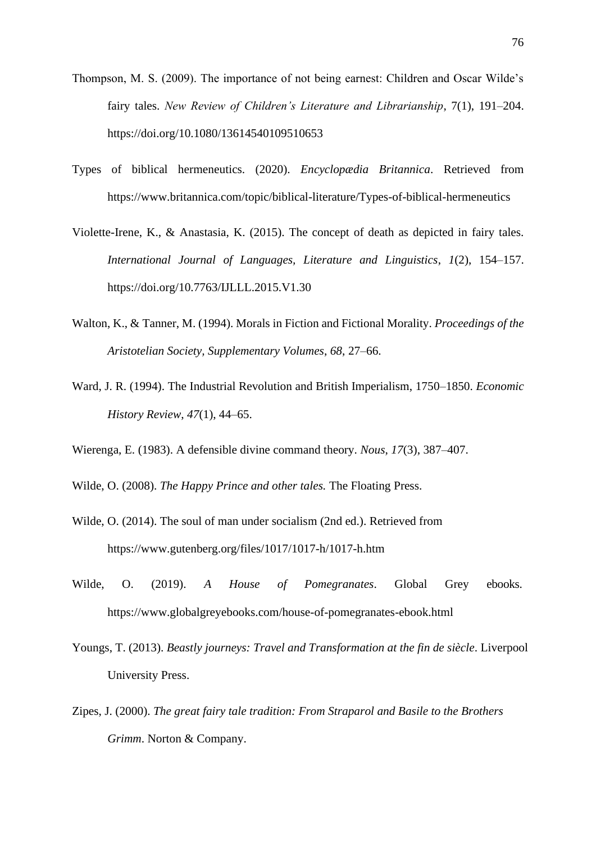- Thompson, M. S. (2009). The importance of not being earnest: Children and Oscar Wilde's fairy tales. *New Review of Children's Literature and Librarianship*, 7(1), 191–204. https://doi.org/10.1080/13614540109510653
- Types of biblical hermeneutics. (2020). *Encyclopædia Britannica*. Retrieved from [https://ww](http://www.britannica.com/topic/biblical-literature/Types-of-biblical-hermeneutics)w[.britannica.com/topic/biblical-literature/Types-of-biblical-hermeneutics](http://www.britannica.com/topic/biblical-literature/Types-of-biblical-hermeneutics)
- Violette-Irene, K., & Anastasia, K. (2015). The concept of death as depicted in fairy tales. *International Journal of Languages, Literature and Linguistics*, *1*(2), 154–157. https://doi.org/10.7763/IJLLL.2015.V1.30
- Walton, K., & Tanner, M. (1994). Morals in Fiction and Fictional Morality. *Proceedings of the Aristotelian Society, Supplementary Volumes*, *68*, 27–66.
- Ward, J. R. (1994). The Industrial Revolution and British Imperialism, 1750–1850. *Economic History Review*, *47*(1), 44–65.
- Wierenga, E. (1983). A defensible divine command theory. *Nous*, *17*(3), 387–407.
- Wilde, O. (2008). *The Happy Prince and other tales.* The Floating Press.
- Wilde, O. (2014). The soul of man under socialism (2nd ed.). Retrieved from [https://www.gutenberg.org/files/1017/1017-h/1017-h.htm](http://www.gutenberg.org/files/1017/1017-h/1017-h.htm)
- Wilde, O. (2019). *A House of Pomegranates*. Global Grey ebooks. [https://www.globalgreyebooks.com/house-of-pomegranates-ebook.html](http://www.globalgreyebooks.com/house-of-pomegranates-ebook.html)
- Youngs, T. (2013). *Beastly journeys: Travel and Transformation at the fin de siècle*. Liverpool University Press.
- Zipes, J. (2000). *The great fairy tale tradition: From Straparol and Basile to the Brothers Grimm*. Norton & Company.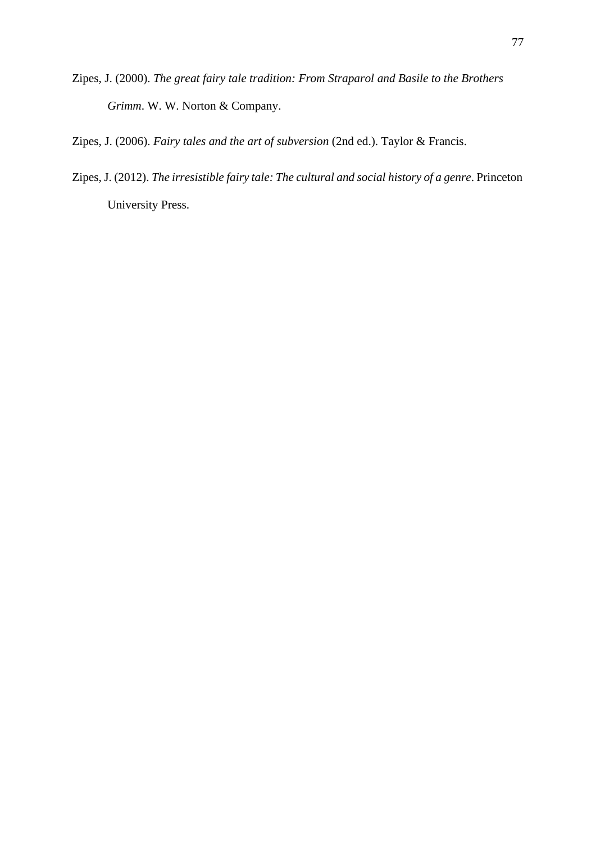- Zipes, J. (2000). *The great fairy tale tradition: From Straparol and Basile to the Brothers Grimm*. W. W. Norton & Company.
- Zipes, J. (2006). *Fairy tales and the art of subversion* (2nd ed.). Taylor & Francis.
- Zipes, J. (2012). *The irresistible fairy tale: The cultural and social history of a genre*. Princeton University Press.